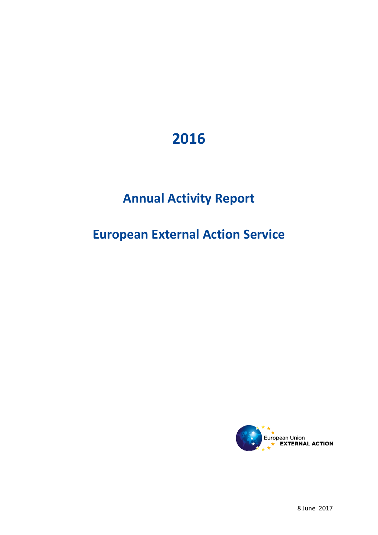# **2016**

# **Annual Activity Report**

# **European External Action Service**

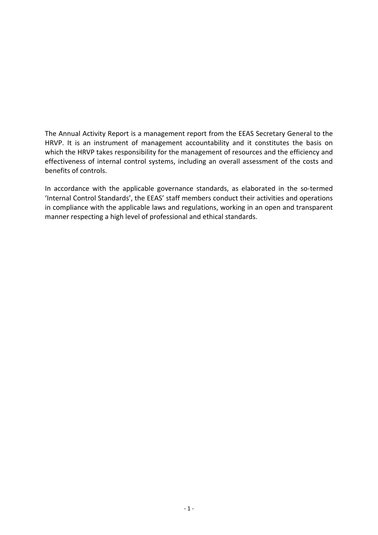The Annual Activity Report is a management report from the EEAS Secretary General to the HRVP. It is an instrument of management accountability and it constitutes the basis on which the HRVP takes responsibility for the management of resources and the efficiency and effectiveness of internal control systems, including an overall assessment of the costs and benefits of controls.

In accordance with the applicable governance standards, as elaborated in the so-termed 'Internal Control Standards', the EEAS' staff members conduct their activities and operations in compliance with the applicable laws and regulations, working in an open and transparent manner respecting a high level of professional and ethical standards.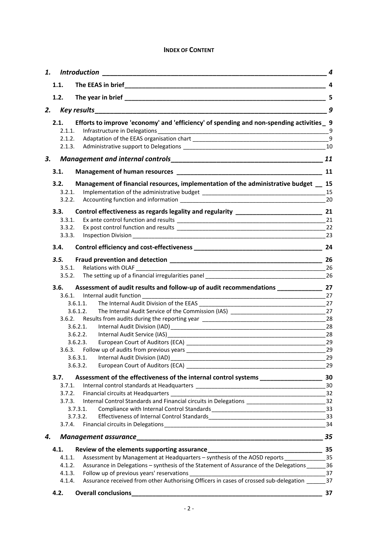#### **INDEX OF CONTENT**

| 1. |        |                                                                                                   | 4  |
|----|--------|---------------------------------------------------------------------------------------------------|----|
|    | 1.1.   |                                                                                                   | 4  |
|    | 1.2.   |                                                                                                   | 5  |
| 2. |        |                                                                                                   | 9  |
|    | 2.1.   | Efforts to improve 'economy' and 'efficiency' of spending and non-spending activities _9          |    |
|    | 2.1.1. |                                                                                                   |    |
|    | 2.1.2. |                                                                                                   | 9  |
|    | 2.1.3. |                                                                                                   |    |
| 3. |        |                                                                                                   | 11 |
|    | 3.1.   |                                                                                                   | 11 |
|    | 3.2.   | Management of financial resources, implementation of the administrative budget __ 15              |    |
|    | 3.2.1. |                                                                                                   |    |
|    | 3.2.2. |                                                                                                   | 20 |
|    | 3.3.   |                                                                                                   |    |
|    | 3.3.1. |                                                                                                   | 21 |
|    | 3.3.2. |                                                                                                   |    |
|    | 3.3.3. |                                                                                                   | 23 |
|    | 3.4.   |                                                                                                   | 24 |
|    | 3.5.   |                                                                                                   | 26 |
|    | 3.5.1. |                                                                                                   | 26 |
|    | 3.5.2. |                                                                                                   |    |
|    | 3.6.   | Assessment of audit results and follow-up of audit recommendations _____________                  | 27 |
|    |        | 3.6.1. Internal audit function                                                                    | 27 |
|    |        | 3.6.1.1.                                                                                          |    |
|    |        | The Internal Audit Service of the Commission (IAS) _____________________________<br>3.6.1.2.      | 27 |
|    |        |                                                                                                   | 28 |
|    |        | 3.6.2.1.                                                                                          | 28 |
|    |        | 3.6.2.2.                                                                                          | 28 |
|    |        | 3.6.2.3.                                                                                          | 29 |
|    |        | 3.6.3. Follow up of audits from previous years                                                    | 29 |
|    |        | 3.6.3.1.                                                                                          | 29 |
|    |        | 3.6.3.2.                                                                                          |    |
|    | 3.7.   |                                                                                                   |    |
|    | 3.7.1. |                                                                                                   |    |
|    | 3.7.2. |                                                                                                   |    |
|    | 3.7.3. | Internal Control Standards and Financial circuits in Delegations ______________________________32 |    |
|    |        | 3.7.3.1.                                                                                          |    |
|    |        | 3.7.3.2.                                                                                          |    |
|    | 3.7.4. |                                                                                                   |    |
| 4. |        |                                                                                                   | 35 |
|    | 4.1.   |                                                                                                   |    |
|    | 4.1.1. | Assessment by Management at Headquarters - synthesis of the AOSD reports _______________35        |    |
|    | 4.1.2. | Assurance in Delegations - synthesis of the Statement of Assurance of the Delegations _______ 36  |    |
|    | 4.1.3. |                                                                                                   |    |
|    | 4.1.4. | Assurance received from other Authorising Officers in cases of crossed sub-delegation _______ 37  |    |
|    | 4.2.   |                                                                                                   | 37 |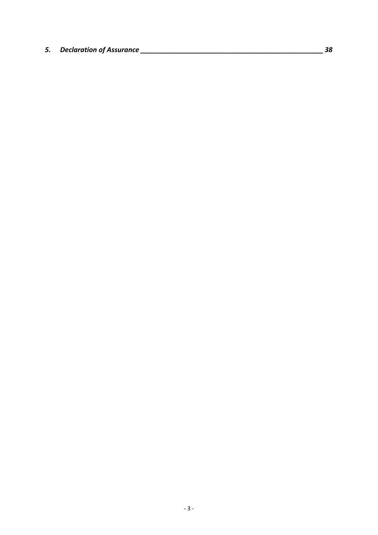*5. Declaration of Assurance \_\_\_\_\_\_\_\_\_\_\_\_\_\_\_\_\_\_\_\_\_\_\_\_\_\_\_\_\_\_\_\_\_\_\_\_\_\_\_\_\_\_\_\_\_\_\_\_ 38*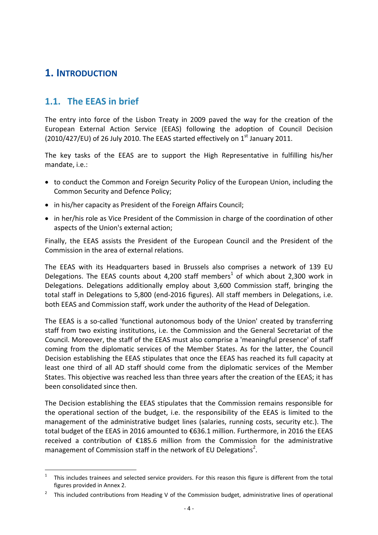# **1. INTRODUCTION**

# **1.1. The EEAS in brief**

The entry into force of the Lisbon Treaty in 2009 paved the way for the creation of the European External Action Service (EEAS) following the adoption of Council Decision (2010/427/EU) of 26 July 2010. The EEAS started effectively on  $1<sup>st</sup>$  January 2011.

The key tasks of the EEAS are to support the High Representative in fulfilling his/her mandate, i.e.:

- to conduct the Common and Foreign Security Policy of the European Union, including the Common Security and Defence Policy;
- in his/her capacity as President of the Foreign Affairs Council;
- in her/his role as Vice President of the Commission in charge of the coordination of other aspects of the Union's external action;

Finally, the EEAS assists the President of the European Council and the President of the Commission in the area of external relations.

The EEAS with its Headquarters based in Brussels also comprises a network of 139 EU Delegations. The EEAS counts about 4,200 staff members<sup>1</sup> of which about 2,300 work in Delegations. Delegations additionally employ about 3,600 Commission staff, bringing the total staff in Delegations to 5,800 (end-2016 figures). All staff members in Delegations, i.e. both EEAS and Commission staff, work under the authority of the Head of Delegation.

The EEAS is a so-called 'functional autonomous body of the Union' created by transferring staff from two existing institutions, i.e. the Commission and the General Secretariat of the Council. Moreover, the staff of the EEAS must also comprise a 'meaningful presence' of staff coming from the diplomatic services of the Member States. As for the latter, the Council Decision establishing the EEAS stipulates that once the EEAS has reached its full capacity at least one third of all AD staff should come from the diplomatic services of the Member States. This objective was reached less than three years after the creation of the EEAS; it has been consolidated since then.

The Decision establishing the EEAS stipulates that the Commission remains responsible for the operational section of the budget, i.e. the responsibility of the EEAS is limited to the management of the administrative budget lines (salaries, running costs, security etc.). The total budget of the EEAS in 2016 amounted to €636.1 million. Furthermore, in 2016 the EEAS received a contribution of €185.6 million from the Commission for the administrative management of Commission staff in the network of EU Delegations<sup>2</sup>.

<sup>&</sup>lt;u>.</u> 1 This includes trainees and selected service providers. For this reason this figure is different from the total figures provided in Annex 2.

<sup>2</sup> This included contributions from Heading V of the Commission budget, administrative lines of operational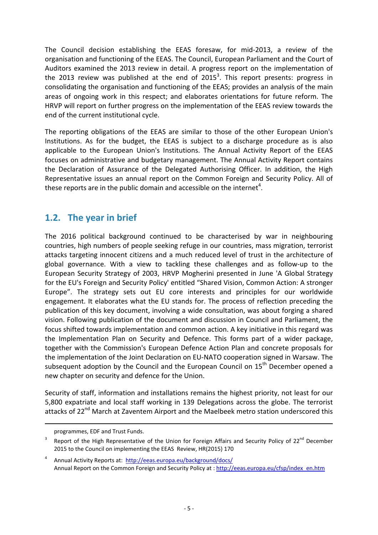The Council decision establishing the EEAS foresaw, for mid-2013, a review of the organisation and functioning of the EEAS. The Council, European Parliament and the Court of Auditors examined the 2013 review in detail. A progress report on the implementation of the 2013 review was published at the end of 2015<sup>3</sup>. This report presents: progress in consolidating the organisation and functioning of the EEAS; provides an analysis of the main areas of ongoing work in this respect; and elaborates orientations for future reform. The HRVP will report on further progress on the implementation of the EEAS review towards the end of the current institutional cycle.

The reporting obligations of the EEAS are similar to those of the other European Union's Institutions. As for the budget, the EEAS is subject to a discharge procedure as is also applicable to the European Union's Institutions. The Annual Activity Report of the EEAS focuses on administrative and budgetary management. The Annual Activity Report contains the Declaration of Assurance of the Delegated Authorising Officer. In addition, the High Representative issues an annual report on the Common Foreign and Security Policy. All of these reports are in the public domain and accessible on the internet<sup>4</sup>.

# **1.2. The year in brief**

The 2016 political background continued to be characterised by war in neighbouring countries, high numbers of people seeking refuge in our countries, mass migration, terrorist attacks targeting innocent citizens and a much reduced level of trust in the architecture of global governance. With a view to tackling these challenges and as follow-up to the European Security Strategy of 2003, HRVP Mogherini presented in June 'A Global Strategy for the EU's Foreign and Security Policy' entitled "Shared Vision, Common Action: A stronger Europe". The strategy sets out EU core interests and principles for our worldwide engagement. It elaborates what the EU stands for. The process of reflection preceding the publication of this key document, involving a wide consultation, was about forging a shared vision. Following publication of the document and discussion in Council and Parliament, the focus shifted towards implementation and common action. A key initiative in this regard was the Implementation Plan on Security and Defence. This forms part of a wider package, together with the Commission's European Defence Action Plan and concrete proposals for the implementation of the Joint Declaration on EU-NATO cooperation signed in Warsaw. The subsequent adoption by the Council and the European Council on 15<sup>th</sup> December opened a new chapter on security and defence for the Union.

Security of staff, information and installations remains the highest priority, not least for our 5,800 expatriate and local staff working in 139 Delegations across the globe. The terrorist attacks of 22<sup>nd</sup> March at Zaventem Airport and the Maelbeek metro station underscored this

<u>.</u>

programmes, EDF and Trust Funds.

<sup>3</sup> Report of the High Representative of the Union for Foreign Affairs and Security Policy of 22<sup>nd</sup> December 2015 to the Council on implementing the EEAS Review, HR(2015) 170

<sup>4</sup> Annual Activity Reports at: http://eeas.europa.eu/background/docs/ Annual Report on the Common Foreign and Security Policy at : http://eeas.europa.eu/cfsp/index\_en.htm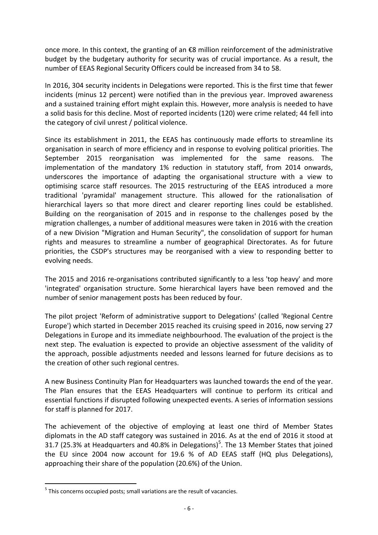once more. In this context, the granting of an €8 million reinforcement of the administrative budget by the budgetary authority for security was of crucial importance. As a result, the number of EEAS Regional Security Officers could be increased from 34 to 58.

In 2016, 304 security incidents in Delegations were reported. This is the first time that fewer incidents (minus 12 percent) were notified than in the previous year. Improved awareness and a sustained training effort might explain this. However, more analysis is needed to have a solid basis for this decline. Most of reported incidents (120) were crime related; 44 fell into the category of civil unrest / political violence.

Since its establishment in 2011, the EEAS has continuously made efforts to streamline its organisation in search of more efficiency and in response to evolving political priorities. The September 2015 reorganisation was implemented for the same reasons. The implementation of the mandatory 1% reduction in statutory staff, from 2014 onwards, underscores the importance of adapting the organisational structure with a view to optimising scarce staff resources. The 2015 restructuring of the EEAS introduced a more traditional 'pyramidal' management structure. This allowed for the rationalisation of hierarchical layers so that more direct and clearer reporting lines could be established. Building on the reorganisation of 2015 and in response to the challenges posed by the migration challenges, a number of additional measures were taken in 2016 with the creation of a new Division "Migration and Human Security", the consolidation of support for human rights and measures to streamline a number of geographical Directorates. As for future priorities, the CSDP's structures may be reorganised with a view to responding better to evolving needs.

The 2015 and 2016 re-organisations contributed significantly to a less 'top heavy' and more 'integrated' organisation structure. Some hierarchical layers have been removed and the number of senior management posts has been reduced by four.

The pilot project 'Reform of administrative support to Delegations' (called 'Regional Centre Europe') which started in December 2015 reached its cruising speed in 2016, now serving 27 Delegations in Europe and its immediate neighbourhood. The evaluation of the project is the next step. The evaluation is expected to provide an objective assessment of the validity of the approach, possible adjustments needed and lessons learned for future decisions as to the creation of other such regional centres.

A new Business Continuity Plan for Headquarters was launched towards the end of the year. The Plan ensures that the EEAS Headquarters will continue to perform its critical and essential functions if disrupted following unexpected events. A series of information sessions for staff is planned for 2017.

The achievement of the objective of employing at least one third of Member States diplomats in the AD staff category was sustained in 2016. As at the end of 2016 it stood at 31.7 (25.3% at Headquarters and 40.8% in Delegations)<sup>5</sup>. The 13 Member States that joined the EU since 2004 now account for 19.6 % of AD EEAS staff (HQ plus Delegations), approaching their share of the population (20.6%) of the Union.

<u>.</u>

<sup>&</sup>lt;sup>5</sup> This concerns occupied posts; small variations are the result of vacancies.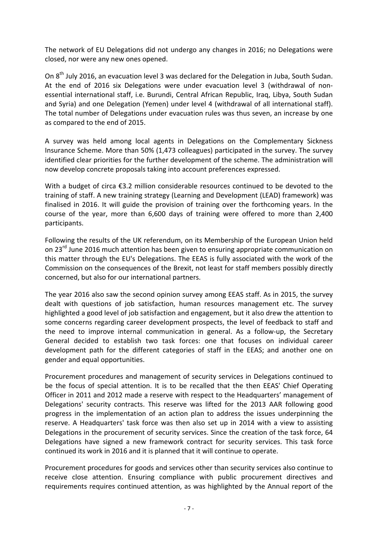The network of EU Delegations did not undergo any changes in 2016; no Delegations were closed, nor were any new ones opened.

On 8<sup>th</sup> July 2016, an evacuation level 3 was declared for the Delegation in Juba, South Sudan. At the end of 2016 six Delegations were under evacuation level 3 (withdrawal of nonessential international staff, i.e. Burundi, Central African Republic, Iraq, Libya, South Sudan and Syria) and one Delegation (Yemen) under level 4 (withdrawal of all international staff). The total number of Delegations under evacuation rules was thus seven, an increase by one as compared to the end of 2015.

A survey was held among local agents in Delegations on the Complementary Sickness Insurance Scheme. More than 50% (1,473 colleagues) participated in the survey. The survey identified clear priorities for the further development of the scheme. The administration will now develop concrete proposals taking into account preferences expressed.

With a budget of circa €3.2 million considerable resources continued to be devoted to the training of staff. A new training strategy (Learning and Development (LEAD) framework) was finalised in 2016. It will guide the provision of training over the forthcoming years. In the course of the year, more than 6,600 days of training were offered to more than 2,400 participants.

Following the results of the UK referendum, on its Membership of the European Union held on 23<sup>rd</sup> June 2016 much attention has been given to ensuring appropriate communication on this matter through the EU's Delegations. The EEAS is fully associated with the work of the Commission on the consequences of the Brexit, not least for staff members possibly directly concerned, but also for our international partners.

The year 2016 also saw the second opinion survey among EEAS staff. As in 2015, the survey dealt with questions of job satisfaction, human resources management etc. The survey highlighted a good level of job satisfaction and engagement, but it also drew the attention to some concerns regarding career development prospects, the level of feedback to staff and the need to improve internal communication in general. As a follow-up, the Secretary General decided to establish two task forces: one that focuses on individual career development path for the different categories of staff in the EEAS; and another one on gender and equal opportunities.

Procurement procedures and management of security services in Delegations continued to be the focus of special attention. It is to be recalled that the then EEAS' Chief Operating Officer in 2011 and 2012 made a reserve with respect to the Headquarters' management of Delegations' security contracts. This reserve was lifted for the 2013 AAR following good progress in the implementation of an action plan to address the issues underpinning the reserve. A Headquarters' task force was then also set up in 2014 with a view to assisting Delegations in the procurement of security services. Since the creation of the task force, 64 Delegations have signed a new framework contract for security services. This task force continued its work in 2016 and it is planned that it will continue to operate.

Procurement procedures for goods and services other than security services also continue to receive close attention. Ensuring compliance with public procurement directives and requirements requires continued attention, as was highlighted by the Annual report of the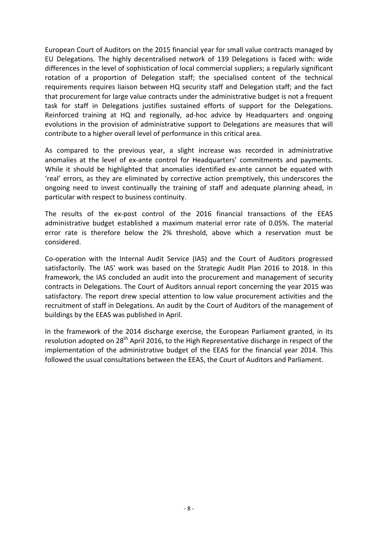European Court of Auditors on the 2015 financial year for small value contracts managed by EU Delegations. The highly decentralised network of 139 Delegations is faced with: wide differences in the level of sophistication of local commercial suppliers; a regularly significant rotation of a proportion of Delegation staff; the specialised content of the technical requirements requires liaison between HQ security staff and Delegation staff; and the fact that procurement for large value contracts under the administrative budget is not a frequent task for staff in Delegations justifies sustained efforts of support for the Delegations. Reinforced training at HQ and regionally, ad-hoc advice by Headquarters and ongoing evolutions in the provision of administrative support to Delegations are measures that will contribute to a higher overall level of performance in this critical area.

As compared to the previous year, a slight increase was recorded in administrative anomalies at the level of ex-ante control for Headquarters' commitments and payments. While it should be highlighted that anomalies identified ex-ante cannot be equated with 'real' errors, as they are eliminated by corrective action premptively, this underscores the ongoing need to invest continually the training of staff and adequate planning ahead, in particular with respect to business continuity.

The results of the ex-post control of the 2016 financial transactions of the EEAS administrative budget established a maximum material error rate of 0.05%. The material error rate is therefore below the 2% threshold, above which a reservation must be considered.

Co-operation with the Internal Audit Service (IAS) and the Court of Auditors progressed satisfactorily. The IAS' work was based on the Strategic Audit Plan 2016 to 2018. In this framework, the IAS concluded an audit into the procurement and management of security contracts in Delegations. The Court of Auditors annual report concerning the year 2015 was satisfactory. The report drew special attention to low value procurement activities and the recruitment of staff in Delegations. An audit by the Court of Auditors of the management of buildings by the EEAS was published in April.

In the framework of the 2014 discharge exercise, the European Parliament granted, in its resolution adopted on 28<sup>th</sup> April 2016, to the High Representative discharge in respect of the implementation of the administrative budget of the EEAS for the financial year 2014. This followed the usual consultations between the EEAS, the Court of Auditors and Parliament.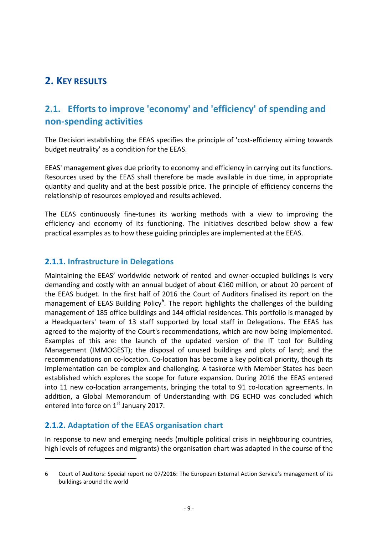# **2. KEY RESULTS**

# **2.1. Efforts to improve 'economy' and 'efficiency' of spending and non-spending activities**

The Decision establishing the EEAS specifies the principle of 'cost-efficiency aiming towards budget neutrality' as a condition for the EEAS.

EEAS' management gives due priority to economy and efficiency in carrying out its functions. Resources used by the EEAS shall therefore be made available in due time, in appropriate quantity and quality and at the best possible price. The principle of efficiency concerns the relationship of resources employed and results achieved.

The EEAS continuously fine-tunes its working methods with a view to improving the efficiency and economy of its functioning. The initiatives described below show a few practical examples as to how these guiding principles are implemented at the EEAS.

### **2.1.1. Infrastructure in Delegations**

Maintaining the EEAS' worldwide network of rented and owner-occupied buildings is very demanding and costly with an annual budget of about €160 million, or about 20 percent of the EEAS budget. In the first half of 2016 the Court of Auditors finalised its report on the management of EEAS Building Policy<sup>6</sup>. The report highlights the challenges of the building management of 185 office buildings and 144 official residences. This portfolio is managed by a Headquarters' team of 13 staff supported by local staff in Delegations. The EEAS has agreed to the majority of the Court's recommendations, which are now being implemented. Examples of this are: the launch of the updated version of the IT tool for Building Management (IMMOGEST); the disposal of unused buildings and plots of land; and the recommendations on co-location. Co-location has become a key political priority, though its implementation can be complex and challenging. A taskorce with Member States has been established which explores the scope for future expansion. During 2016 the EEAS entered into 11 new co-location arrangements, bringing the total to 91 co-location agreements. In addition, a Global Memorandum of Understanding with DG ECHO was concluded which entered into force on  $1<sup>st</sup>$  January 2017.

# **2.1.2. Adaptation of the EEAS organisation chart**

<u>.</u>

In response to new and emerging needs (multiple political crisis in neighbouring countries, high levels of refugees and migrants) the organisation chart was adapted in the course of the

<sup>6</sup> Court of Auditors: Special report no 07/2016: The European External Action Service's management of its buildings around the world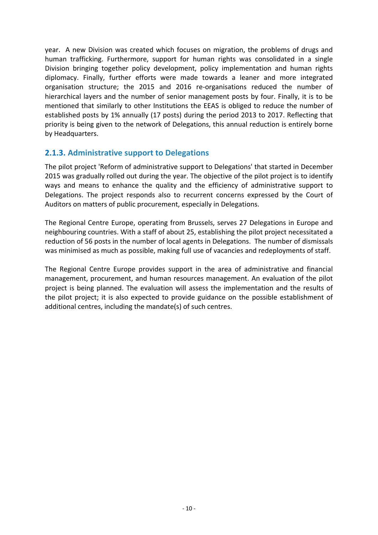year. A new Division was created which focuses on migration, the problems of drugs and human trafficking. Furthermore, support for human rights was consolidated in a single Division bringing together policy development, policy implementation and human rights diplomacy. Finally, further efforts were made towards a leaner and more integrated organisation structure; the 2015 and 2016 re-organisations reduced the number of hierarchical layers and the number of senior management posts by four. Finally, it is to be mentioned that similarly to other Institutions the EEAS is obliged to reduce the number of established posts by 1% annually (17 posts) during the period 2013 to 2017. Reflecting that priority is being given to the network of Delegations, this annual reduction is entirely borne by Headquarters.

# **2.1.3. Administrative support to Delegations**

The pilot project 'Reform of administrative support to Delegations' that started in December 2015 was gradually rolled out during the year. The objective of the pilot project is to identify ways and means to enhance the quality and the efficiency of administrative support to Delegations. The project responds also to recurrent concerns expressed by the Court of Auditors on matters of public procurement, especially in Delegations.

The Regional Centre Europe, operating from Brussels, serves 27 Delegations in Europe and neighbouring countries. With a staff of about 25, establishing the pilot project necessitated a reduction of 56 posts in the number of local agents in Delegations. The number of dismissals was minimised as much as possible, making full use of vacancies and redeployments of staff.

The Regional Centre Europe provides support in the area of administrative and financial management, procurement, and human resources management. An evaluation of the pilot project is being planned. The evaluation will assess the implementation and the results of the pilot project; it is also expected to provide guidance on the possible establishment of additional centres, including the mandate(s) of such centres.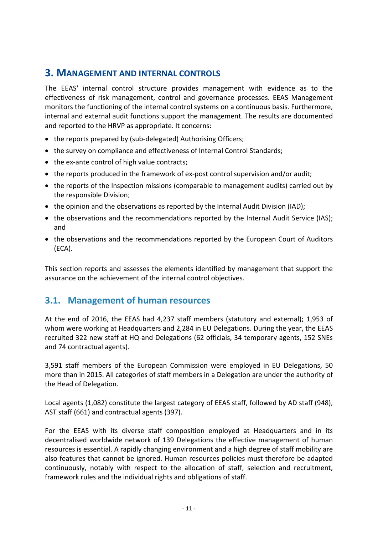# **3. MANAGEMENT AND INTERNAL CONTROLS**

The EEAS' internal control structure provides management with evidence as to the effectiveness of risk management, control and governance processes. EEAS Management monitors the functioning of the internal control systems on a continuous basis. Furthermore, internal and external audit functions support the management. The results are documented and reported to the HRVP as appropriate. It concerns:

- the reports prepared by (sub-delegated) Authorising Officers;
- the survey on compliance and effectiveness of Internal Control Standards;
- the ex-ante control of high value contracts;
- the reports produced in the framework of ex-post control supervision and/or audit;
- the reports of the Inspection missions (comparable to management audits) carried out by the responsible Division;
- the opinion and the observations as reported by the Internal Audit Division (IAD);
- the observations and the recommendations reported by the Internal Audit Service (IAS); and
- the observations and the recommendations reported by the European Court of Auditors (ECA).

This section reports and assesses the elements identified by management that support the assurance on the achievement of the internal control objectives.

# **3.1. Management of human resources**

At the end of 2016, the EEAS had 4,237 staff members (statutory and external); 1,953 of whom were working at Headquarters and 2,284 in EU Delegations. During the year, the EEAS recruited 322 new staff at HQ and Delegations (62 officials, 34 temporary agents, 152 SNEs and 74 contractual agents).

3,591 staff members of the European Commission were employed in EU Delegations, 50 more than in 2015. All categories of staff members in a Delegation are under the authority of the Head of Delegation.

Local agents (1,082) constitute the largest category of EEAS staff, followed by AD staff (948), AST staff (661) and contractual agents (397).

For the EEAS with its diverse staff composition employed at Headquarters and in its decentralised worldwide network of 139 Delegations the effective management of human resources is essential. A rapidly changing environment and a high degree of staff mobility are also features that cannot be ignored. Human resources policies must therefore be adapted continuously, notably with respect to the allocation of staff, selection and recruitment, framework rules and the individual rights and obligations of staff.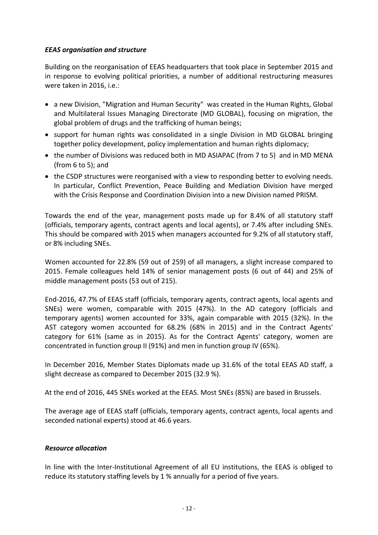#### *EEAS organisation and structure*

Building on the reorganisation of EEAS headquarters that took place in September 2015 and in response to evolving political priorities, a number of additional restructuring measures were taken in 2016, i.e.:

- a new Division, "Migration and Human Security" was created in the Human Rights, Global and Multilateral Issues Managing Directorate (MD GLOBAL), focusing on migration, the global problem of drugs and the trafficking of human beings;
- support for human rights was consolidated in a single Division in MD GLOBAL bringing together policy development, policy implementation and human rights diplomacy;
- the number of Divisions was reduced both in MD ASIAPAC (from 7 to 5) and in MD MENA (from 6 to 5); and
- the CSDP structures were reorganised with a view to responding better to evolving needs. In particular, Conflict Prevention, Peace Building and Mediation Division have merged with the Crisis Response and Coordination Division into a new Division named PRISM.

Towards the end of the year, management posts made up for 8.4% of all statutory staff (officials, temporary agents, contract agents and local agents), or 7.4% after including SNEs. This should be compared with 2015 when managers accounted for 9.2% of all statutory staff, or 8% including SNEs.

Women accounted for 22.8% (59 out of 259) of all managers, a slight increase compared to 2015. Female colleagues held 14% of senior management posts (6 out of 44) and 25% of middle management posts (53 out of 215).

End-2016, 47.7% of EEAS staff (officials, temporary agents, contract agents, local agents and SNEs) were women, comparable with 2015 (47%). In the AD category (officials and temporary agents) women accounted for 33%, again comparable with 2015 (32%). In the AST category women accounted for 68.2% (68% in 2015) and in the Contract Agents' category for 61% (same as in 2015). As for the Contract Agents' category, women are concentrated in function group II (91%) and men in function group IV (65%).

In December 2016, Member States Diplomats made up 31.6% of the total EEAS AD staff, a slight decrease as compared to December 2015 (32.9 %).

At the end of 2016, 445 SNEs worked at the EEAS. Most SNEs (85%) are based in Brussels.

The average age of EEAS staff (officials, temporary agents, contract agents, local agents and seconded national experts) stood at 46.6 years.

#### *Resource allocation*

In line with the Inter-Institutional Agreement of all EU institutions, the EEAS is obliged to reduce its statutory staffing levels by 1 % annually for a period of five years.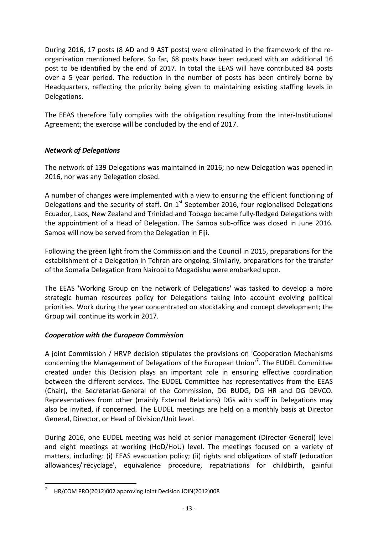During 2016, 17 posts (8 AD and 9 AST posts) were eliminated in the framework of the reorganisation mentioned before. So far, 68 posts have been reduced with an additional 16 post to be identified by the end of 2017. In total the EEAS will have contributed 84 posts over a 5 year period. The reduction in the number of posts has been entirely borne by Headquarters, reflecting the priority being given to maintaining existing staffing levels in Delegations.

The EEAS therefore fully complies with the obligation resulting from the Inter-Institutional Agreement; the exercise will be concluded by the end of 2017.

#### *Network of Delegations*

The network of 139 Delegations was maintained in 2016; no new Delegation was opened in 2016, nor was any Delegation closed.

A number of changes were implemented with a view to ensuring the efficient functioning of Delegations and the security of staff. On  $1<sup>st</sup>$  September 2016, four regionalised Delegations Ecuador, Laos, New Zealand and Trinidad and Tobago became fully-fledged Delegations with the appointment of a Head of Delegation. The Samoa sub-office was closed in June 2016. Samoa will now be served from the Delegation in Fiji.

Following the green light from the Commission and the Council in 2015, preparations for the establishment of a Delegation in Tehran are ongoing. Similarly, preparations for the transfer of the Somalia Delegation from Nairobi to Mogadishu were embarked upon.

The EEAS 'Working Group on the network of Delegations' was tasked to develop a more strategic human resources policy for Delegations taking into account evolving political priorities. Work during the year concentrated on stocktaking and concept development; the Group will continue its work in 2017.

#### *Cooperation with the European Commission*

A joint Commission / HRVP decision stipulates the provisions on 'Cooperation Mechanisms concerning the Management of Delegations of the European Union<sup>17</sup>. The EUDEL Committee created under this Decision plays an important role in ensuring effective coordination between the different services. The EUDEL Committee has representatives from the EEAS (Chair), the Secretariat-General of the Commission, DG BUDG, DG HR and DG DEVCO. Representatives from other (mainly External Relations) DGs with staff in Delegations may also be invited, if concerned. The EUDEL meetings are held on a monthly basis at Director General, Director, or Head of Division/Unit level.

During 2016, one EUDEL meeting was held at senior management (Director General) level and eight meetings at working (HoD/HoU) level. The meetings focused on a variety of matters, including: (i) EEAS evacuation policy; (ii) rights and obligations of staff (education allowances/'recyclage', equivalence procedure, repatriations for childbirth, gainful

<sup>&</sup>lt;u>.</u> 7 HR/COM PRO(2012)002 approving Joint Decision JOIN(2012)008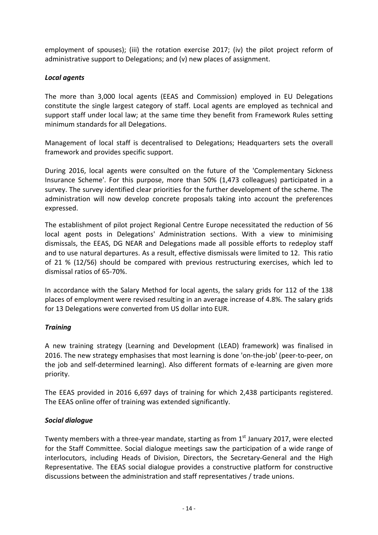employment of spouses); (iii) the rotation exercise 2017; (iv) the pilot project reform of administrative support to Delegations; and (v) new places of assignment.

#### *Local agents*

The more than 3,000 local agents (EEAS and Commission) employed in EU Delegations constitute the single largest category of staff. Local agents are employed as technical and support staff under local law; at the same time they benefit from Framework Rules setting minimum standards for all Delegations.

Management of local staff is decentralised to Delegations; Headquarters sets the overall framework and provides specific support.

During 2016, local agents were consulted on the future of the 'Complementary Sickness Insurance Scheme'. For this purpose, more than 50% (1,473 colleagues) participated in a survey. The survey identified clear priorities for the further development of the scheme. The administration will now develop concrete proposals taking into account the preferences expressed.

The establishment of pilot project Regional Centre Europe necessitated the reduction of 56 local agent posts in Delegations' Administration sections. With a view to minimising dismissals, the EEAS, DG NEAR and Delegations made all possible efforts to redeploy staff and to use natural departures. As a result, effective dismissals were limited to 12. This ratio of 21 % (12/56) should be compared with previous restructuring exercises, which led to dismissal ratios of 65-70%.

In accordance with the Salary Method for local agents, the salary grids for 112 of the 138 places of employment were revised resulting in an average increase of 4.8%. The salary grids for 13 Delegations were converted from US dollar into EUR.

#### *Training*

A new training strategy (Learning and Development (LEAD) framework) was finalised in 2016. The new strategy emphasises that most learning is done 'on-the-job' (peer-to-peer, on the job and self-determined learning). Also different formats of e-learning are given more priority.

The EEAS provided in 2016 6,697 days of training for which 2,438 participants registered. The EEAS online offer of training was extended significantly.

#### *Social dialogue*

Twenty members with a three-year mandate, starting as from  $1<sup>st</sup>$  January 2017, were elected for the Staff Committee. Social dialogue meetings saw the participation of a wide range of interlocutors, including Heads of Division, Directors, the Secretary-General and the High Representative. The EEAS social dialogue provides a constructive platform for constructive discussions between the administration and staff representatives / trade unions.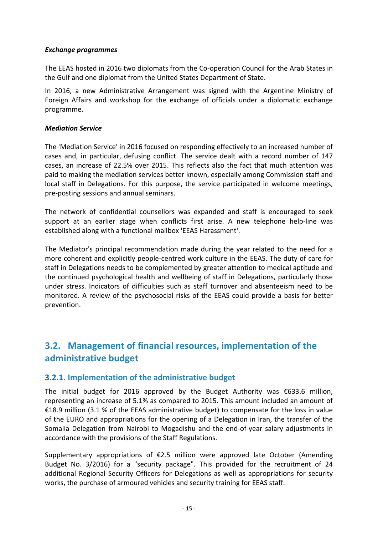#### *Exchange programmes*

The EEAS hosted in 2016 two diplomats from the Co-operation Council for the Arab States in the Gulf and one diplomat from the United States Department of State.

In 2016, a new Administrative Arrangement was signed with the Argentine Ministry of Foreign Affairs and workshop for the exchange of officials under a diplomatic exchange programme.

#### *Mediation Service*

The 'Mediation Service' in 2016 focused on responding effectively to an increased number of cases and, in particular, defusing conflict. The service dealt with a record number of 147 cases, an increase of 22.5% over 2015. This reflects also the fact that much attention was paid to making the mediation services better known, especially among Commission staff and local staff in Delegations. For this purpose, the service participated in welcome meetings, pre-posting sessions and annual seminars.

The network of confidential counsellors was expanded and staff is encouraged to seek support at an earlier stage when conflicts first arise. A new telephone help-line was established along with a functional mailbox 'EEAS Harassment'.

The Mediator's principal recommendation made during the year related to the need for a more coherent and explicitly people-centred work culture in the EEAS. The duty of care for staff in Delegations needs to be complemented by greater attention to medical aptitude and the continued psychological health and wellbeing of staff in Delegations, particularly those under stress. Indicators of difficulties such as staff turnover and absenteeism need to be monitored. A review of the psychosocial risks of the EEAS could provide a basis for better prevention.

# **3.2. Management of financial resources, implementation of the administrative budget**

#### **3.2.1. Implementation of the administrative budget**

The initial budget for 2016 approved by the Budget Authority was  $\epsilon$ 633.6 million, representing an increase of 5.1% as compared to 2015. This amount included an amount of €18.9 million (3.1 % of the EEAS administrative budget) to compensate for the loss in value of the EURO and appropriations for the opening of a Delegation in Iran, the transfer of the Somalia Delegation from Nairobi to Mogadishu and the end-of-year salary adjustments in accordance with the provisions of the Staff Regulations.

Supplementary appropriations of €2.5 million were approved late October (Amending Budget No. 3/2016) for a "security package". This provided for the recruitment of 24 additional Regional Security Officers for Delegations as well as appropriations for security works, the purchase of armoured vehicles and security training for EEAS staff.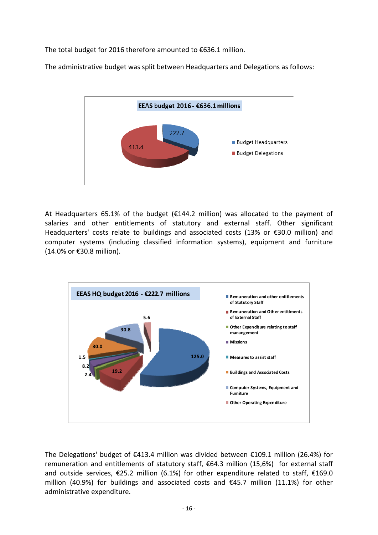The total budget for 2016 therefore amounted to €636.1 million.

The administrative budget was split between Headquarters and Delegations as follows:



At Headquarters 65.1% of the budget ( $\epsilon$ 144.2 million) was allocated to the payment of salaries and other entitlements of statutory and external staff. Other significant Headquarters' costs relate to buildings and associated costs (13% or €30.0 million) and computer systems (including classified information systems), equipment and furniture (14.0% or €30.8 million).



The Delegations' budget of €413.4 million was divided between €109.1 million (26.4%) for remuneration and entitlements of statutory staff, €64.3 million (15,6%) for external staff and outside services,  $\epsilon$ 25.2 million (6.1%) for other expenditure related to staff,  $\epsilon$ 169.0 million (40.9%) for buildings and associated costs and €45.7 million (11.1%) for other administrative expenditure.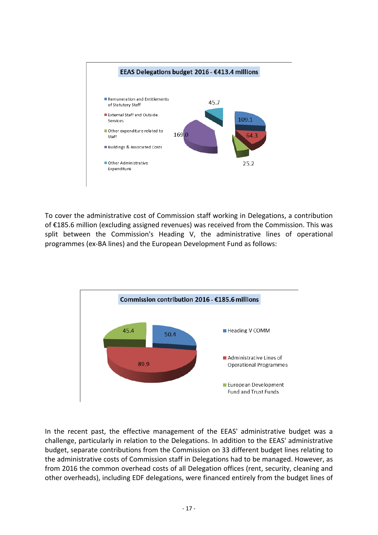

To cover the administrative cost of Commission staff working in Delegations, a contribution of €185.6 million (excluding assigned revenues) was received from the Commission. This was split between the Commission's Heading V, the administrative lines of operational programmes (ex-BA lines) and the European Development Fund as follows:



In the recent past, the effective management of the EEAS' administrative budget was a challenge, particularly in relation to the Delegations. In addition to the EEAS' administrative budget, separate contributions from the Commission on 33 different budget lines relating to the administrative costs of Commission staff in Delegations had to be managed. However, as from 2016 the common overhead costs of all Delegation offices (rent, security, cleaning and other overheads), including EDF delegations, were financed entirely from the budget lines of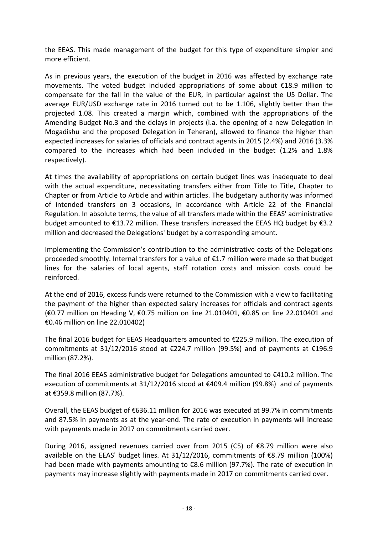the EEAS. This made management of the budget for this type of expenditure simpler and more efficient.

As in previous years, the execution of the budget in 2016 was affected by exchange rate movements. The voted budget included appropriations of some about €18.9 million to compensate for the fall in the value of the EUR, in particular against the US Dollar. The average EUR/USD exchange rate in 2016 turned out to be 1.106, slightly better than the projected 1.08. This created a margin which, combined with the appropriations of the Amending Budget No.3 and the delays in projects (i.a. the opening of a new Delegation in Mogadishu and the proposed Delegation in Teheran), allowed to finance the higher than expected increases for salaries of officials and contract agents in 2015 (2.4%) and 2016 (3.3% compared to the increases which had been included in the budget (1.2% and 1.8% respectively).

At times the availability of appropriations on certain budget lines was inadequate to deal with the actual expenditure, necessitating transfers either from Title to Title, Chapter to Chapter or from Article to Article and within articles. The budgetary authority was informed of intended transfers on 3 occasions, in accordance with Article 22 of the Financial Regulation. In absolute terms, the value of all transfers made within the EEAS' administrative budget amounted to  $\epsilon$ 13.72 million. These transfers increased the EEAS HQ budget by  $\epsilon$ 3.2 million and decreased the Delegations' budget by a corresponding amount.

Implementing the Commission's contribution to the administrative costs of the Delegations proceeded smoothly. Internal transfers for a value of €1.7 million were made so that budget lines for the salaries of local agents, staff rotation costs and mission costs could be reinforced.

At the end of 2016, excess funds were returned to the Commission with a view to facilitating the payment of the higher than expected salary increases for officials and contract agents (€0.77 million on Heading V, €0.75 million on line 21.010401, €0.85 on line 22.010401 and €0.46 million on line 22.010402)

The final 2016 budget for EEAS Headquarters amounted to €225.9 million. The execution of commitments at 31/12/2016 stood at €224.7 million (99.5%) and of payments at €196.9 million (87.2%).

The final 2016 EEAS administrative budget for Delegations amounted to €410.2 million. The execution of commitments at 31/12/2016 stood at €409.4 million (99.8%) and of payments at €359.8 million (87.7%).

Overall, the EEAS budget of €636.11 million for 2016 was executed at 99.7% in commitments and 87.5% in payments as at the year-end. The rate of execution in payments will increase with payments made in 2017 on commitments carried over.

During 2016, assigned revenues carried over from 2015 (C5) of €8.79 million were also available on the EEAS' budget lines. At 31/12/2016, commitments of €8.79 million (100%) had been made with payments amounting to €8.6 million (97.7%). The rate of execution in payments may increase slightly with payments made in 2017 on commitments carried over.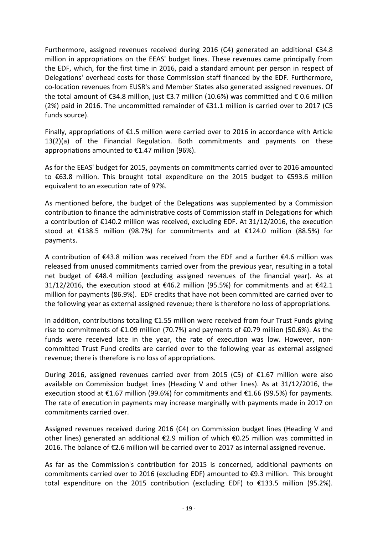Furthermore, assigned revenues received during 2016 (C4) generated an additional €34.8 million in appropriations on the EEAS' budget lines. These revenues came principally from the EDF, which, for the first time in 2016, paid a standard amount per person in respect of Delegations' overhead costs for those Commission staff financed by the EDF. Furthermore, co-location revenues from EUSR's and Member States also generated assigned revenues. Of the total amount of  $\epsilon$ 34.8 million, just  $\epsilon$ 3.7 million (10.6%) was committed and  $\epsilon$  0.6 million (2%) paid in 2016. The uncommitted remainder of  $\epsilon$ 31.1 million is carried over to 2017 (C5 funds source).

Finally, appropriations of €1.5 million were carried over to 2016 in accordance with Article 13(2)(a) of the Financial Regulation. Both commitments and payments on these appropriations amounted to €1.47 million (96%).

As for the EEAS' budget for 2015, payments on commitments carried over to 2016 amounted to €63.8 million. This brought total expenditure on the 2015 budget to €593.6 million equivalent to an execution rate of 97%.

As mentioned before, the budget of the Delegations was supplemented by a Commission contribution to finance the administrative costs of Commission staff in Delegations for which a contribution of €140.2 million was received, excluding EDF. At 31/12/2016, the execution stood at €138.5 million (98.7%) for commitments and at €124.0 million (88.5%) for payments.

A contribution of €43.8 million was received from the EDF and a further €4.6 million was released from unused commitments carried over from the previous year, resulting in a total net budget of €48.4 million (excluding assigned revenues of the financial year). As at 31/12/2016, the execution stood at  $\epsilon$ 46.2 million (95.5%) for commitments and at  $\epsilon$ 42.1 million for payments (86.9%). EDF credits that have not been committed are carried over to the following year as external assigned revenue; there is therefore no loss of appropriations.

In addition, contributions totalling €1.55 million were received from four Trust Funds giving rise to commitments of €1.09 million (70.7%) and payments of €0.79 million (50.6%). As the funds were received late in the year, the rate of execution was low. However, noncommitted Trust Fund credits are carried over to the following year as external assigned revenue; there is therefore is no loss of appropriations.

During 2016, assigned revenues carried over from 2015 (C5) of €1.67 million were also available on Commission budget lines (Heading V and other lines). As at 31/12/2016, the execution stood at €1.67 million (99.6%) for commitments and €1.66 (99.5%) for payments. The rate of execution in payments may increase marginally with payments made in 2017 on commitments carried over.

Assigned revenues received during 2016 (C4) on Commission budget lines (Heading V and other lines) generated an additional €2.9 million of which €0.25 million was committed in 2016. The balance of €2.6 million will be carried over to 2017 as internal assigned revenue.

As far as the Commission's contribution for 2015 is concerned, additional payments on commitments carried over to 2016 (excluding EDF) amounted to €9.3 million. This brought total expenditure on the 2015 contribution (excluding EDF) to  $£133.5$  million (95.2%).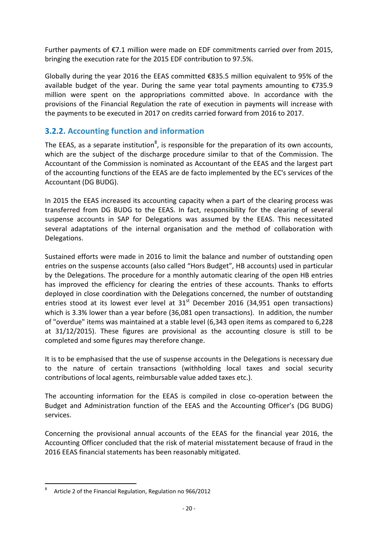Further payments of €7.1 million were made on EDF commitments carried over from 2015, bringing the execution rate for the 2015 EDF contribution to 97.5%.

Globally during the year 2016 the EEAS committed €835.5 million equivalent to 95% of the available budget of the year. During the same year total payments amounting to €735.9 million were spent on the appropriations committed above. In accordance with the provisions of the Financial Regulation the rate of execution in payments will increase with the payments to be executed in 2017 on credits carried forward from 2016 to 2017.

### **3.2.2. Accounting function and information**

The EEAS, as a separate institution<sup>8</sup>, is responsible for the preparation of its own accounts, which are the subject of the discharge procedure similar to that of the Commission. The Accountant of the Commission is nominated as Accountant of the EEAS and the largest part of the accounting functions of the EEAS are de facto implemented by the EC's services of the Accountant (DG BUDG).

In 2015 the EEAS increased its accounting capacity when a part of the clearing process was transferred from DG BUDG to the EEAS. In fact, responsibility for the clearing of several suspense accounts in SAP for Delegations was assumed by the EEAS. This necessitated several adaptations of the internal organisation and the method of collaboration with Delegations.

Sustained efforts were made in 2016 to limit the balance and number of outstanding open entries on the suspense accounts (also called "Hors Budget", HB accounts) used in particular by the Delegations. The procedure for a monthly automatic clearing of the open HB entries has improved the efficiency for clearing the entries of these accounts. Thanks to efforts deployed in close coordination with the Delegations concerned, the number of outstanding entries stood at its lowest ever level at  $31<sup>st</sup>$  December 2016 (34,951 open transactions) which is 3.3% lower than a year before (36,081 open transactions). In addition, the number of "overdue" items was maintained at a stable level (6,343 open items as compared to 6,228 at 31/12/2015). These figures are provisional as the accounting closure is still to be completed and some figures may therefore change.

It is to be emphasised that the use of suspense accounts in the Delegations is necessary due to the nature of certain transactions (withholding local taxes and social security contributions of local agents, reimbursable value added taxes etc.).

The accounting information for the EEAS is compiled in close co-operation between the Budget and Administration function of the EEAS and the Accounting Officer's (DG BUDG) services.

Concerning the provisional annual accounts of the EEAS for the financial year 2016, the Accounting Officer concluded that the risk of material misstatement because of fraud in the 2016 EEAS financial statements has been reasonably mitigated.

<sup>&</sup>lt;u>.</u> 8 Article 2 of the Financial Regulation, Regulation no 966/2012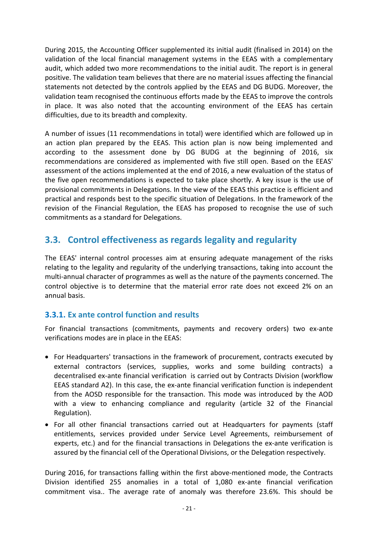During 2015, the Accounting Officer supplemented its initial audit (finalised in 2014) on the validation of the local financial management systems in the EEAS with a complementary audit, which added two more recommendations to the initial audit. The report is in general positive. The validation team believes that there are no material issues affecting the financial statements not detected by the controls applied by the EEAS and DG BUDG. Moreover, the validation team recognised the continuous efforts made by the EEAS to improve the controls in place. It was also noted that the accounting environment of the EEAS has certain difficulties, due to its breadth and complexity.

A number of issues (11 recommendations in total) were identified which are followed up in an action plan prepared by the EEAS. This action plan is now being implemented and according to the assessment done by DG BUDG at the beginning of 2016, six recommendations are considered as implemented with five still open. Based on the EEAS' assessment of the actions implemented at the end of 2016, a new evaluation of the status of the five open recommendations is expected to take place shortly. A key issue is the use of provisional commitments in Delegations. In the view of the EEAS this practice is efficient and practical and responds best to the specific situation of Delegations. In the framework of the revision of the Financial Regulation, the EEAS has proposed to recognise the use of such commitments as a standard for Delegations.

# **3.3. Control effectiveness as regards legality and regularity**

The EEAS' internal control processes aim at ensuring adequate management of the risks relating to the legality and regularity of the underlying transactions, taking into account the multi-annual character of programmes as well as the nature of the payments concerned. The control objective is to determine that the material error rate does not exceed 2% on an annual basis.

# **3.3.1. Ex ante control function and results**

For financial transactions (commitments, payments and recovery orders) two ex-ante verifications modes are in place in the EEAS:

- For Headquarters' transactions in the framework of procurement, contracts executed by external contractors (services, supplies, works and some building contracts) a decentralised ex-ante financial verification is carried out by Contracts Division (workflow EEAS standard A2). In this case, the ex-ante financial verification function is independent from the AOSD responsible for the transaction. This mode was introduced by the AOD with a view to enhancing compliance and regularity (article 32 of the Financial Regulation).
- For all other financial transactions carried out at Headquarters for payments (staff entitlements, services provided under Service Level Agreements, reimbursement of experts, etc.) and for the financial transactions in Delegations the ex-ante verification is assured by the financial cell of the Operational Divisions, or the Delegation respectively.

During 2016, for transactions falling within the first above-mentioned mode, the Contracts Division identified 255 anomalies in a total of 1,080 ex-ante financial verification commitment visa.. The average rate of anomaly was therefore 23.6%. This should be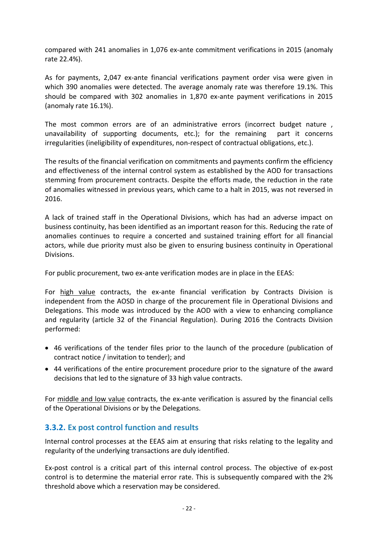compared with 241 anomalies in 1,076 ex-ante commitment verifications in 2015 (anomaly rate 22.4%).

As for payments, 2,047 ex-ante financial verifications payment order visa were given in which 390 anomalies were detected. The average anomaly rate was therefore 19.1%. This should be compared with 302 anomalies in 1,870 ex-ante payment verifications in 2015 (anomaly rate 16.1%).

The most common errors are of an administrative errors (incorrect budget nature , unavailability of supporting documents, etc.); for the remaining part it concerns irregularities (ineligibility of expenditures, non-respect of contractual obligations, etc.).

The results of the financial verification on commitments and payments confirm the efficiency and effectiveness of the internal control system as established by the AOD for transactions stemming from procurement contracts. Despite the efforts made, the reduction in the rate of anomalies witnessed in previous years, which came to a halt in 2015, was not reversed in 2016.

A lack of trained staff in the Operational Divisions, which has had an adverse impact on business continuity, has been identified as an important reason for this. Reducing the rate of anomalies continues to require a concerted and sustained training effort for all financial actors, while due priority must also be given to ensuring business continuity in Operational Divisions.

For public procurement, two ex-ante verification modes are in place in the EEAS:

For high value contracts, the ex-ante financial verification by Contracts Division is independent from the AOSD in charge of the procurement file in Operational Divisions and Delegations. This mode was introduced by the AOD with a view to enhancing compliance and regularity (article 32 of the Financial Regulation). During 2016 the Contracts Division performed:

- 46 verifications of the tender files prior to the launch of the procedure (publication of contract notice / invitation to tender); and
- 44 verifications of the entire procurement procedure prior to the signature of the award decisions that led to the signature of 33 high value contracts.

For middle and low value contracts, the ex-ante verification is assured by the financial cells of the Operational Divisions or by the Delegations.

# **3.3.2. Ex post control function and results**

Internal control processes at the EEAS aim at ensuring that risks relating to the legality and regularity of the underlying transactions are duly identified.

Ex-post control is a critical part of this internal control process. The objective of ex-post control is to determine the material error rate. This is subsequently compared with the 2% threshold above which a reservation may be considered.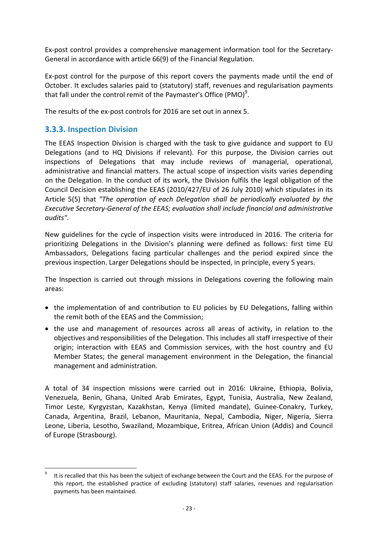Ex-post control provides a comprehensive management information tool for the Secretary-General in accordance with article 66(9) of the Financial Regulation.

Ex-post control for the purpose of this report covers the payments made until the end of October. It excludes salaries paid to (statutory) staff, revenues and regularisation payments that fall under the control remit of the Paymaster's Office (PMO)<sup>9</sup>.

The results of the ex-post controls for 2016 are set out in annex 5.

### **3.3.3. Inspection Division**

The EEAS Inspection Division is charged with the task to give guidance and support to EU Delegations (and to HQ Divisions if relevant). For this purpose, the Division carries out inspections of Delegations that may include reviews of managerial, operational, administrative and financial matters. The actual scope of inspection visits varies depending on the Delegation. In the conduct of its work, the Division fulfils the legal obligation of the Council Decision establishing the EEAS (2010/427/EU of 26 July 2010) which stipulates in its Article 5(5) that *"The operation of each Delegation shall be periodically evaluated by the Executive Secretary-General of the EEAS; evaluation shall include financial and administrative audits".* 

New guidelines for the cycle of inspection visits were introduced in 2016. The criteria for prioritizing Delegations in the Division's planning were defined as follows: first time EU Ambassadors, Delegations facing particular challenges and the period expired since the previous inspection. Larger Delegations should be inspected, in principle, every 5 years.

The Inspection is carried out through missions in Delegations covering the following main areas:

- the implementation of and contribution to EU policies by EU Delegations, falling within the remit both of the EEAS and the Commission;
- the use and management of resources across all areas of activity, in relation to the objectives and responsibilities of the Delegation. This includes all staff irrespective of their origin; interaction with EEAS and Commission services, with the host country and EU Member States; the general management environment in the Delegation, the financial management and administration.

A total of 34 inspection missions were carried out in 2016: Ukraine, Ethiopia, Bolivia, Venezuela, Benin, Ghana, United Arab Emirates, Egypt, Tunisia, Australia, New Zealand, Timor Leste, Kyrgyzstan, Kazakhstan, Kenya (limited mandate), Guinee-Conakry, Turkey, Canada, Argentina, Brazil, Lebanon, Mauritania, Nepal, Cambodia, Niger, Nigeria, Sierra Leone, Liberia, Lesotho, Swaziland, Mozambique, Eritrea, African Union (Addis) and Council of Europe (Strasbourg).

<sup>&</sup>lt;u>.</u> 9 It is recalled that this has been the subject of exchange between the Court and the EEAS. For the purpose of this report, the established practice of excluding (statutory) staff salaries, revenues and regularisation payments has been maintained.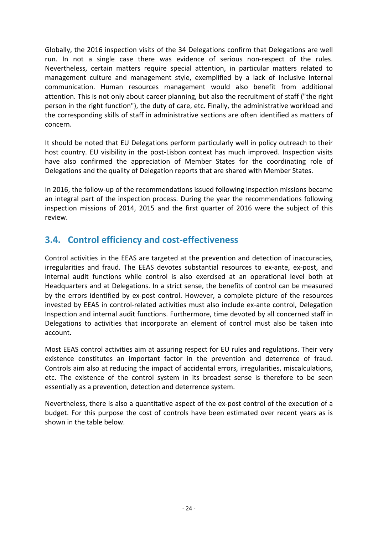Globally, the 2016 inspection visits of the 34 Delegations confirm that Delegations are well run. In not a single case there was evidence of serious non-respect of the rules. Nevertheless, certain matters require special attention, in particular matters related to management culture and management style, exemplified by a lack of inclusive internal communication. Human resources management would also benefit from additional attention. This is not only about career planning, but also the recruitment of staff ("the right person in the right function"), the duty of care, etc. Finally, the administrative workload and the corresponding skills of staff in administrative sections are often identified as matters of concern.

It should be noted that EU Delegations perform particularly well in policy outreach to their host country. EU visibility in the post-Lisbon context has much improved. Inspection visits have also confirmed the appreciation of Member States for the coordinating role of Delegations and the quality of Delegation reports that are shared with Member States.

In 2016, the follow-up of the recommendations issued following inspection missions became an integral part of the inspection process. During the year the recommendations following inspection missions of 2014, 2015 and the first quarter of 2016 were the subject of this review.

# **3.4. Control efficiency and cost-effectiveness**

Control activities in the EEAS are targeted at the prevention and detection of inaccuracies, irregularities and fraud. The EEAS devotes substantial resources to ex-ante, ex-post, and internal audit functions while control is also exercised at an operational level both at Headquarters and at Delegations. In a strict sense, the benefits of control can be measured by the errors identified by ex-post control. However, a complete picture of the resources invested by EEAS in control-related activities must also include ex-ante control, Delegation Inspection and internal audit functions. Furthermore, time devoted by all concerned staff in Delegations to activities that incorporate an element of control must also be taken into account.

Most EEAS control activities aim at assuring respect for EU rules and regulations. Their very existence constitutes an important factor in the prevention and deterrence of fraud. Controls aim also at reducing the impact of accidental errors, irregularities, miscalculations, etc. The existence of the control system in its broadest sense is therefore to be seen essentially as a prevention, detection and deterrence system.

Nevertheless, there is also a quantitative aspect of the ex-post control of the execution of a budget. For this purpose the cost of controls have been estimated over recent years as is shown in the table below.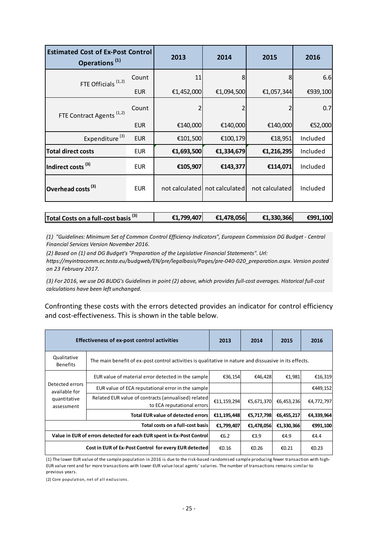| <b>Estimated Cost of Ex-Post Control</b><br>Operations <sup>(1)</sup> |            | 2013           | 2014           | 2015           | 2016     |
|-----------------------------------------------------------------------|------------|----------------|----------------|----------------|----------|
| FTE Officials <sup>(1,2)</sup>                                        | Count      | 11             | 8              | 8              | 6.6      |
|                                                                       | <b>EUR</b> | €1,452,000     | €1,094,500     | €1,057,344     | €939,100 |
| FTE Contract Agents <sup>(1,2)</sup>                                  | Count      |                |                |                | 0.7      |
|                                                                       | <b>EUR</b> | €140,000       | €140,000       | €140,000       | €52,000  |
| Expenditure <sup>(3)</sup>                                            | <b>EUR</b> | €101,500       | €100,179       | €18,951        | Included |
| <b>Total direct costs</b>                                             | <b>EUR</b> | €1,693,500     | €1,334,679     | €1,216,295     | Included |
| Indirect costs <sup>(3)</sup>                                         | <b>EUR</b> | €105,907       | €143,377       | €114,071       | Included |
| Overhead costs $^{(3)}$                                               | <b>EUR</b> | not calculated | not calculated | not calculated | Included |

| $ $ Total Costs on a full-cost basis $^{\left( 3\right) }$<br>€1,799,407 | €1,478,056 | €1,330,366 | €991,100 |
|--------------------------------------------------------------------------|------------|------------|----------|
|--------------------------------------------------------------------------|------------|------------|----------|

*(1) "Guidelines: Minimum Set of Common Control Efficiency Indicators", European Commission DG Budget - Central Financial Services Version November 2016.* 

*(2) Based on (1) and DG Budget's "Preparation of the Legislative Financial Statements". Url: https://myintracomm.ec.testa.eu/budgweb/EN/pre/legalbasis/Pages/pre-040-020\_preparation.aspx. Version posted on 23 February 2017.*

*(3) For 2016, we use DG BUDG's Guidelines in point (2) above, which provides full-cost averages. Historical full-cost calculations have been left unchanged.*

Confronting these costs with the errors detected provides an indicator for control efficiency and cost-effectiveness. This is shown in the table below.

| <b>Effectiveness of ex-post control activities</b>                                                                                       |                                                                                   | 2013        | 2014       | 2015       | 2016       |
|------------------------------------------------------------------------------------------------------------------------------------------|-----------------------------------------------------------------------------------|-------------|------------|------------|------------|
| Qualitative<br>The main benefit of ex-post control activities is qualitative in nature and dissuasive in its effects.<br><b>Benefits</b> |                                                                                   |             |            |            |            |
|                                                                                                                                          | EUR value of material error detected in the sample                                | €36,154     | €46,428    | €1,981     | €16,319    |
| Detected errors<br>available for                                                                                                         | EUR value of ECA reputational error in the sample                                 |             |            |            | €449,152   |
| quantitative<br>assessment                                                                                                               | Related EUR value of contracts (annualised) related<br>to ECA reputational errors | €11,159,294 | €5,671,370 | €6,453,236 | €4,772,797 |
|                                                                                                                                          | <b>Total EUR value of detected errors</b>                                         | €11,195,448 | €5,717,798 | €6,455,217 | €4,339,964 |
| Total costs on a full-cost basis                                                                                                         |                                                                                   | €1,799,407  | €1,478,056 | €1,330,366 | €991,100   |
| Value in EUR of errors detected for each EUR spent in Ex-Post Control                                                                    |                                                                                   | €6.2        | €3.9       | €4.9       | €4.4       |
| Cost in EUR of Ex-Post Control for every EUR detected                                                                                    |                                                                                   | €0.16       | €0.26      | €0.21      | €0.23      |

(1) The lower EUR value of the sample population in 2016 is due to the risk-based randomised sample producing fewer transaction with high-EUR value rent and far more transactions with lower-EUR value local agents' salaries. The number of transactions remains similar to previous years.

(2) Core population, net of all exclusions.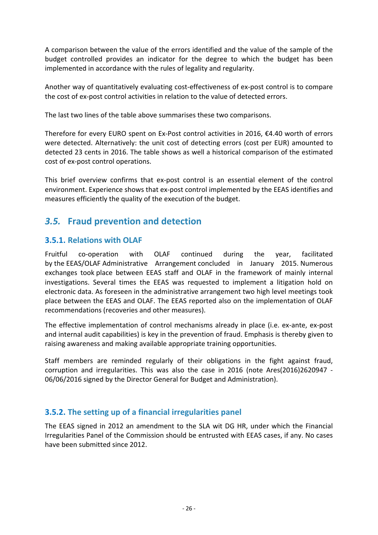A comparison between the value of the errors identified and the value of the sample of the budget controlled provides an indicator for the degree to which the budget has been implemented in accordance with the rules of legality and regularity.

Another way of quantitatively evaluating cost-effectiveness of ex-post control is to compare the cost of ex-post control activities in relation to the value of detected errors.

The last two lines of the table above summarises these two comparisons.

Therefore for every EURO spent on Ex-Post control activities in 2016, €4.40 worth of errors were detected. Alternatively: the unit cost of detecting errors (cost per EUR) amounted to detected 23 cents in 2016. The table shows as well a historical comparison of the estimated cost of ex-post control operations.

This brief overview confirms that ex-post control is an essential element of the control environment. Experience shows that ex-post control implemented by the EEAS identifies and measures efficiently the quality of the execution of the budget.

# *3.5.* **Fraud prevention and detection**

# **3.5.1. Relations with OLAF**

Fruitful co-operation with OLAF continued during the year, facilitated by the EEAS/OLAF Administrative Arrangement concluded in January 2015. Numerous exchanges took place between EEAS staff and OLAF in the framework of mainly internal investigations. Several times the EEAS was requested to implement a litigation hold on electronic data. As foreseen in the administrative arrangement two high level meetings took place between the EEAS and OLAF. The EEAS reported also on the implementation of OLAF recommendations (recoveries and other measures).

The effective implementation of control mechanisms already in place (i.e. ex-ante, ex-post and internal audit capabilities) is key in the prevention of fraud. Emphasis is thereby given to raising awareness and making available appropriate training opportunities.

Staff members are reminded regularly of their obligations in the fight against fraud, corruption and irregularities. This was also the case in 2016 (note Ares(2016)2620947 - 06/06/2016 signed by the Director General for Budget and Administration).

# **3.5.2. The setting up of a financial irregularities panel**

The EEAS signed in 2012 an amendment to the SLA wit DG HR, under which the Financial Irregularities Panel of the Commission should be entrusted with EEAS cases, if any. No cases have been submitted since 2012.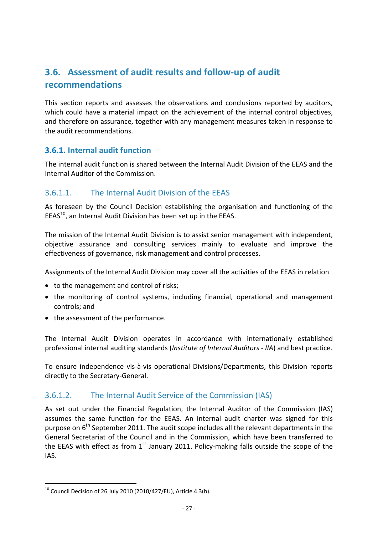# **3.6. Assessment of audit results and follow-up of audit recommendations**

This section reports and assesses the observations and conclusions reported by auditors, which could have a material impact on the achievement of the internal control objectives, and therefore on assurance, together with any management measures taken in response to the audit recommendations.

### **3.6.1. Internal audit function**

The internal audit function is shared between the Internal Audit Division of the EEAS and the Internal Auditor of the Commission.

# 3.6.1.1. The Internal Audit Division of the EEAS

As foreseen by the Council Decision establishing the organisation and functioning of the  $EEAS<sup>10</sup>$ , an Internal Audit Division has been set up in the EEAS.

The mission of the Internal Audit Division is to assist senior management with independent, objective assurance and consulting services mainly to evaluate and improve the effectiveness of governance, risk management and control processes.

Assignments of the Internal Audit Division may cover all the activities of the EEAS in relation

- to the management and control of risks;
- the monitoring of control systems, including financial, operational and management controls; and
- the assessment of the performance.

The Internal Audit Division operates in accordance with internationally established professional internal auditing standards (*Institute of Internal Auditors - IIA*) and best practice.

To ensure independence vis-à-vis operational Divisions/Departments, this Division reports directly to the Secretary-General.

# 3.6.1.2. The Internal Audit Service of the Commission (IAS)

As set out under the Financial Regulation, the Internal Auditor of the Commission (IAS) assumes the same function for the EEAS. An internal audit charter was signed for this purpose on 6<sup>th</sup> September 2011. The audit scope includes all the relevant departments in the General Secretariat of the Council and in the Commission, which have been transferred to the EEAS with effect as from  $1<sup>st</sup>$  January 2011. Policy-making falls outside the scope of the IAS.

<u>.</u>

 $^{10}$  Council Decision of 26 July 2010 (2010/427/EU), Article 4.3(b).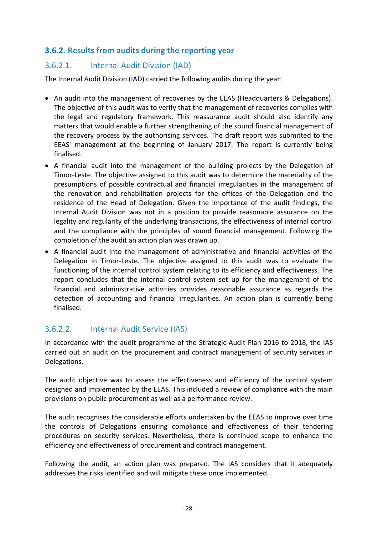# **3.6.2. Results from audits during the reporting year**

# 3.6.2.1. Internal Audit Division (IAD)

The Internal Audit Division (IAD) carried the following audits during the year:

- An audit into the management of recoveries by the EEAS (Headquarters & Delegations). The objective of this audit was to verify that the management of recoveries complies with the legal and regulatory framework. This reassurance audit should also identify any matters that would enable a further strengthening of the sound financial management of the recovery process by the authorising services. The draft report was submitted to the EEAS' management at the beginning of January 2017. The report is currently being finalised.
- A financial audit into the management of the building projects by the Delegation of Timor-Leste. The objective assigned to this audit was to determine the materiality of the presumptions of possible contractual and financial irregularities in the management of the renovation and rehabilitation projects for the offices of the Delegation and the residence of the Head of Delegation. Given the importance of the audit findings, the Internal Audit Division was not in a position to provide reasonable assurance on the legality and regularity of the underlying transactions, the effectiveness of internal control and the compliance with the principles of sound financial management. Following the completion of the audit an action plan was drawn up.
- A financial audit into the management of administrative and financial activities of the Delegation in Timor-Leste. The objective assigned to this audit was to evaluate the functioning of the internal control system relating to its efficiency and effectiveness. The report concludes that the internal control system set up for the management of the financial and administrative activities provides reasonable assurance as regards the detection of accounting and financial irregularities. An action plan is currently being finalised.

# 3.6.2.2. Internal Audit Service (IAS)

In accordance with the audit programme of the Strategic Audit Plan 2016 to 2018, the IAS carried out an audit on the procurement and contract management of security services in Delegations.

The audit objective was to assess the effectiveness and efficiency of the control system designed and implemented by the EEAS. This included a review of compliance with the main provisions on public procurement as well as a performance review.

The audit recognises the considerable efforts undertaken by the EEAS to improve over time the controls of Delegations ensuring compliance and effectiveness of their tendering procedures on security services. Nevertheless, there is continued scope to enhance the efficiency and effectiveness of procurement and contract management.

Following the audit, an action plan was prepared. The IAS considers that it adequately addresses the risks identified and will mitigate these once implemented.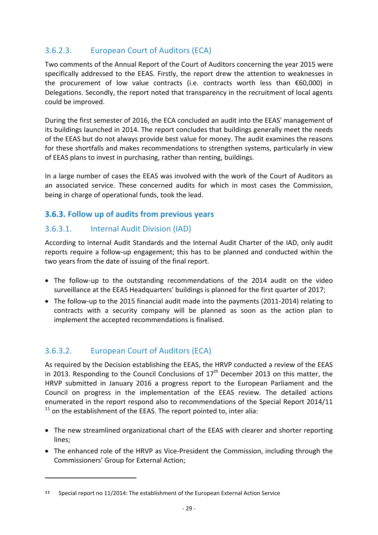# 3.6.2.3. European Court of Auditors (ECA)

Two comments of the Annual Report of the Court of Auditors concerning the year 2015 were specifically addressed to the EEAS. Firstly, the report drew the attention to weaknesses in the procurement of low value contracts (i.e. contracts worth less than €60,000) in Delegations. Secondly, the report noted that transparency in the recruitment of local agents could be improved.

During the first semester of 2016, the ECA concluded an audit into the EEAS' management of its buildings launched in 2014. The report concludes that buildings generally meet the needs of the EEAS but do not always provide best value for money. The audit examines the reasons for these shortfalls and makes recommendations to strengthen systems, particularly in view of EEAS plans to invest in purchasing, rather than renting, buildings.

In a large number of cases the EEAS was involved with the work of the Court of Auditors as an associated service. These concerned audits for which in most cases the Commission, being in charge of operational funds, took the lead.

# **3.6.3. Follow up of audits from previous years**

# 3.6.3.1. Internal Audit Division (IAD)

According to Internal Audit Standards and the Internal Audit Charter of the IAD, only audit reports require a follow-up engagement; this has to be planned and conducted within the two years from the date of issuing of the final report.

- The follow-up to the outstanding recommendations of the 2014 audit on the video surveillance at the EEAS Headquarters' buildings is planned for the first quarter of 2017;
- The follow-up to the 2015 financial audit made into the payments (2011-2014) relating to contracts with a security company will be planned as soon as the action plan to implement the accepted recommendations is finalised.

# 3.6.3.2. European Court of Auditors (ECA)

<u>.</u>

As required by the Decision establishing the EEAS, the HRVP conducted a review of the EEAS in 2013. Responding to the Council Conclusions of  $17<sup>th</sup>$  December 2013 on this matter, the HRVP submitted in January 2016 a progress report to the European Parliament and the Council on progress in the implementation of the EEAS review. The detailed actions enumerated in the report respond also to recommendations of the Special Report 2014/11  $11$  on the establishment of the EEAS. The report pointed to, inter alia:

- The new streamlined organizational chart of the EEAS with clearer and shorter reporting lines;
- The enhanced role of the HRVP as Vice-President the Commission, including through the Commissioners' Group for External Action;

**<sup>11</sup>** Special report no 11/2014: The establishment of the European External Action Service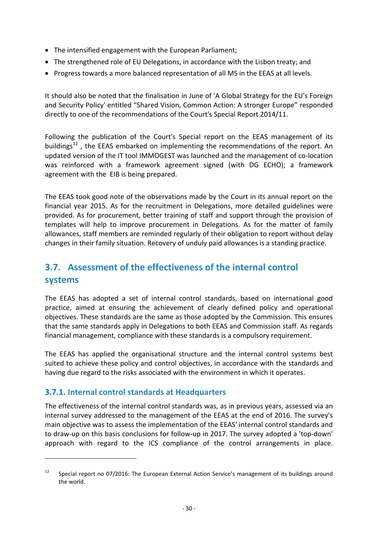- The intensified engagement with the European Parliament;
- The strengthened role of EU Delegations, in accordance with the Lisbon treaty; and
- Progress towards a more balanced representation of all MS in the EEAS at all levels.

It should also be noted that the finalisation in June of 'A Global Strategy for the EU's Foreign and Security Policy' entitled "Shared Vision, Common Action: A stronger Europe" responded directly to one of the recommendations of the Court's Special Report 2014/11.

Following the publication of the Court's Special report on the EEAS management of its buildings<sup>12</sup>, the EEAS embarked on implementing the recommendations of the report. An updated version of the IT tool IMMOGEST was launched and the management of co-location was reinforced with a framework agreement signed (with DG ECHO); a framework agreement with the EIB is being prepared.

The EEAS took good note of the observations made by the Court in its annual report on the financial year 2015. As for the recruitment in Delegations, more detailed guidelines were provided. As for procurement, better training of staff and support through the provision of templates will help to improve procurement in Delegations. As for the matter of family allowances, staff members are reminded regularly of their obligation to report without delay changes in their family situation. Recovery of unduly paid allowances is a standing practice.

# **3.7. Assessment of the effectiveness of the internal control systems**

The EEAS has adopted a set of internal control standards, based on international good practice, aimed at ensuring the achievement of clearly defined policy and operational objectives. These standards are the same as those adopted by the Commission. This ensures that the same standards apply in Delegations to both EEAS and Commission staff. As regards financial management, compliance with these standards is a compulsory requirement.

The EEAS has applied the organisational structure and the internal control systems best suited to achieve these policy and control objectives, in accordance with the standards and having due regard to the risks associated with the environment in which it operates.

#### **3.7.1. Internal control standards at Headquarters**

<u>.</u>

The effectiveness of the internal control standards was, as in previous years, assessed via an internal survey addressed to the management of the EEAS at the end of 2016. The survey's main objective was to assess the implementation of the EEAS' internal control standards and to draw-up on this basis conclusions for follow-up in 2017. The survey adopted a 'top-down' approach with regard to the ICS compliance of the control arrangements in place.

<sup>&</sup>lt;sup>12</sup> Special report no 07/2016: The European External Action Service's management of its buildings around the world.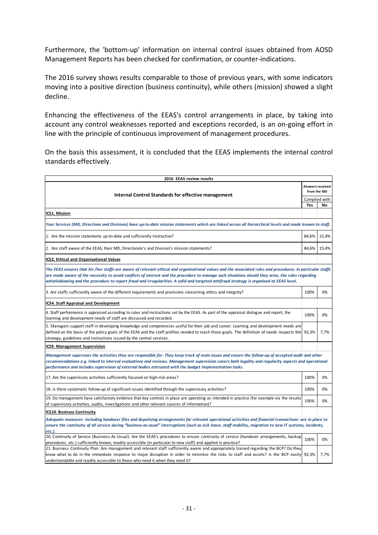Furthermore, the 'bottom-up' information on internal control issues obtained from AOSD Management Reports has been checked for confirmation, or counter-indications.

The 2016 survey shows results comparable to those of previous years, with some indicators moving into a positive direction (business continuity), while others (mission) showed a slight decline.

Enhancing the effectiveness of the EEAS's control arrangements in place, by taking into account any control weaknesses reported and exceptions recorded, is an on-going effort in line with the principle of continuous improvement of management procedures.

On the basis this assessment, it is concluded that the EEAS implements the internal control standards effectively.

| 2016 EEAS review results                                                                                                                                                                                                                                                                                                                                                                                                                                     |       |               |  |  |
|--------------------------------------------------------------------------------------------------------------------------------------------------------------------------------------------------------------------------------------------------------------------------------------------------------------------------------------------------------------------------------------------------------------------------------------------------------------|-------|---------------|--|--|
| <b>Answers received</b><br><b>Internal Control Standards for effective management</b>                                                                                                                                                                                                                                                                                                                                                                        |       |               |  |  |
|                                                                                                                                                                                                                                                                                                                                                                                                                                                              |       | Complied with |  |  |
|                                                                                                                                                                                                                                                                                                                                                                                                                                                              | Yes   | No            |  |  |
| ICS1. Mission                                                                                                                                                                                                                                                                                                                                                                                                                                                |       |               |  |  |
| Your Services (MD, Directions and Divisions) have up-to-date mission statements which are linked across all hierarchical levels and made known to staff.                                                                                                                                                                                                                                                                                                     |       |               |  |  |
| 1. Are the mission statements up-to-date and sufficiently instructive?                                                                                                                                                                                                                                                                                                                                                                                       | 84,6% | 15,4%         |  |  |
| 2. Are staff aware of the EEAS, their MD, Directorate's and Division's mission statements?                                                                                                                                                                                                                                                                                                                                                                   | 84,6% | 15,4%         |  |  |
| <b>ICS2. Ethical and Organisational Values</b>                                                                                                                                                                                                                                                                                                                                                                                                               |       |               |  |  |
| The EEAS ensures that his /her staffs are aware of relevant ethical and organisational values and the associated rules and procedures. In particular staffs<br>are made aware of the necessity to avoid conflicts of interest and the procedure to manage such situations should they arise, the rules regarding<br>whistleblowing and the procedure to report fraud and irregularities. A solid and targeted antifraud strategy is organised at EEAS level. |       |               |  |  |
| 3. Are staffs sufficiently aware of the different requirements and provisions concerning ethics and integrity?                                                                                                                                                                                                                                                                                                                                               | 100%  | 0%            |  |  |
| <b>ICS4. Staff Appraisal and Development</b>                                                                                                                                                                                                                                                                                                                                                                                                                 |       |               |  |  |
| 4. Staff performance is appraised according to rules and instructions set by the EEAS. As part of the appraisal dialogue and report, the<br>learning and development needs of staff are discussed and recorded.                                                                                                                                                                                                                                              | 100%  | 0%            |  |  |
| 5. Managers support staff in developing knowledge and competencies useful for their job and career. Learning and development needs are<br>defined on the basis of the policy goals of the EEAS and the staff profiles needed to reach those goals. The definition of needs respects the<br>strategy, guidelines and instructions issued by the central services.                                                                                             | 92,3% | 7,7%          |  |  |
| ICS9. Management Supervision                                                                                                                                                                                                                                                                                                                                                                                                                                 |       |               |  |  |
| Management supervises the activities they are responsible for. They keep track of main issues and ensure the follow-up of accepted audit and other<br>recommendations e.g. linked to interval evaluations and reviews. Management supervision covers both legality and regularity aspects and operational<br>performance and includes supervision of external bodies entrusted with the budget implementation tasks.                                         |       |               |  |  |
| 17. Are the supervisory activities sufficiently focused on high-risk areas?                                                                                                                                                                                                                                                                                                                                                                                  | 100%  | 0%            |  |  |
| 18. Is there systematic follow-up of significant issues identified through the supervisory activities?                                                                                                                                                                                                                                                                                                                                                       | 100%  | 0%            |  |  |
| 19. Do management have satisfactory evidence that key controls in place are operating as intended in practice (for example via the results<br>of supervisory activities, audits, investigations and other relevant sources of information)?                                                                                                                                                                                                                  | 100%  | 0%            |  |  |
| ICS10. Business Continuity                                                                                                                                                                                                                                                                                                                                                                                                                                   |       |               |  |  |
| Adequate measures -including handover files and deputising arrangements for relevant operational activities and financial transactions -are in place to                                                                                                                                                                                                                                                                                                      |       |               |  |  |
| ensure the continuity of all service during "business-as-usual" interruptions (such as sick leave, staff mobility, migration to new IT systems, incidents,<br>etc.).                                                                                                                                                                                                                                                                                         |       |               |  |  |
| 20. Continuity of Service (Business-As-Usual): Are the EEAS's procedures to ensure continuity of service (handover arrangements, backup<br>procedures, etc.) sufficiently known, readily accessible (in particular to new staff) and applied in practice?                                                                                                                                                                                                    | 100%  | 0%            |  |  |
| 21. Business Continuity Plan: Are management and relevant staff sufficiently aware and appropriately trained regarding the BCP? Do they<br>know what to do in the immediate response to major disruption in order to minimise the risks to staff and assets? Is the BCP easily<br>understandable and readily accessible to those who need it when they need it?                                                                                              | 92,3% | 7,7%          |  |  |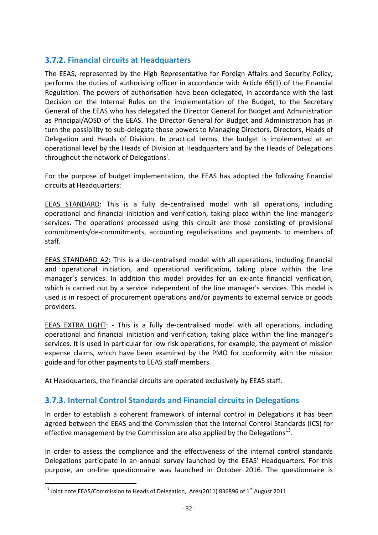# **3.7.2. Financial circuits at Headquarters**

The EEAS, represented by the High Representative for Foreign Affairs and Security Policy, performs the duties of authorising officer in accordance with Article 65(1) of the Financial Regulation. The powers of authorisation have been delegated, in accordance with the last Decision on the Internal Rules on the implementation of the Budget, to the Secretary General of the EEAS who has delegated the Director General for Budget and Administration as Principal/AOSD of the EEAS. The Director General for Budget and Administration has in turn the possibility to sub-delegate those powers to Managing Directors, Directors, Heads of Delegation and Heads of Division. In practical terms, the budget is implemented at an operational level by the Heads of Division at Headquarters and by the Heads of Delegations throughout the network of Delegations'.

For the purpose of budget implementation, the EEAS has adopted the following financial circuits at Headquarters:

EEAS STANDARD: This is a fully de-centralised model with all operations, including operational and financial initiation and verification, taking place within the line manager's services. The operations processed using this circuit are those consisting of provisional commitments/de-commitments, accounting regularisations and payments to members of staff.

EEAS STANDARD A2: This is a de-centralised model with all operations, including financial and operational initiation, and operational verification, taking place within the line manager's services. In addition this model provides for an ex-ante financial verification, which is carried out by a service independent of the line manager's services. This model is used is in respect of procurement operations and/or payments to external service or goods providers.

EEAS EXTRA LIGHT: - This is a fully de-centralised model with all operations, including operational and financial initiation and verification, taking place within the line manager's services. It is used in particular for low risk operations, for example, the payment of mission expense claims, which have been examined by the PMO for conformity with the mission guide and for other payments to EEAS staff members.

At Headquarters, the financial circuits are operated exclusively by EEAS staff.

# **3.7.3. Internal Control Standards and Financial circuits in Delegations**

In order to establish a coherent framework of internal control in Delegations it has been agreed between the EEAS and the Commission that the internal Control Standards (ICS) for effective management by the Commission are also applied by the Delegations<sup>13</sup>.

In order to assess the compliance and the effectiveness of the internal control standards Delegations participate in an annual survey launched by the EEAS' Headquarters. For this purpose, an on-line questionnaire was launched in October 2016. The questionnaire is

<u>.</u>

 $^{13}$  Joint note EEAS/Commission to Heads of Delegation, Ares(2011) 836896 of 1<sup>st</sup> August 2011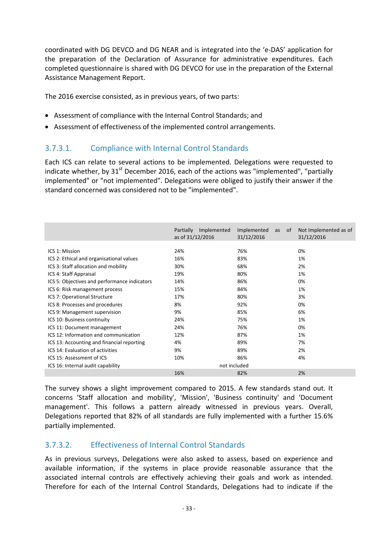coordinated with DG DEVCO and DG NEAR and is integrated into the 'e-DAS' application for the preparation of the Declaration of Assurance for administrative expenditures. Each completed questionnaire is shared with DG DEVCO for use in the preparation of the External Assistance Management Report.

The 2016 exercise consisted, as in previous years, of two parts:

- Assessment of compliance with the Internal Control Standards; and
- Assessment of effectiveness of the implemented control arrangements.

### 3.7.3.1. Compliance with Internal Control Standards

Each ICS can relate to several actions to be implemented. Delegations were requested to indicate whether, by  $31<sup>st</sup>$  December 2016, each of the actions was "implemented", "partially implemented" or "not implemented". Delegations were obliged to justify their answer if the standard concerned was considered not to be "implemented".

|                                              | Implemented<br>Partially<br>as of 31/12/2016 | Implemented<br>0f<br>as<br>31/12/2016 | Not Implemented as of<br>31/12/2016 |
|----------------------------------------------|----------------------------------------------|---------------------------------------|-------------------------------------|
|                                              |                                              |                                       |                                     |
| ICS 1: Mission                               | 24%                                          | 76%                                   | 0%                                  |
| ICS 2: Ethical and organisational values     | 16%                                          | 83%                                   | 1%                                  |
| ICS 3: Staff allocation and mobility         | 30%                                          | 68%                                   | 2%                                  |
| ICS 4: Staff Appraisal                       | 19%                                          | 80%                                   | 1%                                  |
| ICS 5: Objectives and performance indicators | 14%                                          | 86%                                   | 0%                                  |
| ICS 6: Risk management process               | 15%                                          | 84%                                   | 1%                                  |
| ICS 7: Operational Structure                 | 17%                                          | 80%                                   | 3%                                  |
| ICS 8: Processes and procedures              | 8%                                           | 92%                                   | 0%                                  |
| ICS 9: Management supervision                | 9%                                           | 85%                                   | 6%                                  |
| ICS 10: Business continuity                  | 24%                                          | 75%                                   | 1%                                  |
| ICS 11: Document management                  | 24%                                          | 76%                                   | 0%                                  |
| ICS 12: Information and communication        | 12%                                          | 87%                                   | 1%                                  |
| ICS 13: Accounting and financial reporting   | 4%                                           | 89%                                   | 7%                                  |
| ICS 14: Evaluation of activities             | 9%                                           | 89%                                   | 2%                                  |
| ICS 15: Assessment of ICS                    | 10%                                          | 86%                                   | 4%                                  |
| ICS 16: Internal audit capability            |                                              | not included                          |                                     |
|                                              | 16%                                          | 82%                                   | 2%                                  |

The survey shows a slight improvement compared to 2015. A few standards stand out. It concerns 'Staff allocation and mobility', 'Mission', 'Business continuity' and 'Document management'. This follows a pattern already witnessed in previous years. Overall, Delegations reported that 82% of all standards are fully implemented with a further 15.6% partially implemented.

#### 3.7.3.2. Effectiveness of Internal Control Standards

As in previous surveys, Delegations were also asked to assess, based on experience and available information, if the systems in place provide reasonable assurance that the associated internal controls are effectively achieving their goals and work as intended. Therefore for each of the Internal Control Standards, Delegations had to indicate if the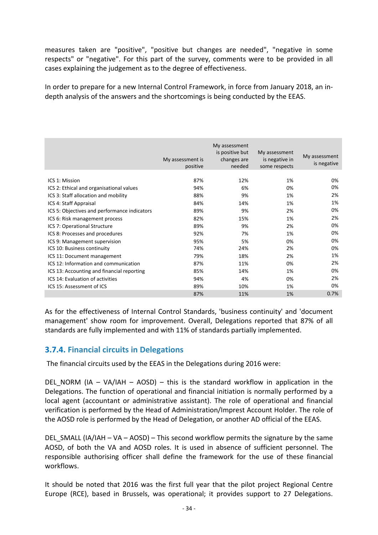measures taken are "positive", "positive but changes are needed", "negative in some respects" or "negative". For this part of the survey, comments were to be provided in all cases explaining the judgement as to the degree of effectiveness.

In order to prepare for a new Internal Control Framework, in force from January 2018, an indepth analysis of the answers and the shortcomings is being conducted by the EEAS.

|                                              | My assessment is<br>positive | My assessment<br>is positive but<br>changes are<br>needed | My assessment<br>is negative in<br>some respects | My assessment<br>is negative |
|----------------------------------------------|------------------------------|-----------------------------------------------------------|--------------------------------------------------|------------------------------|
|                                              |                              |                                                           |                                                  |                              |
| ICS 1: Mission                               | 87%                          | 12%                                                       | 1%                                               | 0%                           |
| ICS 2: Ethical and organisational values     | 94%                          | 6%                                                        | 0%                                               | 0%                           |
| ICS 3: Staff allocation and mobility         | 88%                          | 9%                                                        | 1%                                               | 2%                           |
| ICS 4: Staff Appraisal                       | 84%                          | 14%                                                       | 1%                                               | 1%                           |
| ICS 5: Objectives and performance indicators | 89%                          | 9%                                                        | 2%                                               | 0%                           |
| ICS 6: Risk management process               | 82%                          | 15%                                                       | 1%                                               | 2%                           |
| ICS 7: Operational Structure                 | 89%                          | 9%                                                        | 2%                                               | 0%                           |
| ICS 8: Processes and procedures              | 92%                          | 7%                                                        | 1%                                               | 0%                           |
| ICS 9: Management supervision                | 95%                          | 5%                                                        | 0%                                               | 0%                           |
| ICS 10: Business continuity                  | 74%                          | 24%                                                       | 2%                                               | 0%                           |
| ICS 11: Document management                  | 79%                          | 18%                                                       | 2%                                               | 1%                           |
| ICS 12: Information and communication        | 87%                          | 11%                                                       | 0%                                               | 2%                           |
| ICS 13: Accounting and financial reporting   | 85%                          | 14%                                                       | 1%                                               | 0%                           |
| ICS 14: Evaluation of activities             | 94%                          | 4%                                                        | 0%                                               | 2%                           |
| ICS 15: Assessment of ICS                    | 89%                          | 10%                                                       | 1%                                               | 0%                           |
|                                              | 87%                          | 11%                                                       | 1%                                               | 0.7%                         |

As for the effectiveness of Internal Control Standards, 'business continuity' and 'document management' show room for improvement. Overall, Delegations reported that 87% of all standards are fully implemented and with 11% of standards partially implemented.

# **3.7.4. Financial circuits in Delegations**

The financial circuits used by the EEAS in the Delegations during 2016 were:

DEL NORM (IA – VA/IAH – AOSD) – this is the standard workflow in application in the Delegations. The function of operational and financial initiation is normally performed by a local agent (accountant or administrative assistant). The role of operational and financial verification is performed by the Head of Administration/Imprest Account Holder. The role of the AOSD role is performed by the Head of Delegation, or another AD official of the EEAS.

DEL SMALL (IA/IAH – VA – AOSD) – This second workflow permits the signature by the same AOSD, of both the VA and AOSD roles. It is used in absence of sufficient personnel. The responsible authorising officer shall define the framework for the use of these financial workflows.

It should be noted that 2016 was the first full year that the pilot project Regional Centre Europe (RCE), based in Brussels, was operational; it provides support to 27 Delegations.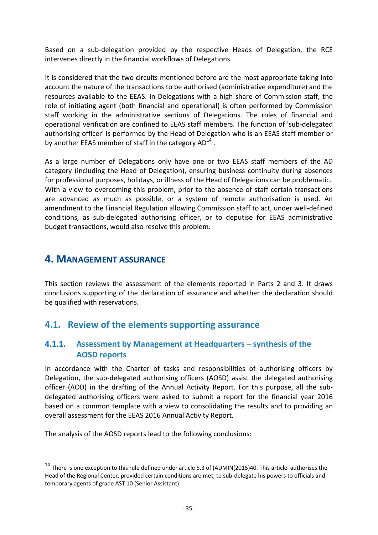Based on a sub-delegation provided by the respective Heads of Delegation, the RCE intervenes directly in the financial workflows of Delegations.

It is considered that the two circuits mentioned before are the most appropriate taking into account the nature of the transactions to be authorised (administrative expenditure) and the resources available to the EEAS. In Delegations with a high share of Commission staff, the role of initiating agent (both financial and operational) is often performed by Commission staff working in the administrative sections of Delegations. The roles of financial and operational verification are confined to EEAS staff members. The function of 'sub-delegated authorising officer' is performed by the Head of Delegation who is an EEAS staff member or by another EEAS member of staff in the category  $AD^{14}$ .

As a large number of Delegations only have one or two EEAS staff members of the AD category (including the Head of Delegation), ensuring business continuity during absences for professional purposes, holidays, or illness of the Head of Delegations can be problematic. With a view to overcoming this problem, prior to the absence of staff certain transactions are advanced as much as possible, or a system of remote authorisation is used. An amendment to the Financial Regulation allowing Commission staff to act, under well-defined conditions, as sub-delegated authorising officer, or to deputise for EEAS administrative budget transactions, would also resolve this problem.

# **4. MANAGEMENT ASSURANCE**

<u>.</u>

This section reviews the assessment of the elements reported in Parts 2 and 3. It draws conclusions supporting of the declaration of assurance and whether the declaration should be qualified with reservations.

# **4.1. Review of the elements supporting assurance**

# **4.1.1. Assessment by Management at Headquarters – synthesis of the AOSD reports**

In accordance with the Charter of tasks and responsibilities of authorising officers by Delegation, the sub-delegated authorising officers (AOSD) assist the delegated authorising officer (AOD) in the drafting of the Annual Activity Report. For this purpose, all the subdelegated authorising officers were asked to submit a report for the financial year 2016 based on a common template with a view to consolidating the results and to providing an overall assessment for the EEAS 2016 Annual Activity Report.

The analysis of the AOSD reports lead to the following conclusions:

 $14$  There is one exception to this rule defined under article 5.3 of (ADMIN(2015)40. This article authorises the Head of the Regional Center, provided certain conditions are met, to sub-delegate his powers to officials and temporary agents of grade AST 10 (Senior Assistant).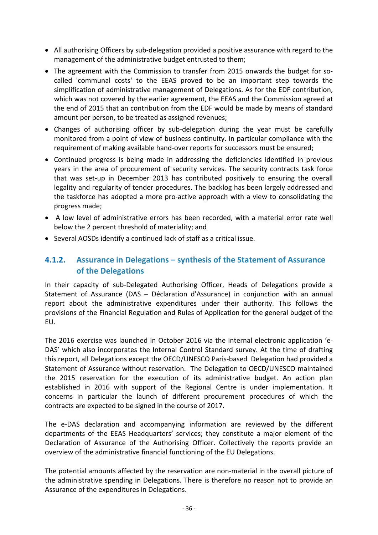- All authorising Officers by sub-delegation provided a positive assurance with regard to the management of the administrative budget entrusted to them;
- The agreement with the Commission to transfer from 2015 onwards the budget for socalled 'communal costs' to the EEAS proved to be an important step towards the simplification of administrative management of Delegations. As for the EDF contribution, which was not covered by the earlier agreement, the EEAS and the Commission agreed at the end of 2015 that an contribution from the EDF would be made by means of standard amount per person, to be treated as assigned revenues;
- Changes of authorising officer by sub-delegation during the year must be carefully monitored from a point of view of business continuity. In particular compliance with the requirement of making available hand-over reports for successors must be ensured;
- Continued progress is being made in addressing the deficiencies identified in previous years in the area of procurement of security services. The security contracts task force that was set-up in December 2013 has contributed positively to ensuring the overall legality and regularity of tender procedures. The backlog has been largely addressed and the taskforce has adopted a more pro-active approach with a view to consolidating the progress made;
- A low level of administrative errors has been recorded, with a material error rate well below the 2 percent threshold of materiality; and
- Several AOSDs identify a continued lack of staff as a critical issue.

### **4.1.2. Assurance in Delegations – synthesis of the Statement of Assurance of the Delegations**

In their capacity of sub-Delegated Authorising Officer, Heads of Delegations provide a Statement of Assurance (DAS – Déclaration d'Assurance) in conjunction with an annual report about the administrative expenditures under their authority. This follows the provisions of the Financial Regulation and Rules of Application for the general budget of the EU.

The 2016 exercise was launched in October 2016 via the internal electronic application 'e-DAS' which also incorporates the Internal Control Standard survey. At the time of drafting this report, all Delegations except the OECD/UNESCO Paris-based Delegation had provided a Statement of Assurance without reservation. The Delegation to OECD/UNESCO maintained the 2015 reservation for the execution of its administrative budget. An action plan established in 2016 with support of the Regional Centre is under implementation. It concerns in particular the launch of different procurement procedures of which the contracts are expected to be signed in the course of 2017.

The e-DAS declaration and accompanying information are reviewed by the different departments of the EEAS Headquarters' services; they constitute a major element of the Declaration of Assurance of the Authorising Officer. Collectively the reports provide an overview of the administrative financial functioning of the EU Delegations.

The potential amounts affected by the reservation are non-material in the overall picture of the administrative spending in Delegations. There is therefore no reason not to provide an Assurance of the expenditures in Delegations.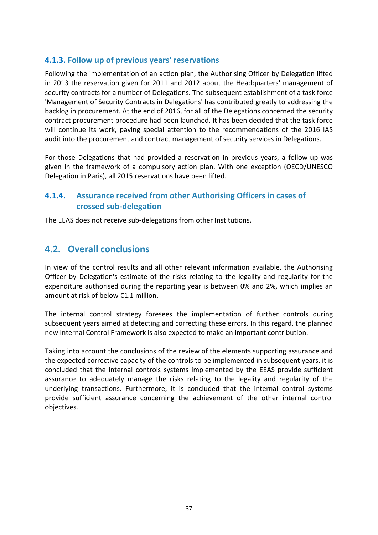### **4.1.3. Follow up of previous years' reservations**

Following the implementation of an action plan, the Authorising Officer by Delegation lifted in 2013 the reservation given for 2011 and 2012 about the Headquarters' management of security contracts for a number of Delegations. The subsequent establishment of a task force 'Management of Security Contracts in Delegations' has contributed greatly to addressing the backlog in procurement. At the end of 2016, for all of the Delegations concerned the security contract procurement procedure had been launched. It has been decided that the task force will continue its work, paying special attention to the recommendations of the 2016 IAS audit into the procurement and contract management of security services in Delegations.

For those Delegations that had provided a reservation in previous years, a follow-up was given in the framework of a compulsory action plan. With one exception (OECD/UNESCO Delegation in Paris), all 2015 reservations have been lifted.

### **4.1.4. Assurance received from other Authorising Officers in cases of crossed sub-delegation**

The EEAS does not receive sub-delegations from other Institutions.

## **4.2. Overall conclusions**

In view of the control results and all other relevant information available, the Authorising Officer by Delegation's estimate of the risks relating to the legality and regularity for the expenditure authorised during the reporting year is between 0% and 2%, which implies an amount at risk of below €1.1 million.

The internal control strategy foresees the implementation of further controls during subsequent years aimed at detecting and correcting these errors. In this regard, the planned new Internal Control Framework is also expected to make an important contribution.

Taking into account the conclusions of the review of the elements supporting assurance and the expected corrective capacity of the controls to be implemented in subsequent years, it is concluded that the internal controls systems implemented by the EEAS provide sufficient assurance to adequately manage the risks relating to the legality and regularity of the underlying transactions. Furthermore, it is concluded that the internal control systems provide sufficient assurance concerning the achievement of the other internal control objectives.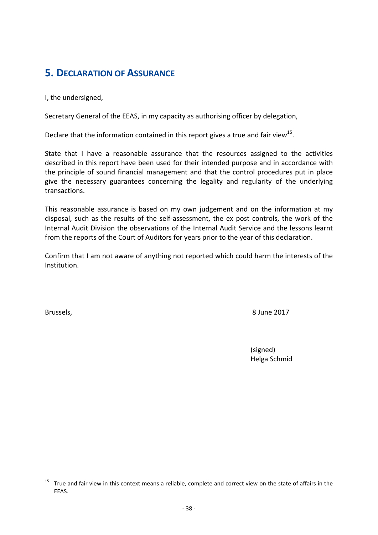# **5. DECLARATION OF ASSURANCE**

I, the undersigned,

Secretary General of the EEAS, in my capacity as authorising officer by delegation,

Declare that the information contained in this report gives a true and fair view<sup>15</sup>.

State that I have a reasonable assurance that the resources assigned to the activities described in this report have been used for their intended purpose and in accordance with the principle of sound financial management and that the control procedures put in place give the necessary guarantees concerning the legality and regularity of the underlying transactions.

This reasonable assurance is based on my own judgement and on the information at my disposal, such as the results of the self-assessment, the ex post controls, the work of the Internal Audit Division the observations of the Internal Audit Service and the lessons learnt from the reports of the Court of Auditors for years prior to the year of this declaration.

Confirm that I am not aware of anything not reported which could harm the interests of the Institution.

<u>.</u>

Brussels, 8 June 2017

 (signed) Helga Schmid

 $15$  True and fair view in this context means a reliable, complete and correct view on the state of affairs in the EEAS.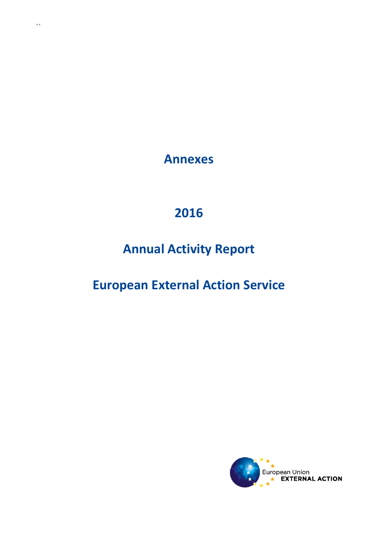**Annexes**

# **2016**

# **Annual Activity Report**

# **European External Action Service**

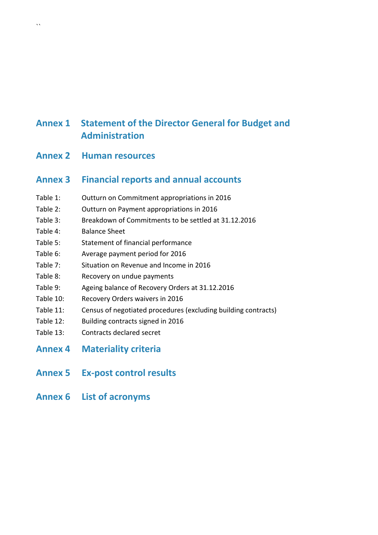## **Annex 1 Statement of the Director General for Budget and Administration**

**Annex 2 Human resources** 

### **Annex 3 Financial reports and annual accounts**

- Table 1: Outturn on Commitment appropriations in 2016
- Table 2: Outturn on Payment appropriations in 2016
- Table 3: Breakdown of Commitments to be settled at 31.12.2016
- Table 4: Balance Sheet

``

- Table 5: Statement of financial performance
- Table 6: Average payment period for 2016
- Table 7: Situation on Revenue and Income in 2016
- Table 8: Recovery on undue payments
- Table 9: Ageing balance of Recovery Orders at 31.12.2016
- Table 10: Recovery Orders waivers in 2016
- Table 11: Census of negotiated procedures (excluding building contracts)
- Table 12: Building contracts signed in 2016
- Table 13: Contracts declared secret
- **Annex 4 Materiality criteria**
- **Annex 5 Ex-post control results**
- **Annex 6 List of acronyms**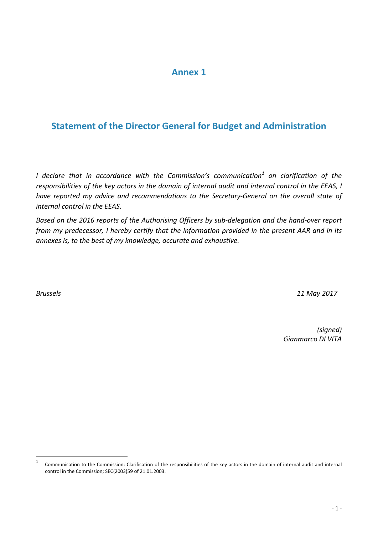## **Annex 1**

## **Statement of the Director General for Budget and Administration**

*I declare that in accordance with the Commission's communication<sup>1</sup> on clarification of the responsibilities of the key actors in the domain of internal audit and internal control in the EEAS, I have reported my advice and recommendations to the Secretary-General on the overall state of internal control in the EEAS.* 

*Based on the 2016 reports of the Authorising Officers by sub-delegation and the hand-over report from my predecessor, I hereby certify that the information provided in the present AAR and in its annexes is, to the best of my knowledge, accurate and exhaustive.* 

*Brussels 11 May 2017*

*(signed) Gianmarco DI VITA* 

 $\overline{1}$ 1 Communication to the Commission: Clarification of the responsibilities of the key actors in the domain of internal audit and internal control in the Commission; SEC(2003)59 of 21.01.2003.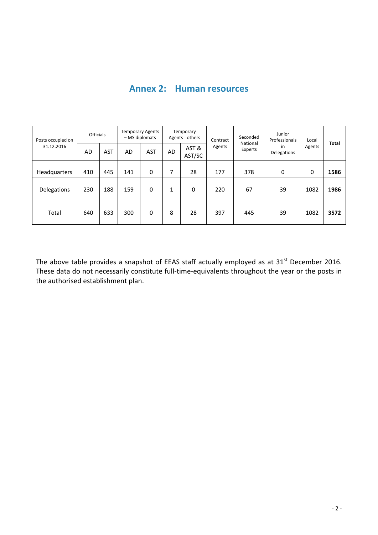| Posts occupied on  | <b>Officials</b> |            | - MS diplomats | <b>Temporary Agents</b> |           | Temporary<br>Agents - others | Contract          | Seconded<br>National | Junior<br>Professionals | Local  |       |
|--------------------|------------------|------------|----------------|-------------------------|-----------|------------------------------|-------------------|----------------------|-------------------------|--------|-------|
| 31.12.2016         | AD               | <b>AST</b> | AD             | <b>AST</b>              | <b>AD</b> | AST&<br>AST/SC               | Agents<br>Experts |                      | in<br>Delegations       | Agents | Total |
| Headquarters       | 410              | 445        | 141            | 0                       | 7         | 28                           | 177               | 378                  | 0                       | 0      | 1586  |
| <b>Delegations</b> | 230              | 188        | 159            | 0                       | 1         | 0                            | 220               | 67                   | 39                      | 1082   | 1986  |
| Total              | 640              | 633        | 300            | 0                       | 8         | 28                           | 397               | 445                  | 39                      | 1082   | 3572  |

## **Annex 2: Human resources**

The above table provides a snapshot of EEAS staff actually employed as at  $31<sup>st</sup>$  December 2016. These data do not necessarily constitute full-time-equivalents throughout the year or the posts in the authorised establishment plan.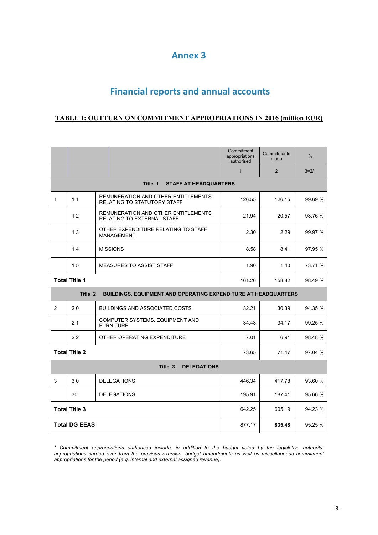## **Annex 3**

# **Financial reports and annual accounts**

#### **TABLE 1: OUTTURN ON COMMITMENT APPROPRIATIONS IN 2016 (million EUR)**

|                |                      |                                                                           | Commitment<br>appropriations<br>authorised | Commitments<br>made | %         |
|----------------|----------------------|---------------------------------------------------------------------------|--------------------------------------------|---------------------|-----------|
|                |                      |                                                                           | $\mathbf{1}$                               | $\overline{2}$      | $3 = 2/1$ |
|                |                      | Title 1<br><b>STAFF AT HEADQUARTERS</b>                                   |                                            |                     |           |
| $\mathbf{1}$   | 11                   | REMUNERATION AND OTHER ENTITLEMENTS<br><b>RELATING TO STATUTORY STAFF</b> | 126.55                                     | 126.15              | 99.69 %   |
|                | 12                   | REMUNERATION AND OTHER ENTITLEMENTS<br><b>RELATING TO EXTERNAL STAFF</b>  | 21.94                                      | 20.57               | 93.76 %   |
|                | 13                   | OTHER EXPENDITURE RELATING TO STAFF<br><b>MANAGEMENT</b>                  | 2.30                                       | 2.29                | 99.97 %   |
|                | 14                   | <b>MISSIONS</b>                                                           | 8.58                                       | 8.41                | 97.95 %   |
|                | 15                   | <b>MEASURES TO ASSIST STAFF</b>                                           | 1.90                                       | 1.40                | 73.71 %   |
|                | <b>Total Title 1</b> |                                                                           | 161.26                                     | 158.82              | 98.49%    |
|                | Title 2              | BUILDINGS, EQUIPMENT AND OPERATING EXPENDITURE AT HEADQUARTERS            |                                            |                     |           |
| $\overline{2}$ | 20                   | <b>BUILDINGS AND ASSOCIATED COSTS</b>                                     | 32.21                                      | 30.39               | 94.35 %   |
|                | 21                   | COMPUTER SYSTEMS, EQUIPMENT AND<br><b>FURNITURE</b>                       | 34.43                                      | 34.17               | 99.25 %   |
|                | 22                   | OTHER OPERATING EXPENDITURE                                               | 7.01                                       | 6.91                | 98.48%    |
|                | <b>Total Title 2</b> |                                                                           | 73.65                                      | 71.47               | 97.04 %   |
|                |                      | Title 3<br><b>DELEGATIONS</b>                                             |                                            |                     |           |
| 3              | 30                   | <b>DELEGATIONS</b>                                                        | 446.34                                     | 417.78              | 93.60 %   |
|                | 30                   | <b>DELEGATIONS</b>                                                        | 195.91                                     | 187.41              | 95.66 %   |
|                | <b>Total Title 3</b> |                                                                           | 642.25                                     | 605.19              | 94.23 %   |
|                | <b>Total DG EEAS</b> |                                                                           | 877.17                                     | 835.48              | 95.25 %   |

*\* Commitment appropriations authorised include, in addition to the budget voted by the legislative authority, appropriations carried over from the previous exercise, budget amendments as well as miscellaneous commitment appropriations for the period (e.g. internal and external assigned revenue).*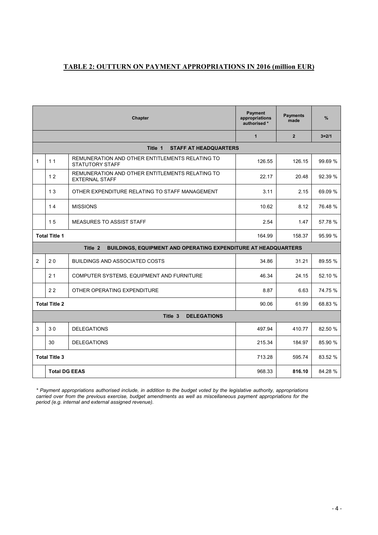#### **TABLE 2: OUTTURN ON PAYMENT APPROPRIATIONS IN 2016 (million EUR)**

|                |                      | Chapter                                                                   | Payment<br>appropriations<br>authorised * | <b>Payments</b><br>made | %         |
|----------------|----------------------|---------------------------------------------------------------------------|-------------------------------------------|-------------------------|-----------|
|                |                      |                                                                           | $\mathbf{1}$                              | $\overline{2}$          | $3 = 2/1$ |
|                |                      | Title 1<br><b>STAFF AT HEADQUARTERS</b>                                   |                                           |                         |           |
| $\mathbf{1}$   | 11                   | REMUNERATION AND OTHER ENTITLEMENTS RELATING TO<br><b>STATUTORY STAFF</b> | 126.55                                    | 126.15                  | 99.69 %   |
|                | 12                   | REMUNERATION AND OTHER ENTITLEMENTS RELATING TO<br><b>EXTERNAL STAFF</b>  | 22.17                                     | 20.48                   | 92.39 %   |
|                | 13                   | OTHER EXPENDITURE RELATING TO STAFF MANAGEMENT                            | 3.11                                      | 2.15                    | 69.09 %   |
|                | 14                   | <b>MISSIONS</b>                                                           | 10.62                                     | 8.12                    | 76.48%    |
|                | 15                   | <b>MEASURES TO ASSIST STAFF</b>                                           | 2.54                                      | 1.47                    | 57.78 %   |
|                | <b>Total Title 1</b> |                                                                           | 164.99                                    | 158.37                  | 95.99 %   |
|                |                      | BUILDINGS, EQUIPMENT AND OPERATING EXPENDITURE AT HEADQUARTERS<br>Title 2 |                                           |                         |           |
| $\overline{2}$ | 20                   | <b>BUILDINGS AND ASSOCIATED COSTS</b>                                     | 34.86                                     | 31.21                   | 89.55 %   |
|                | 21                   | COMPUTER SYSTEMS, EQUIPMENT AND FURNITURE                                 | 46.34                                     | 24.15                   | 52.10 %   |
|                | 22                   | OTHER OPERATING EXPENDITURE                                               | 8.87                                      | 6.63                    | 74.75 %   |
|                | <b>Total Title 2</b> |                                                                           | 90.06                                     | 61.99                   | 68.83%    |
|                |                      | Title 3<br><b>DELEGATIONS</b>                                             |                                           |                         |           |
| 3              | 30                   | <b>DELEGATIONS</b>                                                        | 497.94                                    | 410.77                  | 82.50 %   |
|                | 30                   | <b>DELEGATIONS</b>                                                        | 215.34                                    | 184.97                  | 85.90 %   |
|                | <b>Total Title 3</b> |                                                                           | 713.28                                    | 595.74                  | 83.52 %   |
|                | <b>Total DG EEAS</b> |                                                                           | 968.33                                    | 816.10                  | 84.28 %   |

*\* Payment appropriations authorised include, in addition to the budget voted by the legislative authority, appropriations carried over from the previous exercise, budget amendments as well as miscellaneous payment appropriations for the period (e.g. internal and external assigned revenue).*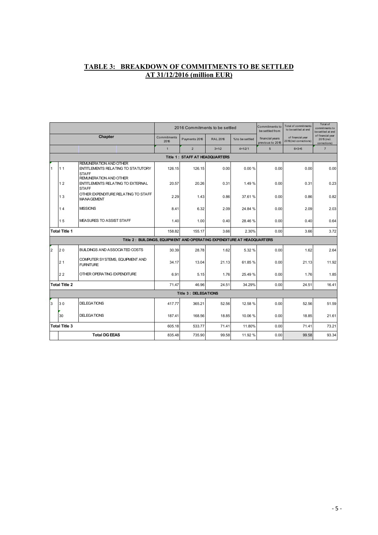#### **TABLE 3: BREAKDOWN OF COMMITMENTS TO BE SETTLED AT 31/12/2016 (million EUR)**

|                      |                                |                                                                                     |                     | 2016 Commitments to be settled |                 |                 | Commitments to<br>be settled from   | Total of commitments<br>to be settled at end | Total of<br>commitments to<br>be settled at end  |
|----------------------|--------------------------------|-------------------------------------------------------------------------------------|---------------------|--------------------------------|-----------------|-----------------|-------------------------------------|----------------------------------------------|--------------------------------------------------|
|                      |                                | Chapter                                                                             | Commitments<br>2016 | Payments 2016                  | <b>RAL 2016</b> | % to be settled | financial years<br>previous to 2016 | of financial year<br>2016(incl corrections)  | of financial year<br>2015 (incl.<br>corrections) |
|                      |                                |                                                                                     | $\overline{1}$      | $\overline{2}$                 | $3 = 1 - 2$     | $4=1-2/1$       | 5                                   | $6 = 3 + 5$                                  | $\overline{7}$                                   |
|                      |                                |                                                                                     |                     | Title 1: STAFF AT HEADQUARTERS |                 |                 |                                     |                                              |                                                  |
|                      | 11                             | <b>REMUNERATION AND OTHER</b><br>ENTITLEMENTS RELATING TO STATUTORY<br><b>STAFF</b> | 126.15              | 126.15                         | 0.00            | 0.00%           | 0.00                                | 0.00                                         | 0.00                                             |
|                      | 12                             | REMUNERATION AND OTHER<br><b>ENTITLEMENTS RELATING TO EXTERNAL</b><br><b>STAFF</b>  | 20.57               | 20.26                          | 0.31            | 1.49 %          | 0.00                                | 0.31                                         | 0.23                                             |
|                      | 13                             | OTHER EXPENDITURE RELATING TO STAFF<br><b>MANAGEMENT</b>                            | 2.29                | 1.43                           | 0.86            | 37.61 %         | 0.00                                | 0.86                                         | 0.82                                             |
|                      | 14                             | <b>MISSIONS</b>                                                                     | 8.41                | 6.32                           | 2.09            | 24.84 %         | 0.00                                | 2.09                                         | 2.03                                             |
|                      | MEASURES TO ASSIST STAFF<br>15 |                                                                                     | 1.40                | 1.00                           | 0.40            | 28.46 %         | 0.00                                | 0.40                                         | 0.64                                             |
| <b>Total Title 1</b> |                                |                                                                                     | 158.82              | 155.17                         | 3.66            | 2.30%           | 0.00                                | 3.66                                         | 3.72                                             |
|                      |                                | Title 2: BUILDINGS, EQUIPMENT AND OPERATING EXPENDITURE AT HEADQUARTERS             |                     |                                |                 |                 |                                     |                                              |                                                  |
| $\overline{2}$       | 20                             | <b>BUILDINGS AND ASSOCIATED COSTS</b>                                               | 30.39               | 28.78                          | 1.62            | 5.32 %          | 0.00                                | 1.62                                         | 2.64                                             |
|                      | 21                             | COMPUTER SYSTEMS, EQUIPMENT AND<br><b>FURNITURE</b>                                 | 34.17               | 13.04                          | 21.13           | 61.85%          | 0.00                                | 21.13                                        | 11.92                                            |
|                      | 22                             | OTHER OPERATING EXPENDITURE                                                         | 6.91                | 5.15                           | 1.76            | 25.49 %         | 0.00                                | 1.76                                         | 1.85                                             |
|                      | <b>Total Title 2</b>           |                                                                                     | 71.47               | 46.96                          | 24.51           | 34.29%          | 0.00                                | 24.51                                        | 16.41                                            |
|                      |                                |                                                                                     |                     | <b>Title 3: DELEGATIONS</b>    |                 |                 |                                     |                                              |                                                  |
| 3                    | l3 0                           | <b>DELEGATIONS</b>                                                                  | 417.77              | 365.21                         | 52.56           | 12.58 %         | 0.00                                | 52.56                                        | 51.59                                            |
|                      | 30                             | <b>DELEGATIONS</b>                                                                  | 187.41              | 168.56                         | 18.85           | 10.06 %         | 0.00                                | 18.85                                        | 21.61                                            |
|                      | <b>Total Title 3</b>           |                                                                                     | 605.18              | 533.77                         | 71.41           | 11.80%          | 0.00                                | 71.41                                        | 73.21                                            |
|                      |                                | <b>Total DG EEAS</b>                                                                | 835.48              | 735.90                         | 99.58           | 11.92 %         | 0.00                                | 99.58                                        | 93.34                                            |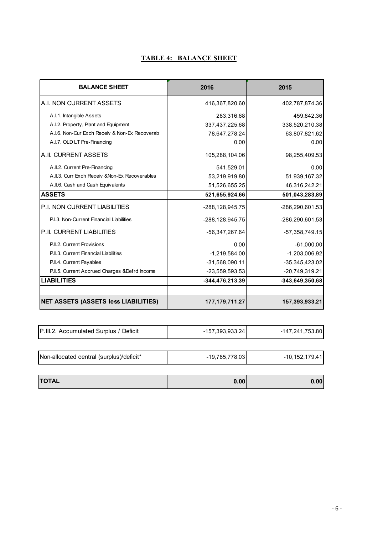#### **TABLE 4: BALANCE SHEET**

| <b>BALANCE SHEET</b>                           | 2016              | 2015              |
|------------------------------------------------|-------------------|-------------------|
| A.I. NON CURRENT ASSETS                        | 416,367,820.60    | 402,787,874.36    |
| A.I.1. Intangible Assets                       | 283,316.68        | 459,842.36        |
| A.I.2. Property, Plant and Equipment           | 337,437,225.68    | 338,520,210.38    |
| A.I.6. Non-Cur Exch Receiv & Non-Ex Recoverab  | 78,647,278.24     | 63,807,821.62     |
| A.I.7. OLD LT Pre-Financing                    | 0.00              | 0.00              |
| A.II. CURRENT ASSETS                           | 105,288,104.06    | 98,255,409.53     |
| A.I.2. Current Pre-Financing                   | 541,529.01        | 0.00              |
| A.II.3. Curr Exch Receiv & Non-Ex Recoverables | 53,219,919.80     | 51,939,167.32     |
| A.II.6. Cash and Cash Equivalents              | 51,526,655.25     | 46,316,242.21     |
| <b>ASSETS</b>                                  | 521,655,924.66    | 501,043,283.89    |
| P.I. NON CURRENT LIABILITIES                   | $-288,128,945.75$ | $-286,290,601.53$ |
| P.I.3. Non-Current Financial Liabilities       | $-288,128,945.75$ | $-286,290,601.53$ |
| P.II. CURRENT LIABILITIES                      | $-56,347,267.64$  | $-57,358,749.15$  |
| P.II.2. Current Provisions                     | 0.00              | $-61,000.00$      |
| P.II.3. Current Financial Liabilities          | $-1,219,584.00$   | $-1,203,006.92$   |
| P.II.4. Current Payables                       | $-31,568,090.11$  | $-35,345,423.02$  |
| P.II.5. Current Accrued Charges & Defrd Income | $-23,559,593.53$  | -20,749,319.21    |
| <b>LIABILITIES</b>                             | -344,476,213.39   | $-343,649,350.68$ |
|                                                |                   |                   |
| <b>NET ASSETS (ASSETS less LIABILITIES)</b>    | 177, 179, 711.27  | 157,393,933.21    |

| <b>ITOTAL</b>                            | 0.001             | 0.00              |
|------------------------------------------|-------------------|-------------------|
| Non-allocated central (surplus)/deficit* | $-19,785,778.03$  | $-10,152,179.41$  |
|                                          |                   |                   |
| P.III.2. Accumulated Surplus / Deficit   | $-157,393,933.24$ | $-147,241,753.80$ |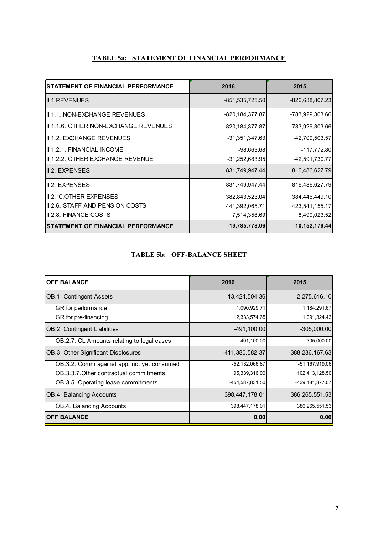#### **TABLE 5a: STATEMENT OF FINANCIAL PERFORMANCE**

| <b>STATEMENT OF FINANCIAL PERFORMANCE</b> | 2016                | 2015             |
|-------------------------------------------|---------------------|------------------|
| III.1 REVENUES                            | -851,535,725.50     | -826,638,807.23  |
| III.1.1. NON-EXCHANGE REVENUES            | -820,184,377.87     | -783,929,303.66  |
| III.1.1.6. OTHER NON-EXCHANGE REVENUES    | $-820, 184, 377.87$ | -783,929,303.66  |
| III.1.2. EXCHANGE REVENUES                | $-31,351,347.63$    | -42,709,503.57   |
| III.1.2.1. FINANCIAL INCOME               | $-98,663.68$        | -117,772.80      |
| III.1.2.2. OTHER EXCHANGE REVENUE         | $-31,252,683.95$    | -42,591,730.77   |
| III.2. EXPENSES                           | 831,749,947.44      | 816,486,627.79   |
| III.2. EXPENSES                           | 831,749,947.44      | 816,486,627.79   |
| III.2.10.OTHER EXPENSES                   | 382,843,523.04      | 384,446,449.10   |
| II.2.6. STAFF AND PENSION COSTS           | 441,392,065.71      | 423,541,155.17   |
| III.2.8. FINANCE COSTS                    | 7,514,358.69        | 8,499,023.52     |
| <b>STATEMENT OF FINANCIAL PERFORMANCE</b> | $-19,785,778.06$    | $-10,152,179.44$ |

#### **TABLE 5b: OFF-BALANCE SHEET**

| <b>OFF BALANCE</b>                         | 2016             | 2015             |
|--------------------------------------------|------------------|------------------|
| <b>OB.1. Contingent Assets</b>             | 13,424,504.36    | 2,275,616.10     |
| GR for performance                         | 1,090,929.71     | 1,184,291.67     |
| GR for pre-financing                       | 12,333,574.65    | 1,091,324.43     |
| OB.2. Contingent Liabilities               | $-491, 100.00$   | $-305,000.00$    |
| OB.2.7. CL Amounts relating to legal cases | $-491,100.00$    | $-305,000.00$    |
| OB.3. Other Significant Disclosures        | -411,380,582.37  | -388,236,167.63  |
| OB.3.2. Comm against app. not yet consumed | $-52,132,066.87$ | $-51,167,919.06$ |
| OB.3.3.7. Other contractual commitments    | 95,339,316.00    | 102,413,128.50   |
| OB.3.5. Operating lease commitments        | -454,587,831.50  | -439,481,377.07  |
| OB.4. Balancing Accounts                   | 398,447,178.01   | 386, 265, 551.53 |
| OB.4. Balancing Accounts                   | 398,447,178.01   | 386,265,551.53   |
| <b>OFF BALANCE</b>                         | 0.00             | 0.00             |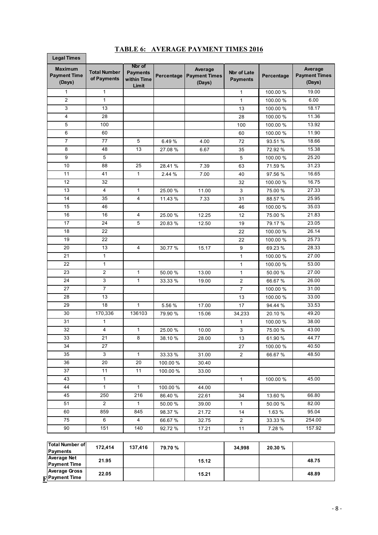| <b>Legal Times</b>                              |                                    |                                                   |            |                                           |                                       |            |                                           |
|-------------------------------------------------|------------------------------------|---------------------------------------------------|------------|-------------------------------------------|---------------------------------------|------------|-------------------------------------------|
| <b>Maximum</b><br><b>Payment Time</b><br>(Days) | <b>Total Number</b><br>of Payments | Nbr of<br><b>Payments</b><br>within Time<br>Limit | Percentage | Average<br><b>Payment Times</b><br>(Days) | <b>Nbr of Late</b><br><b>Payments</b> | Percentage | Average<br><b>Payment Times</b><br>(Days) |
| 1                                               | 1                                  |                                                   |            |                                           | 1                                     | 100.00%    | 19.00                                     |
| 2                                               | 1                                  |                                                   |            |                                           | $\mathbf{1}$                          | 100.00 %   | 6.00                                      |
| 3                                               | 13                                 |                                                   |            |                                           | 13                                    | 100.00%    | 18.17                                     |
| 4                                               | 28                                 |                                                   |            |                                           | 28                                    | 100.00 %   | 11.36                                     |
| 5                                               | 100                                |                                                   |            |                                           | 100                                   | 100.00 %   | 13.92                                     |
| 6                                               | 60                                 |                                                   |            |                                           | 60                                    | 100.00%    | 11.90                                     |
| $\overline{7}$                                  | 77                                 | 5                                                 | 6.49%      | 4.00                                      | 72                                    | 93.51 %    | 18.66                                     |
| 8                                               | 48                                 | 13                                                | 27.08%     | 6.67                                      | 35                                    | 72.92 %    | 15.38                                     |
| 9                                               | 5                                  |                                                   |            |                                           | 5                                     | 100.00%    | 25.20                                     |
| 10                                              | 88                                 | 25                                                | 28.41%     | 7.39                                      | 63                                    | 71.59 %    | 31.23                                     |
| 11                                              | 41                                 | $\mathbf{1}$                                      | 2.44 %     | 7.00                                      | 40                                    | 97.56 %    | 16.65                                     |
| 12                                              | 32                                 |                                                   |            |                                           | 32                                    | 100.00%    | 16.75                                     |
| 13                                              | 4                                  | $\mathbf{1}$                                      | 25.00 %    | 11.00                                     | 3                                     | 75.00 %    | 27.33                                     |
| 14                                              | 35                                 | $\overline{4}$                                    | 11.43%     | 7.33                                      | 31                                    | 88.57 %    | 25.95                                     |
| 15                                              | 46                                 |                                                   |            |                                           | 46                                    | 100.00%    | 35.03                                     |
| 16                                              | 16                                 | 4                                                 | 25.00 %    | 12.25                                     | 12                                    | 75.00 %    | 21.83                                     |
| 17                                              | 24                                 | 5                                                 | 20.83%     | 12.50                                     | 19                                    | 79.17%     | 23.05                                     |
| 18                                              | 22                                 |                                                   |            |                                           | 22                                    | 100.00 %   | 26.14                                     |
| 19                                              | 22                                 |                                                   |            |                                           | 22                                    | 100.00%    | 25.73                                     |
| 20                                              | 13                                 | $\overline{4}$                                    | 30.77%     | 15.17                                     | 9                                     | 69.23%     | 28.33                                     |
| 21                                              | $\mathbf{1}$                       |                                                   |            |                                           | $\mathbf{1}$                          | 100.00%    | 27.00                                     |
| 22                                              | 1                                  |                                                   |            |                                           | $\mathbf{1}$                          | 100.00%    | 53.00                                     |
| 23                                              | $\overline{c}$                     | $\mathbf{1}$                                      | 50.00 %    | 13.00                                     | $\mathbf{1}$                          | 50.00 %    | 27.00                                     |
| 24                                              | 3                                  | $\mathbf{1}$                                      | 33.33 %    | 19.00                                     | $\overline{c}$                        | 66.67%     | 26.00                                     |
| 27                                              | $\overline{7}$                     |                                                   |            |                                           | 7                                     | 100.00%    | 31.00                                     |
| 28                                              | 13                                 |                                                   |            |                                           | 13                                    | 100.00 %   | 33.00                                     |
| 29                                              | 18                                 | $\mathbf{1}$                                      | 5.56%      | 17.00                                     | 17                                    | 94.44 %    | 33.53                                     |
| 30                                              | 170,336                            | 136103                                            | 79.90 %    | 15.06                                     | 34,233                                | 20.10 %    | 49.20                                     |
| 31                                              | 1                                  |                                                   |            |                                           | 1                                     | 100.00%    | 38.00                                     |
| 32                                              | 4                                  | $\mathbf{1}$                                      | 25.00 %    | 10.00                                     | 3                                     | 75.00 %    | 43.00                                     |
| 33                                              | 21                                 | 8                                                 | 38.10 %    | 28.00                                     | 13                                    | 61.90 %    | 44.77                                     |
| 34                                              | 27                                 |                                                   |            |                                           | 27                                    | 100.00%    | 40.50                                     |
| 35                                              | $\overline{3}$                     | $\mathbf{1}$                                      | 33.33 %    | 31.00                                     | $\overline{2}$                        | 66.67%     | 48.50                                     |
| 36                                              | $\overline{20}$                    | 20                                                | 100.00%    | 30.40                                     |                                       |            |                                           |
| 37                                              | 11                                 | 11                                                | 100.00 %   | 33.00                                     |                                       |            |                                           |
| 43                                              | $\mathbf{1}$                       |                                                   |            |                                           | $\mathbf{1}$                          | 100.00 %   | 45.00                                     |
| 44                                              | 1                                  | $\mathbf{1}$                                      | 100.00%    | 44.00                                     |                                       |            |                                           |
| 45                                              | 250                                | 216                                               | 86.40%     | 22.61                                     | 34                                    | 13.60 %    | 66.80                                     |
| 51                                              | $\overline{2}$                     | $\mathbf{1}$                                      | 50.00 %    | 39.00                                     | $\mathbf{1}$                          | 50.00 %    | 82.00                                     |
| 60                                              | 859                                | 845                                               | 98.37 %    | 21.72                                     | 14                                    | 1.63%      | 95.04                                     |
| $\overline{75}$                                 | 6                                  | $\overline{4}$                                    | 66.67%     | 32.75                                     | $\overline{2}$                        | 33.33 %    | 254.00                                    |
| 90                                              | 151                                | 140                                               | 92.72%     | 17.21                                     | 11                                    | 7.28 %     | 157.92                                    |
|                                                 |                                    |                                                   |            |                                           |                                       |            |                                           |
| <b>Total Number of</b>                          | 172,414                            | 137,416                                           | 79.70%     |                                           | 34,998                                | 20.30 %    |                                           |
| <b>Payments</b><br><b>Average Net</b>           |                                    |                                                   |            |                                           |                                       |            |                                           |
| <b>Payment Time</b>                             | 21.95                              |                                                   |            | 15.12                                     |                                       |            | 48.75                                     |
| <b>Average Gross</b><br><b>F</b> Payment Time   | 22.05                              |                                                   |            | 15.21                                     |                                       |            | 48.89                                     |

### **TABLE 6: AVERAGE PAYMENT TIMES 2016**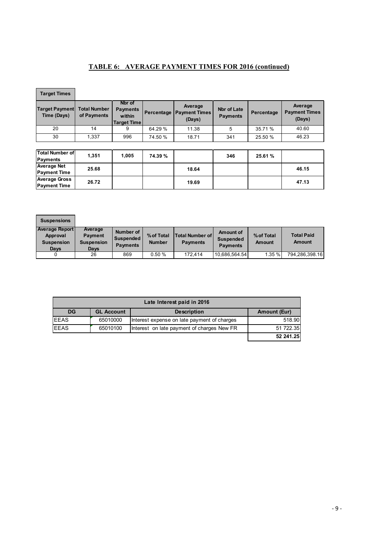#### **TABLE 6: AVERAGE PAYMENT TIMES FOR 2016 (continued)**

| <b>Target Times</b>                         |                                    |                                                    |            |                                           |                                       |            |                                           |
|---------------------------------------------|------------------------------------|----------------------------------------------------|------------|-------------------------------------------|---------------------------------------|------------|-------------------------------------------|
| <b>Target Payment</b><br>Time (Days)        | <b>Total Number</b><br>of Payments | Nbr of<br><b>Payments</b><br>within<br>Target Time | Percentage | Average<br><b>Payment Times</b><br>(Days) | <b>Nbr of Late</b><br><b>Payments</b> | Percentage | Average<br><b>Payment Times</b><br>(Days) |
| 20                                          | 14                                 | 9                                                  | 64.29 %    | 11.38                                     | 5                                     | 35.71 %    | 40.60                                     |
| 30                                          | 1,337                              | 996                                                | 74.50 %    | 18.71                                     | 341                                   | 25.50 %    | 46.23                                     |
|                                             |                                    |                                                    |            |                                           |                                       |            |                                           |
| <b>Total Number of</b><br>Payments          | 1,351                              | 1,005                                              | 74.39 %    |                                           | 346                                   | 25.61%     |                                           |
| <b>Average Net</b><br><b>Payment Time</b>   | 25.68                              |                                                    |            | 18.64                                     |                                       |            | 46.15                                     |
| <b>Average Gross</b><br><b>Payment Time</b> | 26.72                              |                                                    |            | 19.69                                     |                                       |            | 47.13                                     |

| <b>Suspensions</b>                                             |                                                        |                                           |                             |                                       |                                           |                      |                             |
|----------------------------------------------------------------|--------------------------------------------------------|-------------------------------------------|-----------------------------|---------------------------------------|-------------------------------------------|----------------------|-----------------------------|
| <b>Average Report</b><br>Approval<br><b>Suspension</b><br>Days | Average<br><b>Payment</b><br><b>Suspension</b><br>Days | Number of<br>Suspended<br><b>Payments</b> | % of Total<br><b>Number</b> | lTotal Number of l<br><b>Payments</b> | Amount of<br>Suspended<br><b>Payments</b> | % of Total<br>Amount | <b>Total Paid</b><br>Amount |
|                                                                | 26                                                     | 869                                       | 0.50%                       | 172.414                               | 10,686,564.54                             | 1.35 %               | 794,286,398.16              |

|              | Late Interest paid in 2016 |                                             |                     |  |  |  |  |  |
|--------------|----------------------------|---------------------------------------------|---------------------|--|--|--|--|--|
| <b>DG</b>    | <b>GL Account</b>          | <b>Description</b>                          | <b>Amount (Eur)</b> |  |  |  |  |  |
| <b>IEEAS</b> | 65010000                   | Interest expense on late payment of charges | 518.90              |  |  |  |  |  |
| <b>EEAS</b>  | 65010100                   | Interest on late payment of charges New FR  | 51 722.35           |  |  |  |  |  |
|              |                            |                                             | 52 241.25           |  |  |  |  |  |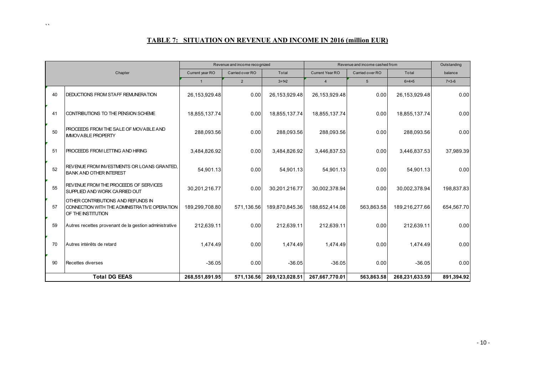#### **TABLE 7: SITUATION ON REVENUE AND INCOME IN 2016 (million EUR)**

 $\lambda$   $\lambda$ 

|    |                                                                                                          |                 | Revenue and income recognized |                |                 | Revenue and income cashed from |                | Outstanding |
|----|----------------------------------------------------------------------------------------------------------|-----------------|-------------------------------|----------------|-----------------|--------------------------------|----------------|-------------|
|    | Chapter                                                                                                  | Current year RO | Carried over RO               | Total          | Current Year RO | Carried over RO                | Total          | balance     |
|    |                                                                                                          | $\overline{1}$  | $\overline{2}$                | $3 = 1 + 2$    | $\overline{4}$  | $5\overline{)}$                | $6 = 4 + 5$    | $7 = 3 - 6$ |
| 40 | <b>DEDUCTIONS FROM STAFF REMUNERATION</b>                                                                | 26,153,929.48   | 0.00                          | 26,153,929.48  | 26,153,929.48   | 0.00                           | 26,153,929.48  | 0.00        |
| 41 | CONTRIBUTIONS TO THE PENSION SCHEME                                                                      | 18,855,137.74   | 0.00                          | 18,855,137.74  | 18,855,137.74   | 0.00                           | 18,855,137.74  | 0.00        |
| 50 | PROCEEDS FROM THE SALE OF MOVABLE AND<br><b>IMMOVABLE PROPERTY</b>                                       | 288,093.56      | 0.00                          | 288,093.56     | 288,093.56      | 0.00                           | 288,093.56     | 0.00        |
| 51 | PROCEEDS FROM LETTING AND HIRING                                                                         | 3,484,826.92    | 0.00                          | 3,484,826.92   | 3,446,837.53    | 0.00                           | 3,446,837.53   | 37,989.39   |
| 52 | REVENUE FROM INVESTMENTS OR LOANS GRANTED.<br><b>BANK AND OTHER INTEREST</b>                             | 54.901.13       | 0.00                          | 54,901.13      | 54,901.13       | 0.00                           | 54,901.13      | 0.00        |
| 55 | REVENUE FROM THE PROCEEDS OF SERVICES<br>SUPPLIED AND WORK CARRIED OUT                                   | 30,201,216.77   | 0.00                          | 30,201,216.77  | 30,002,378.94   | 0.00                           | 30,002,378.94  | 198,837.83  |
| 57 | OTHER CONTRIBUTIONS AND REFUNDS IN<br>CONNECTION WITH THE ADMINISTRATIVE OPERATION<br>OF THE INSTITUTION | 189,299,708.80  | 571,136.56                    | 189,870,845.36 | 188,652,414.08  | 563,863.58                     | 189,216,277.66 | 654,567.70  |
| 59 | Autres recettes provenant de la gestion administrative                                                   | 212,639.11      | 0.00                          | 212,639.11     | 212,639.11      | 0.00                           | 212,639.11     | 0.00        |
| 70 | Autres intérêts de retard                                                                                | 1,474.49        | 0.00                          | 1,474.49       | 1,474.49        | 0.00                           | 1,474.49       | 0.00        |
| 90 | Recettes diverses                                                                                        | $-36.05$        | 0.00                          | $-36.05$       | $-36.05$        | 0.00                           | $-36.05$       | 0.00        |
|    | <b>Total DG EEAS</b>                                                                                     | 268,551,891.95  | 571,136.56                    | 269,123,028.51 | 267,667,770.01  | 563,863.58                     | 268,231,633.59 | 891,394.92  |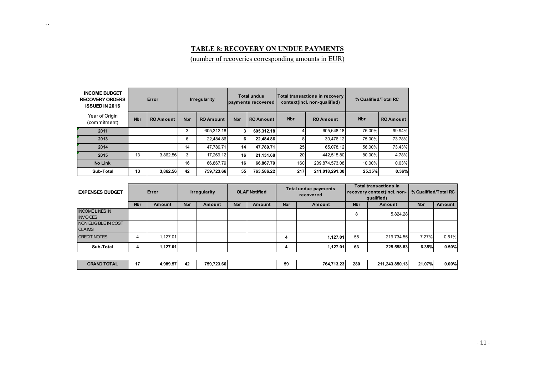#### **TABLE 8: RECOVERY ON UNDUE PAYMENTS**

(number of recoveries corresponding amounts in EUR)

| <b>INCOME BUDGET</b><br><b>RECOVERY ORDERS</b><br><b>ISSUED IN 2016</b> | Error      |                  | <b>Irregularity</b> |                  | <b>Total undue</b><br> payments recovered |                  | Total transactions in recovery<br>context(incl. non-qualified) |                  | % Qualified/Total RC |                  |
|-------------------------------------------------------------------------|------------|------------------|---------------------|------------------|-------------------------------------------|------------------|----------------------------------------------------------------|------------------|----------------------|------------------|
| Year of Origin<br>(commitment)                                          | <b>Nbr</b> | <b>RO Amount</b> | <b>Nbr</b>          | <b>RO Amount</b> | <b>Nbr</b>                                | <b>RO Amount</b> | <b>Nbr</b>                                                     | <b>RO Amount</b> | <b>Nbr</b>           | <b>RO Amount</b> |
| 2011                                                                    |            |                  |                     | 605.312.18       |                                           | 605,312.18       |                                                                | 605,648.18       | 75.00%               | 99.94%           |
| 2013                                                                    |            |                  | 6                   | 22.484.86        | 6                                         | 22.484.86        |                                                                | 30.476.12        | 75.00%               | 73.78%           |
| 2014                                                                    |            |                  | 14                  | 47.789.71        | 14                                        | 47.789.71        | 25                                                             | 65.078.12        | 56.00%               | 73.43%           |
| 2015                                                                    | 13         | 3.862.56         | 3                   | 17.269.12        | 16                                        | 21.131.68        | 20                                                             | 442.515.80       | 80.00%               | 4.78%            |
| No Link                                                                 |            |                  | 16                  | 66.867.79        | 16                                        | 66.867.79        | 160                                                            | 209,874,573.08   | 10.00%               | 0.03%            |
| Sub-Total                                                               | 13         | 3,862.56         | 42                  | 759.723.66       | 55                                        | 763.586.22       | 217                                                            | 211,018,291.30   | 25.35%               | 0.36%            |

 $\bar{\lambda}$ 

| <b>EXPENSES BUDGET</b>                    | Error      |          | <b>Irregularity</b> |            | <b>OLAF Notified</b> |        | Total undue payments<br>recovered |            | <b>Total transactions in</b><br>recovery context(incl. non-<br>qualified) |                | % Qualified/Total RC |        |
|-------------------------------------------|------------|----------|---------------------|------------|----------------------|--------|-----------------------------------|------------|---------------------------------------------------------------------------|----------------|----------------------|--------|
|                                           | <b>Nbr</b> | Amount   | <b>Nbr</b>          | Amount     | <b>Nbr</b>           | Amount | <b>Nbr</b>                        | Amount     | <b>Nbr</b>                                                                | Amount         | <b>Nbr</b>           | Amount |
| <b>INCOME LINES IN</b><br><b>INVOICES</b> |            |          |                     |            |                      |        |                                   |            | 8                                                                         | 5,824.28       |                      |        |
| NON ELIGIBLE IN COST<br><b>CLAIMS</b>     |            |          |                     |            |                      |        |                                   |            |                                                                           |                |                      |        |
| <b>CREDIT NOTES</b>                       | 4          | 1.127.01 |                     |            |                      |        | 4                                 | 1,127.01   | 55                                                                        | 219.734.55     | 7.27%                | 0.51%  |
| Sub-Total                                 | 4          | 1,127.01 |                     |            |                      |        | 4                                 | 1,127.01   | 63                                                                        | 225,558.83     | 6.35%                | 0.50%  |
|                                           |            |          |                     |            |                      |        |                                   |            |                                                                           |                |                      |        |
| <b>GRAND TOTAL</b>                        | 17         | 4.989.57 | 42                  | 759,723.66 |                      |        | 59                                | 764.713.23 | 280                                                                       | 211,243,850.13 | 21.07%               | 0.00%  |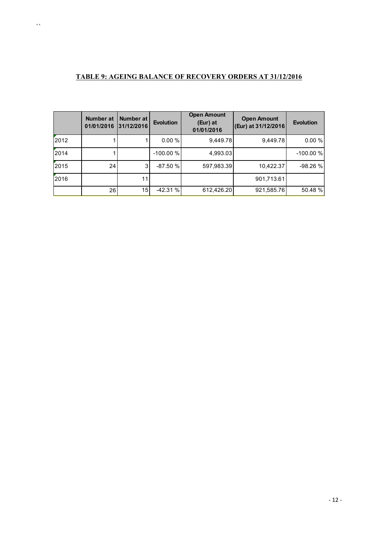|      | Number at<br>01/01/2016 | Number at<br> 31/12/2016 | <b>Evolution</b> | <b>Open Amount</b><br>(Eur) at<br>01/01/2016 | <b>Open Amount</b><br>(Eur) at 31/12/2016 | <b>Evolution</b> |
|------|-------------------------|--------------------------|------------------|----------------------------------------------|-------------------------------------------|------------------|
| 2012 |                         |                          | 0.00%            | 9.449.78                                     | 9,449.78                                  | 0.00 %           |
| 2014 |                         |                          | $-100.00%$       | 4,993.03                                     |                                           | $-100.00%$       |
| 2015 | 24                      | 3 <sup>l</sup>           | $-87.50%$        | 597,983.39                                   | 10,422.37                                 | $-98.26%$        |
| 2016 |                         | 11                       |                  |                                              | 901,713.61                                |                  |
|      | 26                      | 15 <sup>1</sup>          | $-42.31%$        | 612,426.20                                   | 921,585.76                                | 50.48%           |

### **TABLE 9: AGEING BALANCE OF RECOVERY ORDERS AT 31/12/2016**

 $\vec{X}$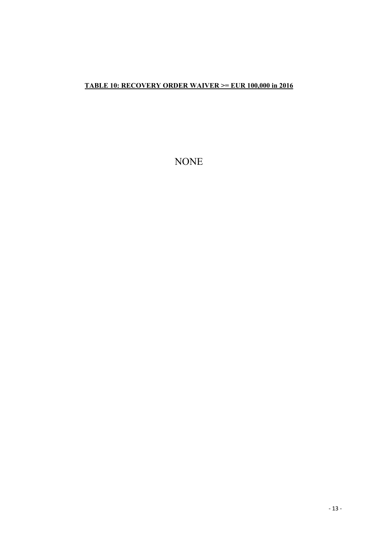#### **TABLE 10: RECOVERY ORDER WAIVER >= EUR 100,000 in 2016**

NONE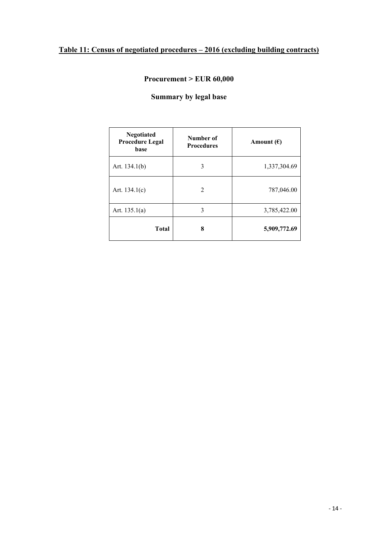## **Table 11: Census of negotiated procedures – 2016 (excluding building contracts)**

## **Procurement > EUR 60,000**

## **Summary by legal base**

| <b>Negotiated</b><br><b>Procedure Legal</b><br>base | Number of<br><b>Procedures</b> | Amount $(\epsilon)$ |
|-----------------------------------------------------|--------------------------------|---------------------|
| Art. $134.1(b)$                                     | 3                              | 1,337,304.69        |
| Art. $134.1(c)$                                     | 2                              | 787,046.00          |
| Art. $135.1(a)$                                     | 3                              | 3,785,422.00        |
| <b>Total</b>                                        | 8                              | 5,909,772.69        |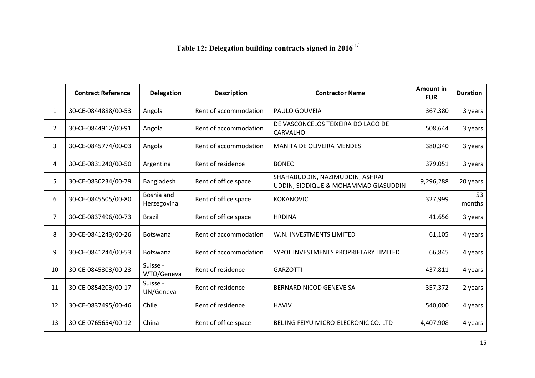|                | <b>Contract Reference</b> | <b>Delegation</b>         | <b>Description</b>    | <b>Contractor Name</b>                                                  | Amount in<br><b>EUR</b> | <b>Duration</b> |
|----------------|---------------------------|---------------------------|-----------------------|-------------------------------------------------------------------------|-------------------------|-----------------|
| 1              | 30-CE-0844888/00-53       | Angola                    | Rent of accommodation | PAULO GOUVEIA                                                           | 367,380                 | 3 years         |
| $\overline{2}$ | 30-CE-0844912/00-91       | Angola                    | Rent of accommodation | DE VASCONCELOS TEIXEIRA DO LAGO DE<br><b>CARVALHO</b>                   | 508,644                 | 3 years         |
| 3              | 30-CE-0845774/00-03       | Angola                    | Rent of accommodation | <b>MANITA DE OLIVEIRA MENDES</b>                                        | 380,340                 | 3 years         |
| 4              | 30-CE-0831240/00-50       | Argentina                 | Rent of residence     | <b>BONEO</b>                                                            | 379,051                 | 3 years         |
| 5              | 30-CE-0830234/00-79       | Bangladesh                | Rent of office space  | SHAHABUDDIN, NAZIMUDDIN, ASHRAF<br>UDDIN, SIDDIQUE & MOHAMMAD GIASUDDIN | 9,296,288               | 20 years        |
| 6              | 30-CE-0845505/00-80       | Bosnia and<br>Herzegovina | Rent of office space  | <b>KOKANOVIC</b>                                                        | 327,999                 | 53<br>months    |
| 7              | 30-CE-0837496/00-73       | <b>Brazil</b>             | Rent of office space  | <b>HRDINA</b>                                                           | 41,656                  | 3 years         |
| 8              | 30-CE-0841243/00-26       | Botswana                  | Rent of accommodation | W.N. INVESTMENTS LIMITED                                                | 61,105                  | 4 years         |
| 9              | 30-CE-0841244/00-53       | Botswana                  | Rent of accommodation | SYPOL INVESTMENTS PROPRIETARY LIMITED                                   | 66,845                  | 4 years         |
| 10             | 30-CE-0845303/00-23       | Suisse -<br>WTO/Geneva    | Rent of residence     | <b>GARZOTTI</b>                                                         | 437,811                 | 4 years         |
| 11             | 30-CE-0854203/00-17       | Suisse -<br>UN/Geneva     | Rent of residence     | BERNARD NICOD GENEVE SA                                                 | 357,372                 | 2 years         |
| 12             | 30-CE-0837495/00-46       | Chile                     | Rent of residence     | <b>HAVIV</b>                                                            | 540,000                 | 4 years         |
| 13             | 30-CE-0765654/00-12       | China                     | Rent of office space  | BEIJING FEIYU MICRO-ELECRONIC CO. LTD                                   | 4,407,908               | 4 years         |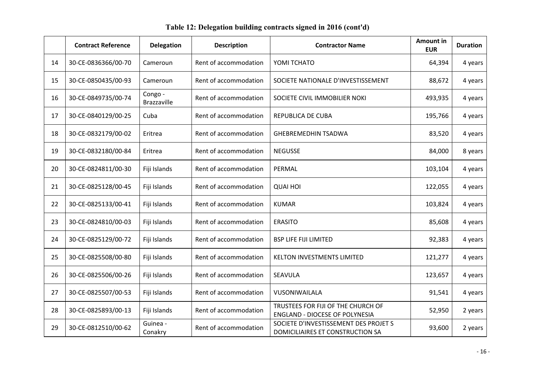|    | <b>Contract Reference</b> | <b>Delegation</b>      | <b>Description</b>    | <b>Contractor Name</b>                                                      | <b>Amount in</b><br><b>EUR</b> | <b>Duration</b> |
|----|---------------------------|------------------------|-----------------------|-----------------------------------------------------------------------------|--------------------------------|-----------------|
| 14 | 30-CE-0836366/00-70       | Cameroun               | Rent of accommodation | YOMI TCHATO                                                                 | 64,394                         | 4 years         |
| 15 | 30-CE-0850435/00-93       | Cameroun               | Rent of accommodation | SOCIETE NATIONALE D'INVESTISSEMENT                                          | 88,672                         | 4 years         |
| 16 | 30-CE-0849735/00-74       | Congo -<br>Brazzaville | Rent of accommodation | SOCIETE CIVIL IMMOBILIER NOKI                                               | 493,935                        | 4 years         |
| 17 | 30-CE-0840129/00-25       | Cuba                   | Rent of accommodation | REPUBLICA DE CUBA                                                           | 195,766                        | 4 years         |
| 18 | 30-CE-0832179/00-02       | Eritrea                | Rent of accommodation | <b>GHEBREMEDHIN TSADWA</b>                                                  | 83,520                         | 4 years         |
| 19 | 30-CE-0832180/00-84       | Eritrea                | Rent of accommodation | <b>NEGUSSE</b>                                                              | 84,000                         | 8 years         |
| 20 | 30-CE-0824811/00-30       | Fiji Islands           | Rent of accommodation | PERMAL                                                                      | 103,104                        | 4 years         |
| 21 | 30-CE-0825128/00-45       | Fiji Islands           | Rent of accommodation | <b>QUAI HOI</b>                                                             | 122,055                        | 4 years         |
| 22 | 30-CE-0825133/00-41       | Fiji Islands           | Rent of accommodation | <b>KUMAR</b>                                                                | 103,824                        | 4 years         |
| 23 | 30-CE-0824810/00-03       | Fiji Islands           | Rent of accommodation | <b>ERASITO</b>                                                              | 85,608                         | 4 years         |
| 24 | 30-CE-0825129/00-72       | Fiji Islands           | Rent of accommodation | <b>BSP LIFE FIJI LIMITED</b>                                                | 92,383                         | 4 years         |
| 25 | 30-CE-0825508/00-80       | Fiji Islands           | Rent of accommodation | KELTON INVESTMENTS LIMITED                                                  | 121,277                        | 4 years         |
| 26 | 30-CE-0825506/00-26       | Fiji Islands           | Rent of accommodation | SEAVULA                                                                     | 123,657                        | 4 years         |
| 27 | 30-CE-0825507/00-53       | Fiji Islands           | Rent of accommodation | VUSONIWAILALA                                                               | 91,541                         | 4 years         |
| 28 | 30-CE-0825893/00-13       | Fiji Islands           | Rent of accommodation | TRUSTEES FOR FIJI OF THE CHURCH OF<br><b>ENGLAND - DIOCESE OF POLYNESIA</b> | 52,950                         | 2 years         |
| 29 | 30-CE-0812510/00-62       | Guinea -<br>Conakry    | Rent of accommodation | SOCIETE D'INVESTISSEMENT DES PROJET S<br>DOMICILIAIRES ET CONSTRUCTION SA   | 93,600                         | 2 years         |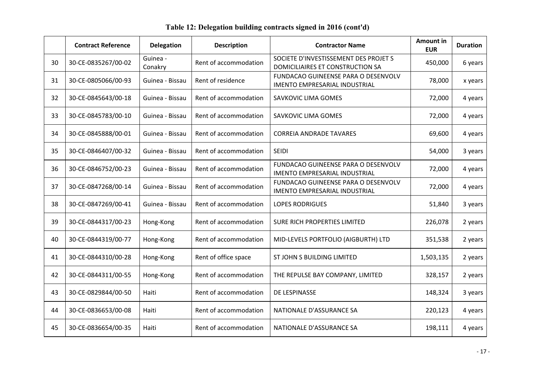|    | <b>Contract Reference</b> | <b>Delegation</b>   | <b>Description</b>    | <b>Contractor Name</b>                                                      | <b>Amount in</b><br><b>EUR</b> | <b>Duration</b> |
|----|---------------------------|---------------------|-----------------------|-----------------------------------------------------------------------------|--------------------------------|-----------------|
| 30 | 30-CE-0835267/00-02       | Guinea -<br>Conakry | Rent of accommodation | SOCIETE D'INVESTISSEMENT DES PROJET S<br>DOMICILIAIRES ET CONSTRUCTION SA   | 450,000                        | 6 years         |
| 31 | 30-CE-0805066/00-93       | Guinea - Bissau     | Rent of residence     | FUNDACAO GUINEENSE PARA O DESENVOLV<br><b>IMENTO EMPRESARIAL INDUSTRIAL</b> | 78,000                         | x years         |
| 32 | 30-CE-0845643/00-18       | Guinea - Bissau     | Rent of accommodation | SAVKOVIC LIMA GOMES                                                         | 72,000                         | 4 years         |
| 33 | 30-CE-0845783/00-10       | Guinea - Bissau     | Rent of accommodation | <b>SAVKOVIC LIMA GOMES</b>                                                  | 72,000                         | 4 years         |
| 34 | 30-CE-0845888/00-01       | Guinea - Bissau     | Rent of accommodation | <b>CORREIA ANDRADE TAVARES</b>                                              | 69,600                         | 4 years         |
| 35 | 30-CE-0846407/00-32       | Guinea - Bissau     | Rent of accommodation | <b>SEIDI</b>                                                                | 54,000                         | 3 years         |
| 36 | 30-CE-0846752/00-23       | Guinea - Bissau     | Rent of accommodation | FUNDACAO GUINEENSE PARA O DESENVOLV<br><b>IMENTO EMPRESARIAL INDUSTRIAL</b> | 72,000                         | 4 years         |
| 37 | 30-CE-0847268/00-14       | Guinea - Bissau     | Rent of accommodation | FUNDACAO GUINEENSE PARA O DESENVOLV<br><b>IMENTO EMPRESARIAL INDUSTRIAL</b> | 72,000                         | 4 years         |
| 38 | 30-CE-0847269/00-41       | Guinea - Bissau     | Rent of accommodation | <b>LOPES RODRIGUES</b>                                                      | 51,840                         | 3 years         |
| 39 | 30-CE-0844317/00-23       | Hong-Kong           | Rent of accommodation | <b>SURE RICH PROPERTIES LIMITED</b>                                         | 226,078                        | 2 years         |
| 40 | 30-CE-0844319/00-77       | Hong-Kong           | Rent of accommodation | MID-LEVELS PORTFOLIO (AIGBURTH) LTD                                         | 351,538                        | 2 years         |
| 41 | 30-CE-0844310/00-28       | Hong-Kong           | Rent of office space  | ST JOHN S BUILDING LIMITED                                                  | 1,503,135                      | 2 years         |
| 42 | 30-CE-0844311/00-55       | Hong-Kong           | Rent of accommodation | THE REPULSE BAY COMPANY, LIMITED                                            | 328,157                        | 2 years         |
| 43 | 30-CE-0829844/00-50       | Haiti               | Rent of accommodation | DE LESPINASSE                                                               | 148,324                        | 3 years         |
| 44 | 30-CE-0836653/00-08       | Haiti               | Rent of accommodation | NATIONALE D'ASSURANCE SA                                                    | 220,123                        | 4 years         |
| 45 | 30-CE-0836654/00-35       | Haiti               | Rent of accommodation | NATIONALE D'ASSURANCE SA                                                    | 198,111                        | 4 years         |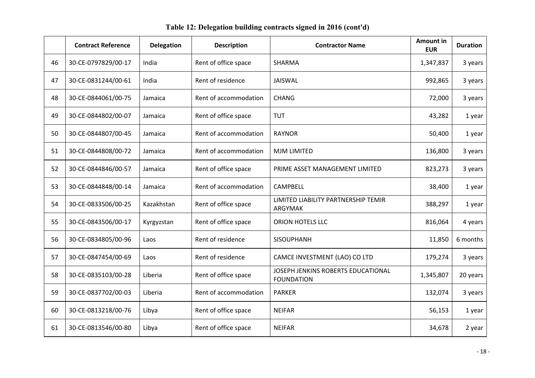|    | <b>Contract Reference</b> | <b>Delegation</b> | <b>Description</b>    | <b>Contractor Name</b>                                  | <b>Amount in</b><br><b>EUR</b> | <b>Duration</b> |
|----|---------------------------|-------------------|-----------------------|---------------------------------------------------------|--------------------------------|-----------------|
| 46 | 30-CE-0797829/00-17       | India             | Rent of office space  | SHARMA                                                  | 1,347,837                      | 3 years         |
| 47 | 30-CE-0831244/00-61       | India             | Rent of residence     | JAISWAL                                                 | 992,865                        | 3 years         |
| 48 | 30-CE-0844061/00-75       | Jamaica           | Rent of accommodation | <b>CHANG</b>                                            | 72,000                         | 3 years         |
| 49 | 30-CE-0844802/00-07       | Jamaica           | Rent of office space  | <b>TUT</b>                                              | 43,282                         | 1 year          |
| 50 | 30-CE-0844807/00-45       | Jamaica           | Rent of accommodation | <b>RAYNOR</b>                                           | 50,400                         | 1 year          |
| 51 | 30-CE-0844808/00-72       | Jamaica           | Rent of accommodation | <b>MJM LIMITED</b>                                      | 136,800                        | 3 years         |
| 52 | 30-CE-0844846/00-57       | Jamaica           | Rent of office space  | PRIME ASSET MANAGEMENT LIMITED                          | 823,273                        | 3 years         |
| 53 | 30-CE-0844848/00-14       | Jamaica           | Rent of accommodation | <b>CAMPBELL</b>                                         | 38,400                         | 1 year          |
| 54 | 30-CE-0833506/00-25       | Kazakhstan        | Rent of office space  | LIMITED LIABILITY PARTNERSHIP TEMIR<br>ARGYMAK          | 388,297                        | 1 year          |
| 55 | 30-CE-0843506/00-17       | Kyrgyzstan        | Rent of office space  | ORION HOTELS LLC                                        | 816,064                        | 4 years         |
| 56 | 30-CE-0834805/00-96       | Laos              | Rent of residence     | SISOUPHANH                                              | 11,850                         | 6 months        |
| 57 | 30-CE-0847454/00-69       | Laos              | Rent of residence     | CAMCE INVESTMENT (LAO) CO LTD                           | 179,274                        | 3 years         |
| 58 | 30-CE-0835103/00-28       | Liberia           | Rent of office space  | JOSEPH JENKINS ROBERTS EDUCATIONAL<br><b>FOUNDATION</b> | 1,345,807                      | 20 years        |
| 59 | 30-CE-0837702/00-03       | Liberia           | Rent of accommodation | <b>PARKER</b>                                           | 132,074                        | 3 years         |
| 60 | 30-CE-0813218/00-76       | Libya             | Rent of office space  | <b>NEIFAR</b>                                           | 56,153                         | 1 year          |
| 61 | 30-CE-0813546/00-80       | Libya             | Rent of office space  | <b>NEIFAR</b>                                           | 34,678                         | 2 year          |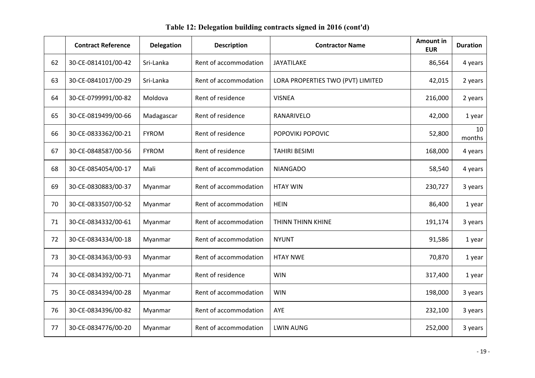|    | <b>Contract Reference</b> | <b>Delegation</b> | <b>Description</b>    | <b>Contractor Name</b>            | <b>Amount in</b><br><b>EUR</b> | <b>Duration</b> |
|----|---------------------------|-------------------|-----------------------|-----------------------------------|--------------------------------|-----------------|
| 62 | 30-CE-0814101/00-42       | Sri-Lanka         | Rent of accommodation | JAYATILAKE                        | 86,564                         | 4 years         |
| 63 | 30-CE-0841017/00-29       | Sri-Lanka         | Rent of accommodation | LORA PROPERTIES TWO (PVT) LIMITED | 42,015                         | 2 years         |
| 64 | 30-CE-0799991/00-82       | Moldova           | Rent of residence     | <b>VISNEA</b>                     | 216,000                        | 2 years         |
| 65 | 30-CE-0819499/00-66       | Madagascar        | Rent of residence     | RANARIVELO                        | 42,000                         | 1 year          |
| 66 | 30-CE-0833362/00-21       | <b>FYROM</b>      | Rent of residence     | POPOVIKJ POPOVIC                  | 52,800                         | 10<br>months    |
| 67 | 30-CE-0848587/00-56       | <b>FYROM</b>      | Rent of residence     | <b>TAHIRI BESIMI</b>              | 168,000                        | 4 years         |
| 68 | 30-CE-0854054/00-17       | Mali              | Rent of accommodation | <b>NIANGADO</b>                   | 58,540                         | 4 years         |
| 69 | 30-CE-0830883/00-37       | Myanmar           | Rent of accommodation | <b>HTAY WIN</b>                   | 230,727                        | 3 years         |
| 70 | 30-CE-0833507/00-52       | Myanmar           | Rent of accommodation | <b>HEIN</b>                       | 86,400                         | 1 year          |
| 71 | 30-CE-0834332/00-61       | Myanmar           | Rent of accommodation | THINN THINN KHINE                 | 191,174                        | 3 years         |
| 72 | 30-CE-0834334/00-18       | Myanmar           | Rent of accommodation | <b>NYUNT</b>                      | 91,586                         | 1 year          |
| 73 | 30-CE-0834363/00-93       | Myanmar           | Rent of accommodation | <b>HTAY NWE</b>                   | 70,870                         | 1 year          |
| 74 | 30-CE-0834392/00-71       | Myanmar           | Rent of residence     | <b>WIN</b>                        | 317,400                        | 1 year          |
| 75 | 30-CE-0834394/00-28       | Myanmar           | Rent of accommodation | <b>WIN</b>                        | 198,000                        | 3 years         |
| 76 | 30-CE-0834396/00-82       | Myanmar           | Rent of accommodation | AYE                               | 232,100                        | 3 years         |
| 77 | 30-CE-0834776/00-20       | Myanmar           | Rent of accommodation | <b>LWIN AUNG</b>                  | 252,000                        | 3 years         |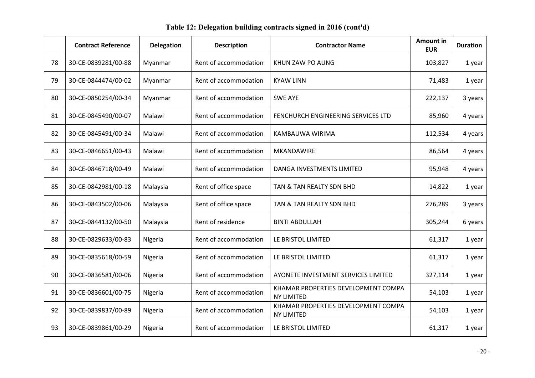|    | <b>Contract Reference</b> | <b>Delegation</b> | <b>Description</b>    | <b>Contractor Name</b>                                   | <b>Amount in</b><br><b>EUR</b> | <b>Duration</b> |
|----|---------------------------|-------------------|-----------------------|----------------------------------------------------------|--------------------------------|-----------------|
| 78 | 30-CE-0839281/00-88       | Myanmar           | Rent of accommodation | KHUN ZAW PO AUNG                                         | 103,827                        | 1 year          |
| 79 | 30-CE-0844474/00-02       | Myanmar           | Rent of accommodation | <b>KYAW LINN</b>                                         | 71,483                         | 1 year          |
| 80 | 30-CE-0850254/00-34       | Myanmar           | Rent of accommodation | <b>SWE AYE</b>                                           | 222,137                        | 3 years         |
| 81 | 30-CE-0845490/00-07       | Malawi            | Rent of accommodation | FENCHURCH ENGINEERING SERVICES LTD                       | 85,960                         | 4 years         |
| 82 | 30-CE-0845491/00-34       | Malawi            | Rent of accommodation | KAMBAUWA WIRIMA                                          | 112,534                        | 4 years         |
| 83 | 30-CE-0846651/00-43       | Malawi            | Rent of accommodation | MKANDAWIRE                                               | 86,564                         | 4 years         |
| 84 | 30-CE-0846718/00-49       | Malawi            | Rent of accommodation | DANGA INVESTMENTS LIMITED                                | 95,948                         | 4 years         |
| 85 | 30-CE-0842981/00-18       | Malaysia          | Rent of office space  | TAN & TAN REALTY SDN BHD                                 | 14,822                         | 1 year          |
| 86 | 30-CE-0843502/00-06       | Malaysia          | Rent of office space  | TAN & TAN REALTY SDN BHD                                 | 276,289                        | 3 years         |
| 87 | 30-CE-0844132/00-50       | Malaysia          | Rent of residence     | <b>BINTI ABDULLAH</b>                                    | 305,244                        | 6 years         |
| 88 | 30-CE-0829633/00-83       | Nigeria           | Rent of accommodation | LE BRISTOL LIMITED                                       | 61,317                         | 1 year          |
| 89 | 30-CE-0835618/00-59       | Nigeria           | Rent of accommodation | LE BRISTOL LIMITED                                       | 61,317                         | 1 year          |
| 90 | 30-CE-0836581/00-06       | Nigeria           | Rent of accommodation | AYONETE INVESTMENT SERVICES LIMITED                      | 327,114                        | 1 year          |
| 91 | 30-CE-0836601/00-75       | Nigeria           | Rent of accommodation | KHAMAR PROPERTIES DEVELOPMENT COMPA<br><b>NY LIMITED</b> | 54,103                         | 1 year          |
| 92 | 30-CE-0839837/00-89       | Nigeria           | Rent of accommodation | KHAMAR PROPERTIES DEVELOPMENT COMPA<br><b>NY LIMITED</b> | 54,103                         | 1 year          |
| 93 | 30-CE-0839861/00-29       | Nigeria           | Rent of accommodation | LE BRISTOL LIMITED                                       | 61,317                         | 1 year          |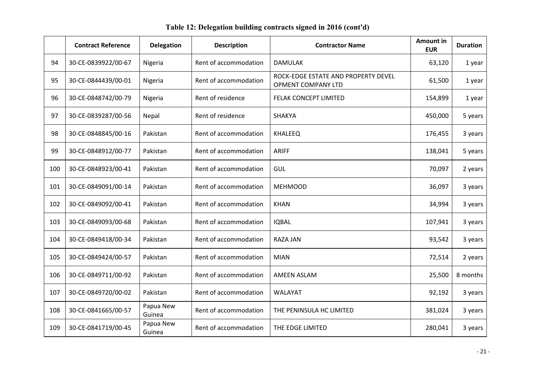|     | <b>Contract Reference</b> | <b>Delegation</b>   | <b>Description</b>    | <b>Contractor Name</b>                                    | <b>Amount in</b><br><b>EUR</b> | <b>Duration</b> |
|-----|---------------------------|---------------------|-----------------------|-----------------------------------------------------------|--------------------------------|-----------------|
| 94  | 30-CE-0839922/00-67       | Nigeria             | Rent of accommodation | <b>DAMULAK</b>                                            | 63,120                         | 1 year          |
| 95  | 30-CE-0844439/00-01       | Nigeria             | Rent of accommodation | ROCK-EDGE ESTATE AND PROPERTY DEVEL<br>OPMENT COMPANY LTD | 61,500                         | 1 year          |
| 96  | 30-CE-0848742/00-79       | Nigeria             | Rent of residence     | FELAK CONCEPT LIMITED                                     | 154,899                        | 1 year          |
| 97  | 30-CE-0839287/00-56       | Nepal               | Rent of residence     | <b>SHAKYA</b>                                             | 450,000                        | 5 years         |
| 98  | 30-CE-0848845/00-16       | Pakistan            | Rent of accommodation | <b>KHALEEQ</b>                                            | 176,455                        | 3 years         |
| 99  | 30-CE-0848912/00-77       | Pakistan            | Rent of accommodation | <b>ARIFF</b>                                              | 138,041                        | 5 years         |
| 100 | 30-CE-0848923/00-41       | Pakistan            | Rent of accommodation | GUL                                                       | 70,097                         | 2 years         |
| 101 | 30-CE-0849091/00-14       | Pakistan            | Rent of accommodation | <b>MEHMOOD</b>                                            | 36,097                         | 3 years         |
| 102 | 30-CE-0849092/00-41       | Pakistan            | Rent of accommodation | <b>KHAN</b>                                               | 34,994                         | 3 years         |
| 103 | 30-CE-0849093/00-68       | Pakistan            | Rent of accommodation | <b>IQBAL</b>                                              | 107,941                        | 3 years         |
| 104 | 30-CE-0849418/00-34       | Pakistan            | Rent of accommodation | <b>RAZA JAN</b>                                           | 93,542                         | 3 years         |
| 105 | 30-CE-0849424/00-57       | Pakistan            | Rent of accommodation | <b>MIAN</b>                                               | 72,514                         | 2 years         |
| 106 | 30-CE-0849711/00-92       | Pakistan            | Rent of accommodation | <b>AMEEN ASLAM</b>                                        | 25,500                         | 8 months        |
| 107 | 30-CE-0849720/00-02       | Pakistan            | Rent of accommodation | <b>WALAYAT</b>                                            | 92,192                         | 3 years         |
| 108 | 30-CE-0841665/00-57       | Papua New<br>Guinea | Rent of accommodation | THE PENINSULA HC LIMITED                                  | 381,024                        | 3 years         |
| 109 | 30-CE-0841719/00-45       | Papua New<br>Guinea | Rent of accommodation | THE EDGE LIMITED                                          | 280,041                        | 3 years         |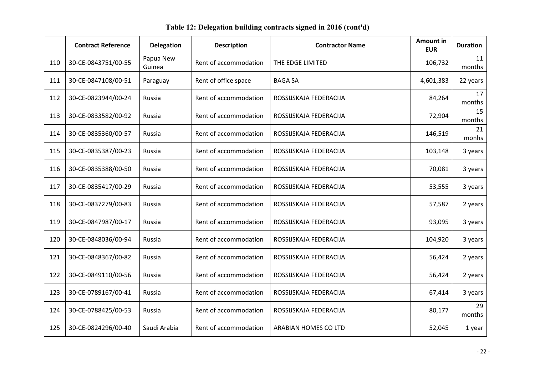|     | <b>Contract Reference</b> | <b>Delegation</b>   | <b>Description</b>    | <b>Contractor Name</b> | <b>Amount in</b><br><b>EUR</b> | <b>Duration</b> |
|-----|---------------------------|---------------------|-----------------------|------------------------|--------------------------------|-----------------|
| 110 | 30-CE-0843751/00-55       | Papua New<br>Guinea | Rent of accommodation | THE EDGE LIMITED       | 106,732                        | 11<br>months    |
| 111 | 30-CE-0847108/00-51       | Paraguay            | Rent of office space  | <b>BAGA SA</b>         | 4,601,383                      | 22 years        |
| 112 | 30-CE-0823944/00-24       | Russia              | Rent of accommodation | ROSSIJSKAJA FEDERACIJA | 84,264                         | 17<br>months    |
| 113 | 30-CE-0833582/00-92       | Russia              | Rent of accommodation | ROSSIJSKAJA FEDERACIJA | 72,904                         | 15<br>months    |
| 114 | 30-CE-0835360/00-57       | Russia              | Rent of accommodation | ROSSIJSKAJA FEDERACIJA | 146,519                        | 21<br>monhs     |
| 115 | 30-CE-0835387/00-23       | Russia              | Rent of accommodation | ROSSIJSKAJA FEDERACIJA | 103,148                        | 3 years         |
| 116 | 30-CE-0835388/00-50       | <b>Russia</b>       | Rent of accommodation | ROSSIJSKAJA FEDERACIJA | 70,081                         | 3 years         |
| 117 | 30-CE-0835417/00-29       | Russia              | Rent of accommodation | ROSSIJSKAJA FEDERACIJA | 53,555                         | 3 years         |
| 118 | 30-CE-0837279/00-83       | Russia              | Rent of accommodation | ROSSIJSKAJA FEDERACIJA | 57,587                         | 2 years         |
| 119 | 30-CE-0847987/00-17       | Russia              | Rent of accommodation | ROSSIJSKAJA FEDERACIJA | 93,095                         | 3 years         |
| 120 | 30-CE-0848036/00-94       | Russia              | Rent of accommodation | ROSSIJSKAJA FEDERACIJA | 104,920                        | 3 years         |
| 121 | 30-CE-0848367/00-82       | Russia              | Rent of accommodation | ROSSIJSKAJA FEDERACIJA | 56,424                         | 2 years         |
| 122 | 30-CE-0849110/00-56       | Russia              | Rent of accommodation | ROSSIJSKAJA FEDERACIJA | 56,424                         | 2 years         |
| 123 | 30-CE-0789167/00-41       | Russia              | Rent of accommodation | ROSSIJSKAJA FEDERACIJA | 67,414                         | 3 years         |
| 124 | 30-CE-0788425/00-53       | Russia              | Rent of accommodation | ROSSIJSKAJA FEDERACIJA | 80,177                         | 29<br>months    |
| 125 | 30-CE-0824296/00-40       | Saudi Arabia        | Rent of accommodation | ARABIAN HOMES CO LTD   | 52,045                         | 1 year          |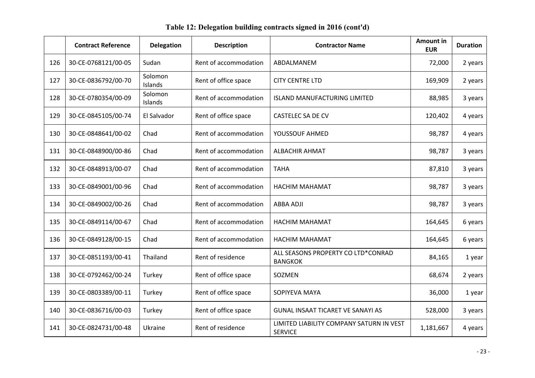# **Contract Reference Delegation Description 1 Contractor Name** 20 **Amount in** Duration **Properties I** 126 30-CE-0768121/00-05 Sudan Rent of accommodation ABDALMANEM 72,000 2 years 127 30-CE-0836792/00-70 Solomon Rent of office space CITY CENTRE LTD 169,909 169,909 2 years 128 30-CE-0780354/00-09 Solomon Rent of accommodation ISLAND MANUFACTURING LIMITED 88,985 3 years 129 30-CE-0845105/00-74 El Salvador Rent of office space CASTELEC SA DE CV CASTELEC SA DE CV 120,402 4 years 130 30-CE-0848641/00-02 Chad Rent of accommodation YOUSSOUF AHMED 98.787 98.787 4 years 131 30-CE-0848900/00-86 Chad Rent of accommodation ALBACHIR AHMAT 30-CE-0848900/00-86 Chad 132 30-CE-0848913/00-07 Chad Rent of accommodation TAHA 87,810 3 years 133 30-CE-0849001/00-96 Chad Rent of accommodation HACHIM MAHAMAT 30-CE-0849001/00-96 Chad 134 30-CE-0849002/00-26 Chad Rent of accommodation ABBA ADJI 98,787 3 years 135 30-CE-0849114/00-67 Chad Rent of accommodation HACHIM MAHAMAT 164,645 | 6 years 136 30-CE-0849128/00-15 Chad Rent of accommodation HACHIM MAHAMAT Research 164,645 6 years 137 30-CE-0851193/00-41 Thailand Rent of residence ALL SEASONS PROPERTY CO LTD\*CONRAD 84,165 1 year 138 30-CE-0792462/00-24 Turkey Rent of office space SOZMEN 502MEN 68,674 2 years 139 30-CE-0803389/00-11 Turkey Rent of office space SOPIYEVA MAYA SOPIYEVA MAYA 36,000 1 year 140 30-CE-0836716/00-03 Turkey | Rent of office space | GUNAL INSAAT TICARET VE SANAYI AS | 528,000 | 3 years 141 30-CE-0824731/00-48 Ukraine Rent of residence LIMITED LIABILITY COMPANY SATURN IN VEST 1,181,667 4 years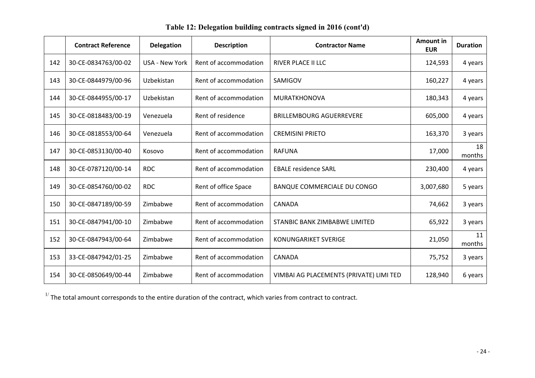| Table 12: Delegation building contracts signed in 2016 (cont'd) |  |  |  |
|-----------------------------------------------------------------|--|--|--|
|-----------------------------------------------------------------|--|--|--|

|     | <b>Contract Reference</b> | <b>Delegation</b>     | <b>Description</b>    | <b>Contractor Name</b>                  | <b>Amount in</b><br><b>EUR</b> | <b>Duration</b> |
|-----|---------------------------|-----------------------|-----------------------|-----------------------------------------|--------------------------------|-----------------|
| 142 | 30-CE-0834763/00-02       | <b>USA - New York</b> | Rent of accommodation | RIVER PLACE II LLC                      | 124,593                        | 4 years         |
| 143 | 30-CE-0844979/00-96       | Uzbekistan            | Rent of accommodation | SAMIGOV                                 | 160,227                        | 4 years         |
| 144 | 30-CE-0844955/00-17       | Uzbekistan            | Rent of accommodation | <b>MURATKHONOVA</b>                     | 180,343                        | 4 years         |
| 145 | 30-CE-0818483/00-19       | Venezuela             | Rent of residence     | <b>BRILLEMBOURG AGUERREVERE</b>         | 605,000                        | 4 years         |
| 146 | 30-CE-0818553/00-64       | Venezuela             | Rent of accommodation | <b>CREMISINI PRIETO</b>                 | 163,370                        | 3 years         |
| 147 | 30-CE-0853130/00-40       | Kosovo                | Rent of accommodation | <b>RAFUNA</b>                           | 17,000                         | 18<br>months    |
| 148 | 30-CE-0787120/00-14       | <b>RDC</b>            | Rent of accommodation | <b>EBALE residence SARL</b>             | 230,400                        | 4 years         |
| 149 | 30-CE-0854760/00-02       | <b>RDC</b>            | Rent of office Space  | BANQUE COMMERCIALE DU CONGO             | 3,007,680                      | 5 years         |
| 150 | 30-CE-0847189/00-59       | Zimbabwe              | Rent of accommodation | <b>CANADA</b>                           | 74,662                         | 3 years         |
| 151 | 30-CE-0847941/00-10       | Zimbabwe              | Rent of accommodation | STANBIC BANK ZIMBABWE LIMITED           | 65,922                         | 3 years         |
| 152 | 30-CE-0847943/00-64       | Zimbabwe              | Rent of accommodation | <b>KONUNGARIKET SVERIGE</b>             | 21,050                         | 11<br>months    |
| 153 | 33-CE-0847942/01-25       | Zimbabwe              | Rent of accommodation | <b>CANADA</b>                           | 75,752                         | 3 years         |
| 154 | 30-CE-0850649/00-44       | Zimbabwe              | Rent of accommodation | VIMBAI AG PLACEMENTS (PRIVATE) LIMI TED | 128,940                        | 6 years         |

 $1/$  The total amount corresponds to the entire duration of the contract, which varies from contract to contract.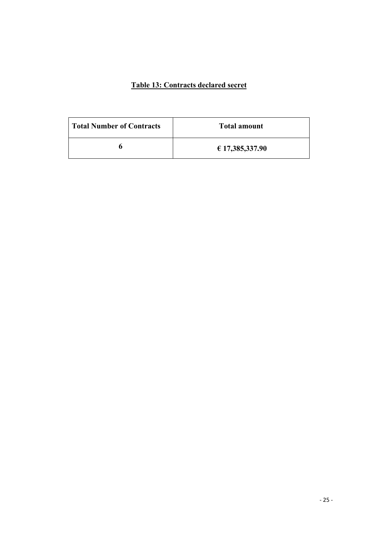#### **Table 13: Contracts declared secret**

| <b>Total Number of Contracts</b> | <b>Total amount</b> |
|----------------------------------|---------------------|
|                                  | € 17,385,337.90     |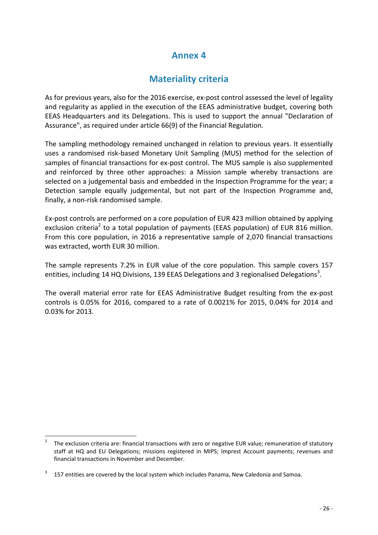## **Annex 4**

## **Materiality criteria**

As for previous years, also for the 2016 exercise, ex-post control assessed the level of legality and regularity as applied in the execution of the EEAS administrative budget, covering both EEAS Headquarters and its Delegations. This is used to support the annual "Declaration of Assurance", as required under article 66(9) of the Financial Regulation.

The sampling methodology remained unchanged in relation to previous years. It essentially uses a randomised risk-based Monetary Unit Sampling (MUS) method for the selection of samples of financial transactions for ex-post control. The MUS sample is also supplemented and reinforced by three other approaches: a Mission sample whereby transactions are selected on a judgemental basis and embedded in the Inspection Programme for the year; a Detection sample equally judgemental, but not part of the Inspection Programme and, finally, a non-risk randomised sample.

Ex-post controls are performed on a core population of EUR 423 million obtained by applying exclusion criteria<sup>2</sup> to a total population of payments (EEAS population) of EUR 816 million. From this core population, in 2016 a representative sample of 2,070 financial transactions was extracted, worth EUR 30 million.

The sample represents 7.2% in EUR value of the core population. This sample covers 157 entities, including 14 HQ Divisions, 139 EEAS Delegations and 3 regionalised Delegations<sup>3</sup>.

The overall material error rate for EEAS Administrative Budget resulting from the ex-post controls is 0.05% for 2016, compared to a rate of 0.0021% for 2015, 0.04% for 2014 and 0.03% for 2013.

<u>.</u>

<sup>2</sup> The exclusion criteria are: financial transactions with zero or negative EUR value; remuneration of statutory staff at HQ and EU Delegations; missions registered in MIPS; Imprest Account payments; revenues and financial transactions in November and December.

<sup>3</sup> 157 entities are covered by the local system which includes Panama, New Caledonia and Samoa.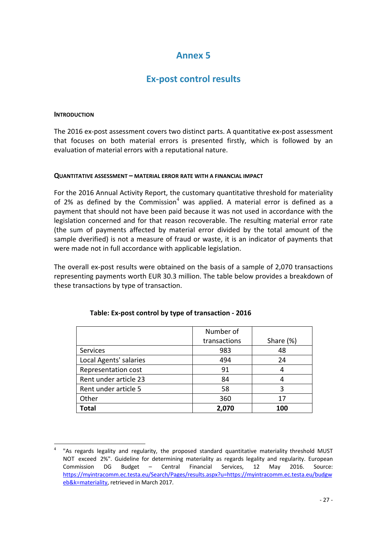## **Annex 5**

## **Ex-post control results**

#### **INTRODUCTION**

1

The 2016 ex-post assessment covers two distinct parts. A quantitative ex-post assessment that focuses on both material errors is presented firstly, which is followed by an evaluation of material errors with a reputational nature.

#### **QUANTITATIVE ASSESSMENT – MATERIAL ERROR RATE WITH A FINANCIAL IMPACT**

For the 2016 Annual Activity Report, the customary quantitative threshold for materiality of 2% as defined by the Commission<sup>4</sup> was applied. A material error is defined as a payment that should not have been paid because it was not used in accordance with the legislation concerned and for that reason recoverable. The resulting material error rate (the sum of payments affected by material error divided by the total amount of the sample dverified) is not a measure of fraud or waste, it is an indicator of payments that were made not in full accordance with applicable legislation.

The overall ex-post results were obtained on the basis of a sample of 2,070 transactions representing payments worth EUR 30.3 million. The table below provides a breakdown of these transactions by type of transaction.

|                        | Number of    |           |
|------------------------|--------------|-----------|
|                        | transactions | Share (%) |
| Services               | 983          | 48        |
| Local Agents' salaries | 494          | 24        |
| Representation cost    | 91           |           |
| Rent under article 23  | 84           |           |
| Rent under article 5   | 58           | 3         |
| Other                  | 360          | 17        |
| <b>Total</b>           | 2,070        | 100       |

#### **Table: Ex-post control by type of transaction - 2016**

<sup>4</sup> "As regards legality and regularity, the proposed standard quantitative materiality threshold MUST NOT exceed 2%". Guideline for determining materiality as regards legality and regularity. European Commission DG Budget – Central Financial Services, 12 May 2016. Source: https://myintracomm.ec.testa.eu/Search/Pages/results.aspx?u=https://myintracomm.ec.testa.eu/budgw eb&k=materiality, retrieved in March 2017.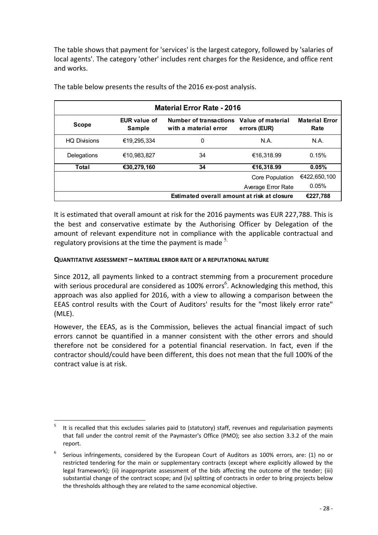The table shows that payment for 'services' is the largest category, followed by 'salaries of local agents'. The category 'other' includes rent charges for the Residence, and office rent and works.

| <b>Material Error Rate - 2016</b> |                                      |                                                                   |                    |                               |  |
|-----------------------------------|--------------------------------------|-------------------------------------------------------------------|--------------------|-------------------------------|--|
| <b>Scope</b>                      | <b>EUR</b> value of<br><b>Sample</b> | Number of transactions Value of material<br>with a material error | errors (EUR)       | <b>Material Error</b><br>Rate |  |
| <b>HO Divisions</b>               | €19,295,334                          | 0                                                                 | N.A.               | N.A.                          |  |
| Delegations                       | €10.983.827                          | 34                                                                | €16.318.99         | 0.15%                         |  |
| Total                             | €30,279,160                          | 34                                                                | €16,318.99         | 0.05%                         |  |
|                                   |                                      |                                                                   | Core Population    | €422,650,100                  |  |
|                                   |                                      |                                                                   | Average Error Rate | 0.05%                         |  |
|                                   |                                      | Estimated overall amount at risk at closure                       |                    | €227.788                      |  |

The table below presents the results of the 2016 ex-post analysis.

It is estimated that overall amount at risk for the 2016 payments was EUR 227,788. This is the best and conservative estimate by the Authorising Officer by Delegation of the amount of relevant expenditure not in compliance with the applicable contractual and regulatory provisions at the time the payment is made  $5$ .

#### **QUANTITATIVE ASSESSMENT – MATERIAL ERROR RATE OF A REPUTATIONAL NATURE**

Since 2012, all payments linked to a contract stemming from a procurement procedure with serious procedural are considered as 100% errors<sup>6</sup>. Acknowledging this method, this approach was also applied for 2016, with a view to allowing a comparison between the EEAS control results with the Court of Auditors' results for the "most likely error rate" (MLE).

However, the EEAS, as is the Commission, believes the actual financial impact of such errors cannot be quantified in a manner consistent with the other errors and should therefore not be considered for a potential financial reservation. In fact, even if the contractor should/could have been different, this does not mean that the full 100% of the contract value is at risk.

<sup>1</sup> 5 It is recalled that this excludes salaries paid to (statutory) staff, revenues and regularisation payments that fall under the control remit of the Paymaster's Office (PMO); see also section 3.3.2 of the main report.

<sup>6</sup> Serious infringements, considered by the European Court of Auditors as 100% errors, are: (1) no or restricted tendering for the main or supplementary contracts (except where explicitly allowed by the legal framework); (ii) inappropriate assessment of the bids affecting the outcome of the tender; (iii) substantial change of the contract scope; and (iv) splitting of contracts in order to bring projects below the thresholds although they are related to the same economical objective.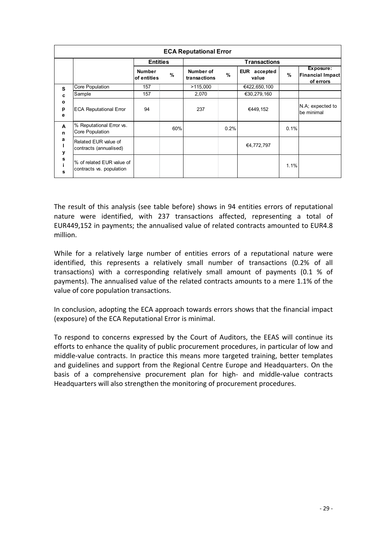| <b>ECA Reputational Error</b>        |                                                       |                              |               |                           |               |                                 |      |                                                   |
|--------------------------------------|-------------------------------------------------------|------------------------------|---------------|---------------------------|---------------|---------------------------------|------|---------------------------------------------------|
|                                      |                                                       | <b>Entities</b>              |               | <b>Transactions</b>       |               |                                 |      |                                                   |
|                                      |                                                       | <b>Number</b><br>of entities | $\frac{9}{6}$ | Number of<br>transactions | $\frac{9}{6}$ | <b>EUR</b><br>accepted<br>value | %    | Exposure:<br><b>Financial Impact</b><br>of errors |
| S                                    | Core Population                                       | 157                          |               | >115,000                  |               | €422,650,100                    |      |                                                   |
| C                                    | Sample                                                | 157                          |               | 2,070                     |               | €30,279,160                     |      |                                                   |
| $\mathbf{o}$<br>p<br>е               | <b>ECA Reputational Error</b>                         | 94                           |               | 237                       |               | €449,152                        |      | N.A; expected to<br>be minimal                    |
| A<br>$\mathbf n$<br>a<br>у<br>s<br>s | % Reputational Error vs.<br>Core Population           |                              | 60%           |                           | 0.2%          |                                 | 0.1% |                                                   |
|                                      | Related EUR value of<br>contracts (annualised)        |                              |               |                           |               | €4,772,797                      |      |                                                   |
|                                      | % of related EUR value of<br>contracts vs. population |                              |               |                           |               |                                 | 1.1% |                                                   |

The result of this analysis (see table before) shows in 94 entities errors of reputational nature were identified, with 237 transactions affected, representing a total of EUR449,152 in payments; the annualised value of related contracts amounted to EUR4.8 million.

While for a relatively large number of entities errors of a reputational nature were identified, this represents a relatively small number of transactions (0.2% of all transactions) with a corresponding relatively small amount of payments (0.1 % of payments). The annualised value of the related contracts amounts to a mere 1.1% of the value of core population transactions.

In conclusion, adopting the ECA approach towards errors shows that the financial impact (exposure) of the ECA Reputational Error is minimal.

To respond to concerns expressed by the Court of Auditors, the EEAS will continue its efforts to enhance the quality of public procurement procedures, in particular of low and middle-value contracts. In practice this means more targeted training, better templates and guidelines and support from the Regional Centre Europe and Headquarters. On the basis of a comprehensive procurement plan for high- and middle-value contracts Headquarters will also strengthen the monitoring of procurement procedures.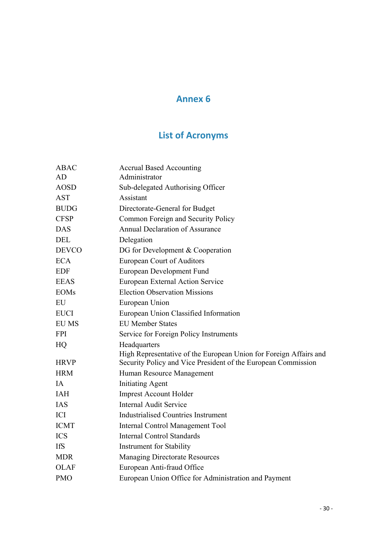# **Annex 6**

# **List of Acronyms**

| <b>ABAC</b>  | <b>Accrual Based Accounting</b>                                                                                                    |
|--------------|------------------------------------------------------------------------------------------------------------------------------------|
| <b>AD</b>    | Administrator                                                                                                                      |
| <b>AOSD</b>  | Sub-delegated Authorising Officer                                                                                                  |
| <b>AST</b>   | Assistant                                                                                                                          |
| <b>BUDG</b>  | Directorate-General for Budget                                                                                                     |
| <b>CFSP</b>  | Common Foreign and Security Policy                                                                                                 |
| <b>DAS</b>   | Annual Declaration of Assurance                                                                                                    |
| <b>DEL</b>   | Delegation                                                                                                                         |
| <b>DEVCO</b> | DG for Development & Cooperation                                                                                                   |
| <b>ECA</b>   | <b>European Court of Auditors</b>                                                                                                  |
| <b>EDF</b>   | European Development Fund                                                                                                          |
| <b>EEAS</b>  | European External Action Service                                                                                                   |
| <b>EOMs</b>  | <b>Election Observation Missions</b>                                                                                               |
| EU           | European Union                                                                                                                     |
| <b>EUCI</b>  | European Union Classified Information                                                                                              |
| <b>EU MS</b> | <b>EU Member States</b>                                                                                                            |
| <b>FPI</b>   | Service for Foreign Policy Instruments                                                                                             |
| HQ           | Headquarters                                                                                                                       |
| <b>HRVP</b>  | High Representative of the European Union for Foreign Affairs and<br>Security Policy and Vice President of the European Commission |
| <b>HRM</b>   | Human Resource Management                                                                                                          |
| IA           | <b>Initiating Agent</b>                                                                                                            |
| <b>IAH</b>   | <b>Imprest Account Holder</b>                                                                                                      |
| IAS          | <b>Internal Audit Service</b>                                                                                                      |
| ICI          | <b>Industrialised Countries Instrument</b>                                                                                         |
| <b>ICMT</b>  | Internal Control Management Tool                                                                                                   |
| <b>ICS</b>   | <b>Internal Control Standards</b>                                                                                                  |
| <b>IfS</b>   | Instrument for Stability                                                                                                           |
| <b>MDR</b>   | <b>Managing Directorate Resources</b>                                                                                              |
| <b>OLAF</b>  | European Anti-fraud Office                                                                                                         |
| <b>PMO</b>   | European Union Office for Administration and Payment                                                                               |
|              |                                                                                                                                    |